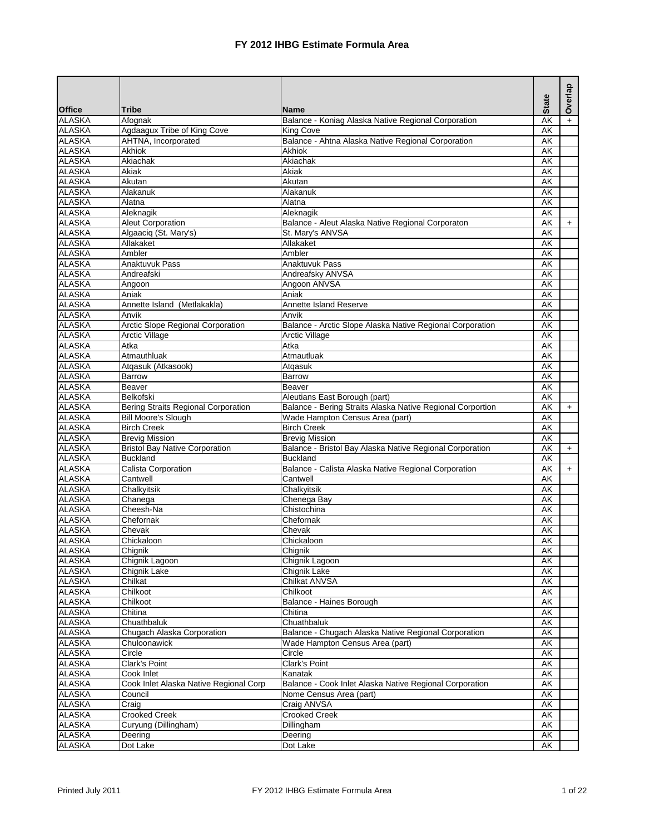|               |                                            |                                                            |                          | Overlap   |
|---------------|--------------------------------------------|------------------------------------------------------------|--------------------------|-----------|
| <b>Office</b> | <b>Tribe</b>                               | <b>Name</b>                                                | <b>State</b>             |           |
| <b>ALASKA</b> | Afognak                                    | Balance - Koniag Alaska Native Regional Corporation        | AK                       | $\ddot{}$ |
| <b>ALASKA</b> | Agdaagux Tribe of King Cove                | King Cove                                                  | AK                       |           |
| <b>ALASKA</b> | AHTNA, Incorporated                        | Balance - Ahtna Alaska Native Regional Corporation         | AΚ                       |           |
| <b>ALASKA</b> | Akhiok                                     | <b>Akhiok</b>                                              | AK                       |           |
| <b>ALASKA</b> | Akiachak                                   | Akiachak                                                   | <b>AK</b>                |           |
| <b>ALASKA</b> | Akiak                                      | Akiak                                                      | AK                       |           |
| <b>ALASKA</b> | Akutan                                     | Akutan                                                     | AK                       |           |
| <b>ALASKA</b> | Alakanuk                                   | Alakanuk                                                   | AK                       |           |
| <b>ALASKA</b> | Alatna                                     | Alatna                                                     | AK                       |           |
| <b>ALASKA</b> | Aleknagik                                  | Aleknagik                                                  | AK                       |           |
| <b>ALASKA</b> | <b>Aleut Corporation</b>                   | Balance - Aleut Alaska Native Regional Corporaton          | AK                       | $+$       |
| <b>ALASKA</b> | Algaaciq (St. Mary's)                      | St. Mary's ANVSA                                           | AK                       |           |
| <b>ALASKA</b> | Allakaket                                  | Allakaket                                                  | AK                       |           |
| <b>ALASKA</b> | Ambler                                     | Ambler                                                     | AK                       |           |
| <b>ALASKA</b> | Anaktuvuk Pass                             | Anaktuvuk Pass                                             | AK                       |           |
| <b>ALASKA</b> | Andreafski                                 | Andreafsky ANVSA                                           | $\overline{\mathsf{AK}}$ |           |
| <b>ALASKA</b> | Angoon                                     | Angoon ANVSA                                               | AK                       |           |
| <b>ALASKA</b> | Aniak                                      | Aniak                                                      | AK                       |           |
| <b>ALASKA</b> | Annette Island (Metlakakla)                | <b>Annette Island Reserve</b>                              | AK                       |           |
| <b>ALASKA</b> | Anvik                                      | Anvik                                                      | AK                       |           |
| <b>ALASKA</b> | Arctic Slope Regional Corporation          | Balance - Arctic Slope Alaska Native Regional Corporation  | AK                       |           |
| <b>ALASKA</b> | <b>Arctic Village</b>                      | <b>Arctic Village</b>                                      | AK                       |           |
| <b>ALASKA</b> | Atka                                       | Atka                                                       | AK                       |           |
| <b>ALASKA</b> | Atmauthluak                                | Atmautluak                                                 | AK                       |           |
| <b>ALASKA</b> | Atqasuk (Atkasook)                         | Atgasuk                                                    | AK                       |           |
| <b>ALASKA</b> | Barrow                                     | Barrow                                                     | AK                       |           |
| <b>ALASKA</b> | <b>Beaver</b>                              | Beaver                                                     | AK                       |           |
| <b>ALASKA</b> | Belkofski                                  | Aleutians East Borough (part)                              | AK                       |           |
| <b>ALASKA</b> | <b>Bering Straits Regional Corporation</b> | Balance - Bering Straits Alaska Native Regional Corportion | <b>AK</b>                | $+$       |
| <b>ALASKA</b> | <b>Bill Moore's Slough</b>                 | Wade Hampton Census Area (part)                            | AK                       |           |
| <b>ALASKA</b> | <b>Birch Creek</b>                         | <b>Birch Creek</b>                                         | AK                       |           |
| <b>ALASKA</b> | <b>Brevig Mission</b>                      | <b>Brevig Mission</b>                                      | AK                       |           |
| <b>ALASKA</b> | <b>Bristol Bay Native Corporation</b>      | Balance - Bristol Bay Alaska Native Regional Corporation   | AK                       | $+$       |
| <b>ALASKA</b> | <b>Buckland</b>                            | <b>Buckland</b>                                            | AK                       |           |
| <b>ALASKA</b> | Calista Corporation                        | Balance - Calista Alaska Native Regional Corporation       | AK                       | $+$       |
| <b>ALASKA</b> | Cantwell                                   | Cantwell                                                   | AK                       |           |
| <b>ALASKA</b> | Chalkyitsik                                | Chalkyitsik                                                | AK                       |           |
| <b>ALASKA</b> | Chanega                                    | Chenega Bay                                                | AK                       |           |
| <b>ALASKA</b> | Cheesh-Na                                  | Chistochina                                                | AK                       |           |
| <b>ALASKA</b> | Chefornak                                  | Chefornak                                                  | AK                       |           |
| <b>ALASKA</b> | Chevak                                     | Chevak                                                     | AK                       |           |
| <b>ALASKA</b> | Chickaloon                                 | Chickaloon                                                 | AK                       |           |
| <b>ALASKA</b> | Chignik                                    | Chignik                                                    | AK                       |           |
| <b>ALASKA</b> | Chignik Lagoon                             | Chignik Lagoon                                             | AK                       |           |
| <b>ALASKA</b> | Chignik Lake                               | Chignik Lake                                               | АK                       |           |
| <b>ALASKA</b> | Chilkat                                    | Chilkat ANVSA                                              | AK                       |           |
| <b>ALASKA</b> | Chilkoot                                   | Chilkoot                                                   | AK                       |           |
| <b>ALASKA</b> | Chilkoot                                   | Balance - Haines Borough                                   | AK                       |           |
| <b>ALASKA</b> | Chitina                                    | Chitina                                                    | АK                       |           |
| <b>ALASKA</b> | Chuathbaluk                                | Chuathbaluk                                                | AK                       |           |
| <b>ALASKA</b> | Chugach Alaska Corporation                 | Balance - Chugach Alaska Native Regional Corporation       | AK                       |           |
| <b>ALASKA</b> | Chuloonawick                               | Wade Hampton Census Area (part)                            | AK                       |           |
| <b>ALASKA</b> | Circle                                     | Circle                                                     | AK                       |           |
| <b>ALASKA</b> | <b>Clark's Point</b>                       | <b>Clark's Point</b>                                       | AK                       |           |
| <b>ALASKA</b> | Cook Inlet                                 | Kanatak                                                    | AK                       |           |
| <b>ALASKA</b> | Cook Inlet Alaska Native Regional Corp     | Balance - Cook Inlet Alaska Native Regional Corporation    | AK                       |           |
| <b>ALASKA</b> | Council                                    | Nome Census Area (part)                                    | AK                       |           |
| <b>ALASKA</b> | Craig                                      | Craig ANVSA                                                | AK                       |           |
| <b>ALASKA</b> | Crooked Creek                              | <b>Crooked Creek</b>                                       | AK                       |           |
| <b>ALASKA</b> | Curyung (Dillingham)                       | Dillingham                                                 | AK                       |           |
| <b>ALASKA</b> | Deering                                    | Deering                                                    | AK                       |           |
| <b>ALASKA</b> | Dot Lake                                   | Dot Lake                                                   | AK                       |           |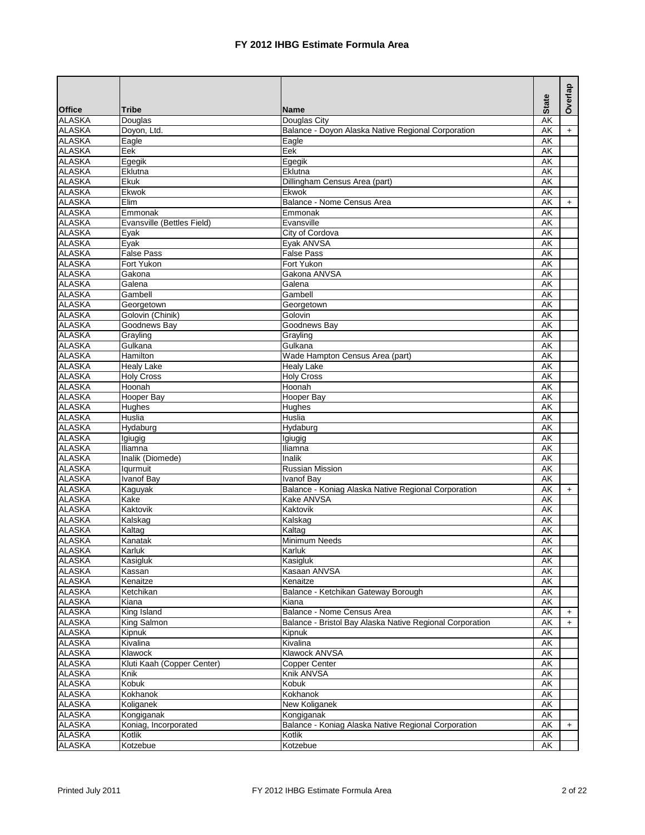|                                |                                |                                                          | <b>State</b>                   | Overlap   |
|--------------------------------|--------------------------------|----------------------------------------------------------|--------------------------------|-----------|
| <b>Office</b>                  | <b>Tribe</b>                   | <b>Name</b>                                              |                                |           |
| <b>ALASKA</b>                  | Douglas                        | Douglas City                                             | AK                             |           |
| <b>ALASKA</b>                  | Doyon, Ltd.                    | Balance - Doyon Alaska Native Regional Corporation       | AK                             | $+$       |
| <b>ALASKA</b>                  | Eagle                          | Eagle                                                    | AK                             |           |
| <b>ALASKA</b>                  | Eek                            | Eek                                                      | AK                             |           |
| <b>ALASKA</b>                  | Egegik                         | Egegik                                                   | AK                             |           |
| <b>ALASKA</b>                  | Eklutna                        | Eklutna                                                  | AK                             |           |
| <b>ALASKA</b>                  | Ekuk                           | Dillingham Census Area (part)                            | AK                             |           |
| <b>ALASKA</b>                  | Ekwok                          | Ekwok                                                    | AK                             |           |
| <b>ALASKA</b>                  | Elim                           | Balance - Nome Census Area                               | AK                             | $+$       |
| <b>ALASKA</b>                  | Emmonak                        | Emmonak                                                  | <b>AK</b>                      |           |
| <b>ALASKA</b>                  | Evansville (Bettles Field)     | Evansville                                               | AK                             |           |
| <b>ALASKA</b>                  | Eyak                           | City of Cordova                                          | AK                             |           |
| <b>ALASKA</b>                  | Eyak                           | Eyak ANVSA                                               | AK                             |           |
| <b>ALASKA</b>                  | <b>False Pass</b>              | <b>False Pass</b>                                        | AK                             |           |
| <b>ALASKA</b>                  | Fort Yukon                     | Fort Yukon                                               | AK                             |           |
| <b>ALASKA</b>                  | Gakona                         | Gakona ANVSA                                             | $\overline{\mathsf{AK}}$       |           |
| <b>ALASKA</b><br><b>ALASKA</b> | Galena                         | Galena                                                   | AK                             |           |
|                                | Gambell                        | Gambell                                                  | AK                             |           |
| <b>ALASKA</b><br><b>ALASKA</b> | Georgetown<br>Golovin (Chinik) | Georgetown<br>Golovin                                    | AK                             |           |
|                                |                                |                                                          | AK                             |           |
| <b>ALASKA</b>                  | Goodnews Bay                   | Goodnews Bay                                             | AK                             |           |
| <b>ALASKA</b><br><b>ALASKA</b> | Grayling<br>Gulkana            | Grayling<br>Gulkana                                      | AK                             |           |
|                                | Hamilton                       |                                                          | AK                             |           |
| <b>ALASKA</b><br><b>ALASKA</b> |                                | Wade Hampton Census Area (part)                          | AK<br>$\overline{\mathsf{AK}}$ |           |
| <b>ALASKA</b>                  | <b>Healy Lake</b>              | <b>Healy Lake</b>                                        |                                |           |
|                                | <b>Holy Cross</b><br>Hoonah    | <b>Holy Cross</b><br>Hoonah                              | AK<br>AK                       |           |
| <b>ALASKA</b><br><b>ALASKA</b> | Hooper Bay                     | <b>Hooper Bay</b>                                        | AK                             |           |
| <b>ALASKA</b>                  | Hughes                         | Hughes                                                   | <b>AK</b>                      |           |
| <b>ALASKA</b>                  | <b>Huslia</b>                  | <b>Huslia</b>                                            | <b>AK</b>                      |           |
| <b>ALASKA</b>                  | Hydaburg                       | Hydaburg                                                 | AK                             |           |
| <b>ALASKA</b>                  | Igiugig                        | Igiugig                                                  | AK                             |           |
| <b>ALASKA</b>                  | Iliamna                        | Iliamna                                                  | AK                             |           |
| <b>ALASKA</b>                  | Inalik (Diomede)               | Inalik                                                   | AK                             |           |
| <b>ALASKA</b>                  | Iqurmuit                       | Russian Mission                                          | $\overline{\mathsf{AK}}$       |           |
| <b>ALASKA</b>                  | <b>Ivanof Bay</b>              | Ivanof Bay                                               | AK                             |           |
| <b>ALASKA</b>                  | Kaguyak                        | Balance - Koniag Alaska Native Regional Corporation      | AK                             | $+$       |
| <b>ALASKA</b>                  | Kake                           | <b>Kake ANVSA</b>                                        | AK                             |           |
| <b>ALASKA</b>                  | Kaktovik                       | Kaktovik                                                 | AK                             |           |
| <b>ALASKA</b>                  | Kalskag                        | Kalskag                                                  | AK                             |           |
| <b>ALASKA</b>                  | Kaltag                         | Kaltag                                                   | AK                             |           |
| <b>ALASKA</b>                  | Kanatak                        | <b>Minimum Needs</b>                                     | AΚ                             |           |
| <b>ALASKA</b>                  | Karluk                         | Karluk                                                   | AK                             |           |
| <b>ALASKA</b>                  | Kasigluk                       | Kasigluk                                                 | AK                             |           |
| <b>ALASKA</b>                  | Kassan                         | Kasaan ANVSA                                             | AK                             |           |
| <b>ALASKA</b>                  | Kenaitze                       | Kenaitze                                                 | AK                             |           |
| <b>ALASKA</b>                  | Ketchikan                      | Balance - Ketchikan Gateway Borough                      | AK                             |           |
| <b>ALASKA</b>                  | Kiana                          | Kiana                                                    | AK                             |           |
| <b>ALASKA</b>                  | King Island                    | Balance - Nome Census Area                               | AK                             | $\ddot{}$ |
| <b>ALASKA</b>                  | King Salmon                    | Balance - Bristol Bay Alaska Native Regional Corporation | AK                             | $+$       |
| <b>ALASKA</b>                  | Kipnuk                         | Kipnuk                                                   | AK                             |           |
| <b>ALASKA</b>                  | Kivalina                       | Kivalina                                                 | AK                             |           |
| <b>ALASKA</b>                  | Klawock                        | Klawock ANVSA                                            | AK                             |           |
| <b>ALASKA</b>                  | Kluti Kaah (Copper Center)     | Copper Center                                            | $\overline{\mathsf{AK}}$       |           |
| <b>ALASKA</b>                  | Knik                           | Knik ANVSA                                               | AK                             |           |
| <b>ALASKA</b>                  | Kobuk                          | Kobuk                                                    | AK                             |           |
| <b>ALASKA</b>                  | Kokhanok                       | Kokhanok                                                 | AK                             |           |
| <b>ALASKA</b>                  | Koliganek                      | New Koliganek                                            | AK                             |           |
| <b>ALASKA</b>                  | Kongiganak                     | Kongiganak                                               | AK                             |           |
| <b>ALASKA</b>                  | Koniag, Incorporated           | Balance - Koniag Alaska Native Regional Corporation      | AK                             | $+$       |
| <b>ALASKA</b>                  | Kotlik                         | Kotlik                                                   | AK                             |           |
| <b>ALASKA</b>                  | Kotzebue                       | Kotzebue                                                 | АK                             |           |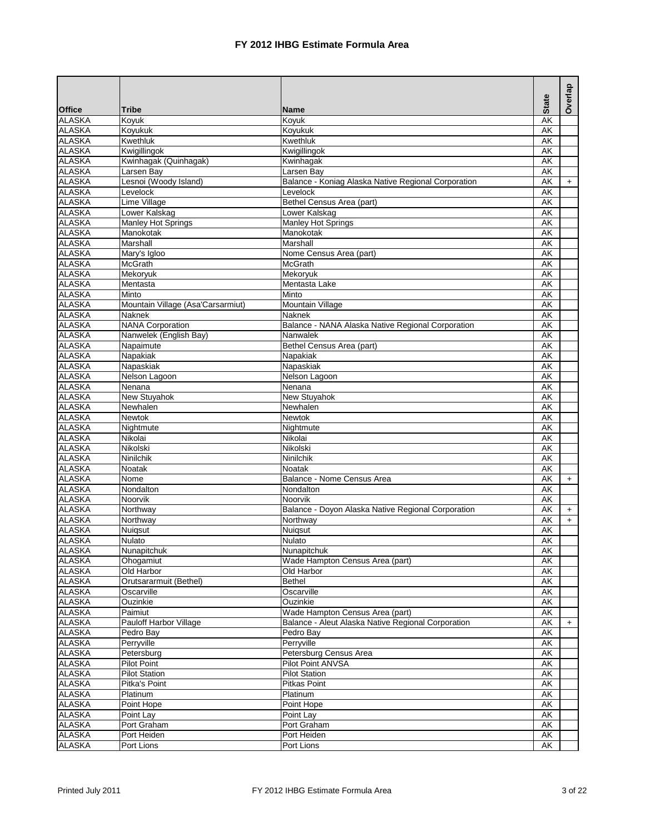|                                |                                   |                                                     |                          | Overlap |
|--------------------------------|-----------------------------------|-----------------------------------------------------|--------------------------|---------|
| <b>Office</b>                  | <b>Tribe</b>                      | <b>Name</b>                                         | <b>State</b>             |         |
| <b>ALASKA</b>                  | Koyuk                             | Koyuk                                               | AK                       |         |
| <b>ALASKA</b>                  | Koyukuk                           | Koyukuk                                             | AK                       |         |
| <b>ALASKA</b>                  | Kwethluk                          | Kwethluk                                            | AK                       |         |
| <b>ALASKA</b>                  | Kwigillingok                      | Kwigillingok                                        | <b>AK</b>                |         |
| <b>ALASKA</b>                  | Kwinhagak (Quinhagak)             | Kwinhagak                                           | AK                       |         |
| <b>ALASKA</b>                  | Larsen Bay                        | Larsen Bay                                          | AK                       |         |
| <b>ALASKA</b>                  | Lesnoi (Woody Island)             | Balance - Koniag Alaska Native Regional Corporation | AK                       | $+$     |
| <b>ALASKA</b>                  | Levelock                          | Levelock                                            | AK                       |         |
| <b>ALASKA</b>                  | Lime Village                      | Bethel Census Area (part)                           | AK                       |         |
| <b>ALASKA</b>                  | Lower Kalskag                     | Lower Kalskag                                       | $\overline{\mathsf{AK}}$ |         |
| <b>ALASKA</b>                  | <b>Manley Hot Springs</b>         | Manley Hot Springs                                  | AK                       |         |
| <b>ALASKA</b>                  | Manokotak                         | Manokotak                                           | AK                       |         |
| <b>ALASKA</b>                  | Marshall                          | Marshall                                            | AK                       |         |
| <b>ALASKA</b>                  | Mary's Igloo                      | Nome Census Area (part)                             | AK                       |         |
| <b>ALASKA</b>                  | <b>McGrath</b>                    | <b>McGrath</b>                                      | AK                       |         |
| <b>ALASKA</b>                  | Mekoryuk                          | Mekoryuk                                            | AK                       |         |
| <b>ALASKA</b>                  | Mentasta                          | Mentasta Lake                                       | AK                       |         |
| <b>ALASKA</b>                  | Minto                             | Minto                                               | AK                       |         |
| <b>ALASKA</b>                  | Mountain Village (Asa'Carsarmiut) | Mountain Village                                    | AK                       |         |
| <b>ALASKA</b>                  | <b>Naknek</b>                     | <b>Naknek</b>                                       | AK                       |         |
| <b>ALASKA</b>                  | <b>NANA Corporation</b>           | Balance - NANA Alaska Native Regional Corporation   | AK                       |         |
| <b>ALASKA</b>                  | Nanwelek (English Bay)            | Nanwalek                                            | AK                       |         |
| <b>ALASKA</b>                  | Napaimute                         | Bethel Census Area (part)                           | AK                       |         |
| <b>ALASKA</b>                  | Napakiak                          | Napakiak                                            | AK                       |         |
| <b>ALASKA</b>                  | Napaskiak                         | Napaskiak                                           | $\overline{\mathsf{AK}}$ |         |
| <b>ALASKA</b>                  | Nelson Lagoon                     | Nelson Lagoon                                       | AK                       |         |
| <b>ALASKA</b>                  | Nenana                            | Nenana                                              | AK                       |         |
| <b>ALASKA</b>                  | New Stuyahok                      | <b>New Stuyahok</b>                                 | AK                       |         |
| <b>ALASKA</b>                  | Newhalen                          | Newhalen                                            | AK                       |         |
| <b>ALASKA</b>                  | <b>Newtok</b>                     | <b>Newtok</b>                                       | <b>AK</b>                |         |
| <b>ALASKA</b>                  | Nightmute                         | Nightmute                                           | <b>AK</b>                |         |
| <b>ALASKA</b>                  | Nikolai                           | Nikolai                                             | AK                       |         |
| <b>ALASKA</b>                  | Nikolski                          | Nikolski                                            | AK                       |         |
| <b>ALASKA</b>                  | Ninilchik                         | Ninilchik                                           | AK                       |         |
| <b>ALASKA</b>                  | Noatak                            | <b>Noatak</b>                                       | $\overline{\mathsf{AK}}$ |         |
| <b>ALASKA</b>                  | Nome                              | Balance - Nome Census Area                          | AK                       | $+$     |
| <b>ALASKA</b>                  | Nondalton                         | Nondalton                                           | AK                       |         |
| <b>ALASKA</b>                  | Noorvik                           | Noorvik                                             | AK                       |         |
| <b>ALASKA</b>                  | Northway                          | Balance - Doyon Alaska Native Regional Corporation  | <b>AK</b>                | $+$     |
| <b>ALASKA</b>                  | Northway                          | Northway                                            | AK                       | $+$     |
| <b>ALASKA</b>                  | Nuigsut                           | Nuiqsut                                             | AK                       |         |
| <b>ALASKA</b>                  | <b>Nulato</b>                     | <b>Nulato</b>                                       | AΚ                       |         |
| <b>ALASKA</b>                  | Nunapitchuk                       | Nunapitchuk                                         | AK                       |         |
| <b>ALASKA</b>                  | Ohogamiut                         | Wade Hampton Census Area (part)                     | AK                       |         |
| <b>ALASKA</b>                  | Old Harbor                        | Old Harbor                                          | AK                       |         |
| <b>ALASKA</b>                  | Orutsararmuit (Bethel)            | <b>Bethel</b>                                       | AK                       |         |
| <b>ALASKA</b>                  | Oscarville                        | Oscarville                                          | AK                       |         |
| <b>ALASKA</b>                  | Ouzinkie                          | Ouzinkie                                            | AK                       |         |
| <b>ALASKA</b>                  | Paimiut                           | Wade Hampton Census Area (part)                     | АK                       |         |
| <b>ALASKA</b>                  | Pauloff Harbor Village            | Balance - Aleut Alaska Native Regional Corporation  | AK                       | $+$     |
| <b>ALASKA</b>                  | Pedro Bay                         | Pedro Bay                                           | AK                       |         |
| <b>ALASKA</b>                  | Perryville                        | Perryville                                          | AK                       |         |
| <b>ALASKA</b><br><b>ALASKA</b> | Petersburg                        | Petersburg Census Area<br>Pilot Point ANVSA         | AK<br><b>AK</b>          |         |
|                                | <b>Pilot Point</b>                |                                                     |                          |         |
| <b>ALASKA</b>                  | <b>Pilot Station</b>              | <b>Pilot Station</b>                                | AK                       |         |
| <b>ALASKA</b><br><b>ALASKA</b> | Pitka's Point<br>Platinum         | <b>Pitkas Point</b><br>Platinum                     | AK                       |         |
|                                |                                   |                                                     | AK                       |         |
| <b>ALASKA</b><br><b>ALASKA</b> | Point Hope                        | Point Hope                                          | AK                       |         |
| <b>ALASKA</b>                  | Point Lay                         | Point Lay                                           | AK                       |         |
|                                | Port Graham                       | Port Graham                                         | AK                       |         |
| <b>ALASKA</b><br><b>ALASKA</b> | Port Heiden                       | Port Heiden                                         | AK<br>AK                 |         |
|                                | Port Lions                        | Port Lions                                          |                          |         |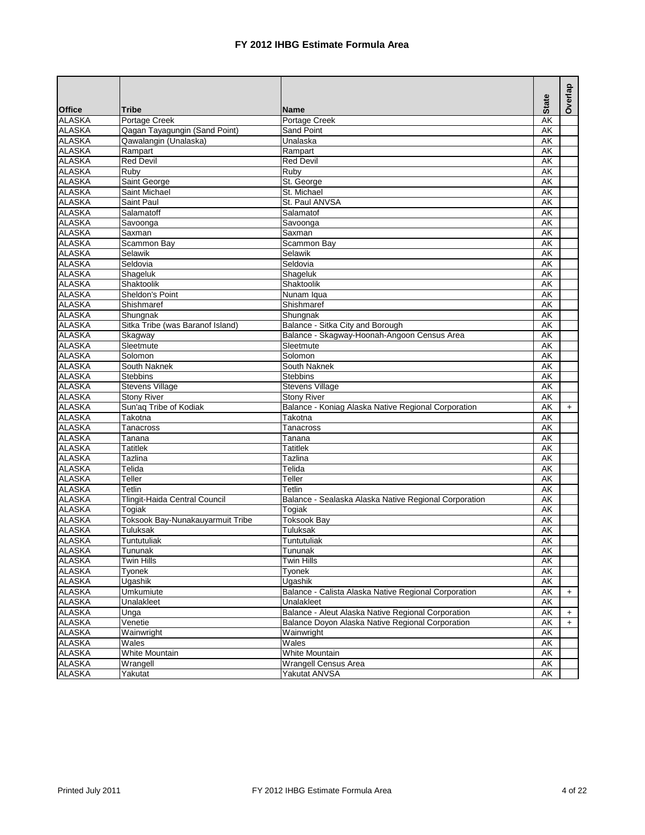|               |                                  |                                                       | <b>State</b>             | Overlap |
|---------------|----------------------------------|-------------------------------------------------------|--------------------------|---------|
| <b>Office</b> | <b>Tribe</b>                     | <b>Name</b>                                           |                          |         |
| <b>ALASKA</b> | Portage Creek                    | Portage Creek                                         | $\overline{\mathsf{AK}}$ |         |
| <b>ALASKA</b> | Qagan Tayagungin (Sand Point)    | Sand Point                                            | AK                       |         |
| <b>ALASKA</b> | Qawalangin (Unalaska)            | Unalaska                                              | AK                       |         |
| <b>ALASKA</b> | Rampart                          | Rampart                                               | AK                       |         |
| <b>ALASKA</b> | <b>Red Devil</b>                 | <b>Red Devil</b>                                      | AK                       |         |
| <b>ALASKA</b> | Ruby                             | Ruby                                                  | AK                       |         |
| <b>ALASKA</b> | Saint George                     | St. George                                            | AK                       |         |
| <b>ALASKA</b> | Saint Michael                    | St. Michael                                           | AK                       |         |
| <b>ALASKA</b> | Saint Paul                       | St. Paul ANVSA                                        | AK                       |         |
| <b>ALASKA</b> | Salamatoff                       | Salamatof                                             | AK                       |         |
| <b>ALASKA</b> | Savoonga                         | Savoonga                                              | AK                       |         |
| <b>ALASKA</b> | Saxman                           | Saxman                                                | $\overline{\mathsf{AK}}$ |         |
| <b>ALASKA</b> | Scammon Bay                      | Scammon Bay                                           | AK                       |         |
| <b>ALASKA</b> | Selawik                          | Selawik                                               | AK                       |         |
| <b>ALASKA</b> | Seldovia                         | Seldovia                                              | AK                       |         |
| <b>ALASKA</b> | Shageluk                         | Shageluk                                              | <b>AK</b>                |         |
| <b>ALASKA</b> | Shaktoolik                       | Shaktoolik                                            | <b>AK</b>                |         |
| <b>ALASKA</b> | Sheldon's Point                  | Nunam Iqua                                            | AK                       |         |
| <b>ALASKA</b> | Shishmaref                       | Shishmaref                                            | AK                       |         |
| <b>ALASKA</b> | Shungnak                         | Shungnak                                              | AK                       |         |
| <b>ALASKA</b> | Sitka Tribe (was Baranof Island) | Balance - Sitka City and Borough                      | AK                       |         |
| <b>ALASKA</b> | Skagway                          | Balance - Skagway-Hoonah-Angoon Census Area           | AK                       |         |
| <b>ALASKA</b> | Sleetmute                        | Sleetmute                                             | AK                       |         |
| <b>ALASKA</b> | Solomon                          | Solomon                                               | AK                       |         |
| <b>ALASKA</b> | South Naknek                     | South Naknek                                          | AK                       |         |
| <b>ALASKA</b> | <b>Stebbins</b>                  | <b>Stebbins</b>                                       | AK                       |         |
| <b>ALASKA</b> | <b>Stevens Village</b>           | <b>Stevens Village</b>                                | AK                       |         |
| <b>ALASKA</b> | <b>Stony River</b>               | <b>Stony River</b>                                    | <b>AK</b>                |         |
| <b>ALASKA</b> | Sun'aq Tribe of Kodiak           | Balance - Koniag Alaska Native Regional Corporation   | AK                       | $+$     |
| <b>ALASKA</b> | Takotna                          | Takotna                                               | <b>AK</b>                |         |
| <b>ALASKA</b> | Tanacross                        | Tanacross                                             | AK                       |         |
| <b>ALASKA</b> | Tanana                           | Tanana                                                | AK                       |         |
| <b>ALASKA</b> | <b>Tatitlek</b>                  | <b>Tatitlek</b>                                       | $\overline{\mathsf{AK}}$ |         |
| <b>ALASKA</b> | Tazlina                          | Tazlina                                               | AK                       |         |
| <b>ALASKA</b> | Telida                           | Telida                                                | AK                       |         |
| <b>ALASKA</b> | Teller                           | Teller                                                | AK                       |         |
| <b>ALASKA</b> | Tetlin                           | Tetlin                                                | AK                       |         |
| <b>ALASKA</b> | Tlingit-Haida Central Council    | Balance - Sealaska Alaska Native Regional Corporation | AK                       |         |
| <b>ALASKA</b> | Togiak                           | Togiak                                                | AK                       |         |
| <b>ALASKA</b> | Toksook Bay-Nunakauyarmuit Tribe | <b>Toksook Bay</b>                                    | AK                       |         |
| <b>ALASKA</b> | Tuluksak                         | Tuluksak                                              | AK                       |         |
| <b>ALASKA</b> | Tuntutuliak                      | Tuntutuliak                                           | AK                       |         |
| <b>ALASKA</b> | Tununak                          | I ununak                                              | AK                       |         |
| <b>ALASKA</b> | <b>Twin Hills</b>                | <b>Twin Hills</b>                                     | AK                       |         |
| <b>ALASKA</b> | Tyonek                           | Tyonek                                                | AK                       |         |
| <b>ALASKA</b> | Ugashik                          | Ugashik                                               | AK                       |         |
| <b>ALASKA</b> | Umkumiute                        | Balance - Calista Alaska Native Regional Corporation  | AK                       | $+$     |
| <b>ALASKA</b> | Unalakleet                       | Unalakleet                                            | AK                       |         |
| <b>ALASKA</b> | Unga                             | Balance - Aleut Alaska Native Regional Corporation    | AK                       | $+$     |
| <b>ALASKA</b> | Venetie                          | Balance Doyon Alaska Native Regional Corporation      | AK                       | $+$     |
| <b>ALASKA</b> | Wainwright                       | Wainwright                                            | AK                       |         |
| <b>ALASKA</b> | Wales                            | Wales                                                 | AK                       |         |
| <b>ALASKA</b> | White Mountain                   | White Mountain                                        | AK                       |         |
| <b>ALASKA</b> | Wrangell                         | <b>Wrangell Census Area</b>                           | АK                       |         |
| <b>ALASKA</b> | Yakutat                          | Yakutat ANVSA                                         | AK                       |         |
|               |                                  |                                                       |                          |         |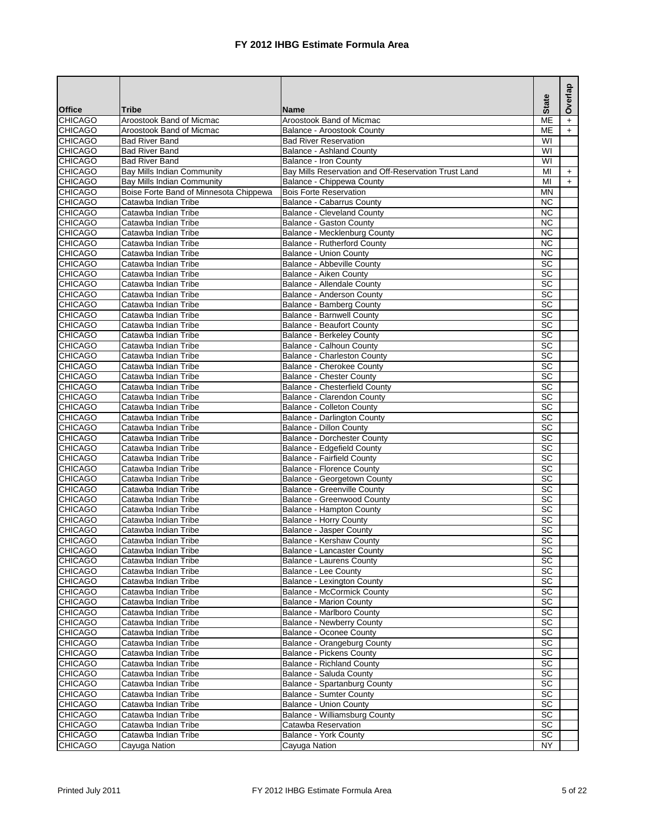| <b>CHICAGO</b><br>Aroostook Band of Micmac<br><b>ME</b><br>Aroostook Band of Micmac<br>$+$<br><b>CHICAGO</b><br><b>ME</b><br>Aroostook Band of Micmac<br>Balance - Aroostook County<br>$+$<br><b>CHICAGO</b><br><b>Bad River Band</b><br><b>Bad River Reservation</b><br>WI<br><b>CHICAGO</b><br>WI<br><b>Bad River Band</b><br><b>Balance - Ashland County</b><br><b>CHICAGO</b><br>WI<br><b>Bad River Band</b><br>Balance - Iron County<br>Bay Mills Reservation and Off-Reservation Trust Land<br><b>Bay Mills Indian Community</b><br><b>CHICAGO</b><br>MI<br>$\ddot{}$<br><b>CHICAGO</b><br><b>Bay Mills Indian Community</b><br>Balance - Chippewa County<br>MI<br>$+$<br><b>CHICAGO</b><br>Boise Forte Band of Minnesota Chippewa<br><b>Bois Forte Reservation</b><br><b>MN</b><br><b>CHICAGO</b><br>Catawba Indian Tribe<br><b>NC</b><br><b>Balance - Cabarrus County</b><br>$\overline{NC}$<br><b>CHICAGO</b><br>Catawba Indian Tribe<br><b>Balance - Cleveland County</b><br><b>CHICAGO</b><br><b>Balance - Gaston County</b><br><b>NC</b><br>Catawba Indian Tribe<br>$\overline{NC}$<br><b>CHICAGO</b><br>Catawba Indian Tribe<br>Balance - Mecklenburg County<br><b>Balance - Rutherford County</b><br><b>NC</b><br>Catawba Indian Tribe<br><b>NC</b><br>Catawba Indian Tribe<br><b>Balance - Union County</b><br>$\overline{SC}$<br><b>Balance - Abbeville County</b><br>Catawba Indian Tribe<br>$\overline{SC}$<br>Catawba Indian Tribe<br>Balance - Aiken County<br>SC<br>Catawba Indian Tribe<br>Balance - Allendale County<br><b>CHICAGO</b><br>$\overline{SC}$<br>Catawba Indian Tribe<br>Balance - Anderson County<br>$\overline{SC}$<br>Catawba Indian Tribe<br><b>Balance - Bamberg County</b><br>$\overline{SC}$<br><b>Balance - Barnwell County</b><br>Catawba Indian Tribe<br><b>CHICAGO</b><br>$\overline{SC}$<br><b>Balance - Beaufort County</b><br>Catawba Indian Tribe<br>$\overline{SC}$<br><b>CHICAGO</b><br>Catawba Indian Tribe<br><b>Balance - Berkeley County</b><br><b>CHICAGO</b><br>$\overline{SC}$<br>Catawba Indian Tribe<br>Balance - Calhoun County<br>$\overline{SC}$<br><b>CHICAGO</b><br><b>Balance - Charleston County</b><br>Catawba Indian Tribe<br>$\overline{SC}$<br><b>CHICAGO</b><br>Balance - Cherokee County<br>Catawba Indian Tribe<br><b>CHICAGO</b><br>$\overline{SC}$<br><b>Balance - Chester County</b><br>Catawba Indian Tribe<br>$\overline{SC}$<br><b>CHICAGO</b><br>Catawba Indian Tribe<br><b>Balance - Chesterfield County</b><br>$\overline{SC}$<br><b>CHICAGO</b><br>Balance - Clarendon County<br>Catawba Indian Tribe<br><b>CHICAGO</b><br>$\overline{SC}$<br>Catawba Indian Tribe<br><b>Balance - Colleton County</b><br>SC<br><b>CHICAGO</b><br>Catawba Indian Tribe<br><b>Balance - Darlington County</b><br>$\overline{SC}$<br><b>CHICAGO</b><br>Catawba Indian Tribe<br><b>Balance - Dillon County</b><br>$\overline{SC}$<br><b>CHICAGO</b><br>Catawba Indian Tribe<br><b>Balance - Dorchester County</b><br>$\overline{SC}$<br><b>CHICAGO</b><br>Catawba Indian Tribe<br><b>Balance - Edgefield County</b><br>$\overline{SC}$<br><b>CHICAGO</b><br><b>Balance - Fairfield County</b><br>Catawba Indian Tribe<br>SC<br><b>Balance - Florence County</b><br><b>CHICAGO</b><br>Catawba Indian Tribe<br>SC<br><b>CHICAGO</b><br>Catawba Indian Tribe<br>Balance - Georgetown County<br><b>CHICAGO</b><br>SC<br>Catawba Indian Tribe<br><b>Balance - Greenville County</b><br>$\overline{SC}$<br>Balance - Greenwood County<br><b>CHICAGO</b><br>Catawba Indian Tribe<br>$\overline{SC}$<br><b>CHICAGO</b><br>Catawba Indian Tribe<br><b>Balance - Hampton County</b><br>$\overline{SC}$<br>Balance - Horry County<br>Catawba Indian Tribe<br>SC<br><b>CHICAGO</b><br>Catawba Indian Tribe<br>Balance - Jasper County<br>SC<br><b>Balance - Kershaw County</b><br>Catawba Indian Tribe<br>Catawba Indian Tribe<br>Balance - Lancaster County<br>SC<br>SC<br>Catawba Indian Tribe<br><b>Balance - Laurens County</b><br>Catawba Indian Tribe<br>Balance - Lee County<br>SC<br>SC<br>Catawba Indian Tribe<br><b>Balance - Lexington County</b><br><b>SC</b><br>Catawba Indian Tribe<br><b>Balance - McCormick County</b><br><b>SC</b><br>Catawba Indian Tribe<br><b>Balance - Marion County</b><br><b>SC</b><br><b>CHICAGO</b><br>Catawba Indian Tribe<br>Balance - Marlboro County<br><b>CHICAGO</b><br><b>Balance - Newberry County</b><br><b>SC</b><br>Catawba Indian Tribe<br>SC<br><b>CHICAGO</b><br>Catawba Indian Tribe<br><b>Balance - Oconee County</b><br><b>CHICAGO</b><br><b>SC</b><br>Catawba Indian Tribe<br>Balance - Orangeburg County<br><b>CHICAGO</b><br><b>Balance - Pickens County</b><br><b>SC</b><br>Catawba Indian Tribe<br><b>SC</b><br><b>CHICAGO</b><br><b>Balance - Richland County</b><br>Catawba Indian Tribe<br><b>CHICAGO</b><br>SC<br>Catawba Indian Tribe<br>Balance - Saluda County<br>SC<br>CHICAGO<br>Balance - Spartanburg County<br>Catawba Indian Tribe<br>$\overline{SC}$<br><b>CHICAGO</b><br>Catawba Indian Tribe<br><b>Balance - Sumter County</b><br>SC<br><b>CHICAGO</b><br>Catawba Indian Tribe<br><b>Balance - Union County</b><br>Balance - Williamsburg County<br><b>SC</b><br><b>CHICAGO</b><br>Catawba Indian Tribe<br>SC<br><b>CHICAGO</b><br>Catawba Reservation<br>Catawba Indian Tribe<br>Catawba Indian Tribe<br>Balance - York County<br><b>CHICAGO</b><br>SC |                |               |               | <b>State</b> | Overlap |
|---------------------------------------------------------------------------------------------------------------------------------------------------------------------------------------------------------------------------------------------------------------------------------------------------------------------------------------------------------------------------------------------------------------------------------------------------------------------------------------------------------------------------------------------------------------------------------------------------------------------------------------------------------------------------------------------------------------------------------------------------------------------------------------------------------------------------------------------------------------------------------------------------------------------------------------------------------------------------------------------------------------------------------------------------------------------------------------------------------------------------------------------------------------------------------------------------------------------------------------------------------------------------------------------------------------------------------------------------------------------------------------------------------------------------------------------------------------------------------------------------------------------------------------------------------------------------------------------------------------------------------------------------------------------------------------------------------------------------------------------------------------------------------------------------------------------------------------------------------------------------------------------------------------------------------------------------------------------------------------------------------------------------------------------------------------------------------------------------------------------------------------------------------------------------------------------------------------------------------------------------------------------------------------------------------------------------------------------------------------------------------------------------------------------------------------------------------------------------------------------------------------------------------------------------------------------------------------------------------------------------------------------------------------------------------------------------------------------------------------------------------------------------------------------------------------------------------------------------------------------------------------------------------------------------------------------------------------------------------------------------------------------------------------------------------------------------------------------------------------------------------------------------------------------------------------------------------------------------------------------------------------------------------------------------------------------------------------------------------------------------------------------------------------------------------------------------------------------------------------------------------------------------------------------------------------------------------------------------------------------------------------------------------------------------------------------------------------------------------------------------------------------------------------------------------------------------------------------------------------------------------------------------------------------------------------------------------------------------------------------------------------------------------------------------------------------------------------------------------------------------------------------------------------------------------------------------------------------------------------------------------------------------------------------------------------------------------------------------------------------------------------------------------------------------------------------------------------------------------------------------------------------------------------------------------------------------------------------------------------------------------------------------------------------------------------------------------------------------------------------------------------------------------------------------------------------------------------------------------------------------------------------------------------------------------------------------------------------------------------------------------------------------------------------------------------------------------------------------------------------------------------------------------------------------------------------------------------------------------------------------------------------------------------------------------------------------------------------------------------------------------------------|----------------|---------------|---------------|--------------|---------|
|                                                                                                                                                                                                                                                                                                                                                                                                                                                                                                                                                                                                                                                                                                                                                                                                                                                                                                                                                                                                                                                                                                                                                                                                                                                                                                                                                                                                                                                                                                                                                                                                                                                                                                                                                                                                                                                                                                                                                                                                                                                                                                                                                                                                                                                                                                                                                                                                                                                                                                                                                                                                                                                                                                                                                                                                                                                                                                                                                                                                                                                                                                                                                                                                                                                                                                                                                                                                                                                                                                                                                                                                                                                                                                                                                                                                                                                                                                                                                                                                                                                                                                                                                                                                                                                                                                                                                                                                                                                                                                                                                                                                                                                                                                                                                                                                                                                                                                                                                                                                                                                                                                                                                                                                                                                                                                                                                                                             | <b>Office</b>  | <b>Tribe</b>  | <b>Name</b>   |              |         |
|                                                                                                                                                                                                                                                                                                                                                                                                                                                                                                                                                                                                                                                                                                                                                                                                                                                                                                                                                                                                                                                                                                                                                                                                                                                                                                                                                                                                                                                                                                                                                                                                                                                                                                                                                                                                                                                                                                                                                                                                                                                                                                                                                                                                                                                                                                                                                                                                                                                                                                                                                                                                                                                                                                                                                                                                                                                                                                                                                                                                                                                                                                                                                                                                                                                                                                                                                                                                                                                                                                                                                                                                                                                                                                                                                                                                                                                                                                                                                                                                                                                                                                                                                                                                                                                                                                                                                                                                                                                                                                                                                                                                                                                                                                                                                                                                                                                                                                                                                                                                                                                                                                                                                                                                                                                                                                                                                                                             |                |               |               |              |         |
|                                                                                                                                                                                                                                                                                                                                                                                                                                                                                                                                                                                                                                                                                                                                                                                                                                                                                                                                                                                                                                                                                                                                                                                                                                                                                                                                                                                                                                                                                                                                                                                                                                                                                                                                                                                                                                                                                                                                                                                                                                                                                                                                                                                                                                                                                                                                                                                                                                                                                                                                                                                                                                                                                                                                                                                                                                                                                                                                                                                                                                                                                                                                                                                                                                                                                                                                                                                                                                                                                                                                                                                                                                                                                                                                                                                                                                                                                                                                                                                                                                                                                                                                                                                                                                                                                                                                                                                                                                                                                                                                                                                                                                                                                                                                                                                                                                                                                                                                                                                                                                                                                                                                                                                                                                                                                                                                                                                             |                |               |               |              |         |
|                                                                                                                                                                                                                                                                                                                                                                                                                                                                                                                                                                                                                                                                                                                                                                                                                                                                                                                                                                                                                                                                                                                                                                                                                                                                                                                                                                                                                                                                                                                                                                                                                                                                                                                                                                                                                                                                                                                                                                                                                                                                                                                                                                                                                                                                                                                                                                                                                                                                                                                                                                                                                                                                                                                                                                                                                                                                                                                                                                                                                                                                                                                                                                                                                                                                                                                                                                                                                                                                                                                                                                                                                                                                                                                                                                                                                                                                                                                                                                                                                                                                                                                                                                                                                                                                                                                                                                                                                                                                                                                                                                                                                                                                                                                                                                                                                                                                                                                                                                                                                                                                                                                                                                                                                                                                                                                                                                                             |                |               |               |              |         |
|                                                                                                                                                                                                                                                                                                                                                                                                                                                                                                                                                                                                                                                                                                                                                                                                                                                                                                                                                                                                                                                                                                                                                                                                                                                                                                                                                                                                                                                                                                                                                                                                                                                                                                                                                                                                                                                                                                                                                                                                                                                                                                                                                                                                                                                                                                                                                                                                                                                                                                                                                                                                                                                                                                                                                                                                                                                                                                                                                                                                                                                                                                                                                                                                                                                                                                                                                                                                                                                                                                                                                                                                                                                                                                                                                                                                                                                                                                                                                                                                                                                                                                                                                                                                                                                                                                                                                                                                                                                                                                                                                                                                                                                                                                                                                                                                                                                                                                                                                                                                                                                                                                                                                                                                                                                                                                                                                                                             |                |               |               |              |         |
|                                                                                                                                                                                                                                                                                                                                                                                                                                                                                                                                                                                                                                                                                                                                                                                                                                                                                                                                                                                                                                                                                                                                                                                                                                                                                                                                                                                                                                                                                                                                                                                                                                                                                                                                                                                                                                                                                                                                                                                                                                                                                                                                                                                                                                                                                                                                                                                                                                                                                                                                                                                                                                                                                                                                                                                                                                                                                                                                                                                                                                                                                                                                                                                                                                                                                                                                                                                                                                                                                                                                                                                                                                                                                                                                                                                                                                                                                                                                                                                                                                                                                                                                                                                                                                                                                                                                                                                                                                                                                                                                                                                                                                                                                                                                                                                                                                                                                                                                                                                                                                                                                                                                                                                                                                                                                                                                                                                             |                |               |               |              |         |
|                                                                                                                                                                                                                                                                                                                                                                                                                                                                                                                                                                                                                                                                                                                                                                                                                                                                                                                                                                                                                                                                                                                                                                                                                                                                                                                                                                                                                                                                                                                                                                                                                                                                                                                                                                                                                                                                                                                                                                                                                                                                                                                                                                                                                                                                                                                                                                                                                                                                                                                                                                                                                                                                                                                                                                                                                                                                                                                                                                                                                                                                                                                                                                                                                                                                                                                                                                                                                                                                                                                                                                                                                                                                                                                                                                                                                                                                                                                                                                                                                                                                                                                                                                                                                                                                                                                                                                                                                                                                                                                                                                                                                                                                                                                                                                                                                                                                                                                                                                                                                                                                                                                                                                                                                                                                                                                                                                                             |                |               |               |              |         |
|                                                                                                                                                                                                                                                                                                                                                                                                                                                                                                                                                                                                                                                                                                                                                                                                                                                                                                                                                                                                                                                                                                                                                                                                                                                                                                                                                                                                                                                                                                                                                                                                                                                                                                                                                                                                                                                                                                                                                                                                                                                                                                                                                                                                                                                                                                                                                                                                                                                                                                                                                                                                                                                                                                                                                                                                                                                                                                                                                                                                                                                                                                                                                                                                                                                                                                                                                                                                                                                                                                                                                                                                                                                                                                                                                                                                                                                                                                                                                                                                                                                                                                                                                                                                                                                                                                                                                                                                                                                                                                                                                                                                                                                                                                                                                                                                                                                                                                                                                                                                                                                                                                                                                                                                                                                                                                                                                                                             |                |               |               |              |         |
|                                                                                                                                                                                                                                                                                                                                                                                                                                                                                                                                                                                                                                                                                                                                                                                                                                                                                                                                                                                                                                                                                                                                                                                                                                                                                                                                                                                                                                                                                                                                                                                                                                                                                                                                                                                                                                                                                                                                                                                                                                                                                                                                                                                                                                                                                                                                                                                                                                                                                                                                                                                                                                                                                                                                                                                                                                                                                                                                                                                                                                                                                                                                                                                                                                                                                                                                                                                                                                                                                                                                                                                                                                                                                                                                                                                                                                                                                                                                                                                                                                                                                                                                                                                                                                                                                                                                                                                                                                                                                                                                                                                                                                                                                                                                                                                                                                                                                                                                                                                                                                                                                                                                                                                                                                                                                                                                                                                             |                |               |               |              |         |
|                                                                                                                                                                                                                                                                                                                                                                                                                                                                                                                                                                                                                                                                                                                                                                                                                                                                                                                                                                                                                                                                                                                                                                                                                                                                                                                                                                                                                                                                                                                                                                                                                                                                                                                                                                                                                                                                                                                                                                                                                                                                                                                                                                                                                                                                                                                                                                                                                                                                                                                                                                                                                                                                                                                                                                                                                                                                                                                                                                                                                                                                                                                                                                                                                                                                                                                                                                                                                                                                                                                                                                                                                                                                                                                                                                                                                                                                                                                                                                                                                                                                                                                                                                                                                                                                                                                                                                                                                                                                                                                                                                                                                                                                                                                                                                                                                                                                                                                                                                                                                                                                                                                                                                                                                                                                                                                                                                                             |                |               |               |              |         |
|                                                                                                                                                                                                                                                                                                                                                                                                                                                                                                                                                                                                                                                                                                                                                                                                                                                                                                                                                                                                                                                                                                                                                                                                                                                                                                                                                                                                                                                                                                                                                                                                                                                                                                                                                                                                                                                                                                                                                                                                                                                                                                                                                                                                                                                                                                                                                                                                                                                                                                                                                                                                                                                                                                                                                                                                                                                                                                                                                                                                                                                                                                                                                                                                                                                                                                                                                                                                                                                                                                                                                                                                                                                                                                                                                                                                                                                                                                                                                                                                                                                                                                                                                                                                                                                                                                                                                                                                                                                                                                                                                                                                                                                                                                                                                                                                                                                                                                                                                                                                                                                                                                                                                                                                                                                                                                                                                                                             |                |               |               |              |         |
|                                                                                                                                                                                                                                                                                                                                                                                                                                                                                                                                                                                                                                                                                                                                                                                                                                                                                                                                                                                                                                                                                                                                                                                                                                                                                                                                                                                                                                                                                                                                                                                                                                                                                                                                                                                                                                                                                                                                                                                                                                                                                                                                                                                                                                                                                                                                                                                                                                                                                                                                                                                                                                                                                                                                                                                                                                                                                                                                                                                                                                                                                                                                                                                                                                                                                                                                                                                                                                                                                                                                                                                                                                                                                                                                                                                                                                                                                                                                                                                                                                                                                                                                                                                                                                                                                                                                                                                                                                                                                                                                                                                                                                                                                                                                                                                                                                                                                                                                                                                                                                                                                                                                                                                                                                                                                                                                                                                             |                |               |               |              |         |
|                                                                                                                                                                                                                                                                                                                                                                                                                                                                                                                                                                                                                                                                                                                                                                                                                                                                                                                                                                                                                                                                                                                                                                                                                                                                                                                                                                                                                                                                                                                                                                                                                                                                                                                                                                                                                                                                                                                                                                                                                                                                                                                                                                                                                                                                                                                                                                                                                                                                                                                                                                                                                                                                                                                                                                                                                                                                                                                                                                                                                                                                                                                                                                                                                                                                                                                                                                                                                                                                                                                                                                                                                                                                                                                                                                                                                                                                                                                                                                                                                                                                                                                                                                                                                                                                                                                                                                                                                                                                                                                                                                                                                                                                                                                                                                                                                                                                                                                                                                                                                                                                                                                                                                                                                                                                                                                                                                                             | <b>CHICAGO</b> |               |               |              |         |
|                                                                                                                                                                                                                                                                                                                                                                                                                                                                                                                                                                                                                                                                                                                                                                                                                                                                                                                                                                                                                                                                                                                                                                                                                                                                                                                                                                                                                                                                                                                                                                                                                                                                                                                                                                                                                                                                                                                                                                                                                                                                                                                                                                                                                                                                                                                                                                                                                                                                                                                                                                                                                                                                                                                                                                                                                                                                                                                                                                                                                                                                                                                                                                                                                                                                                                                                                                                                                                                                                                                                                                                                                                                                                                                                                                                                                                                                                                                                                                                                                                                                                                                                                                                                                                                                                                                                                                                                                                                                                                                                                                                                                                                                                                                                                                                                                                                                                                                                                                                                                                                                                                                                                                                                                                                                                                                                                                                             | <b>CHICAGO</b> |               |               |              |         |
|                                                                                                                                                                                                                                                                                                                                                                                                                                                                                                                                                                                                                                                                                                                                                                                                                                                                                                                                                                                                                                                                                                                                                                                                                                                                                                                                                                                                                                                                                                                                                                                                                                                                                                                                                                                                                                                                                                                                                                                                                                                                                                                                                                                                                                                                                                                                                                                                                                                                                                                                                                                                                                                                                                                                                                                                                                                                                                                                                                                                                                                                                                                                                                                                                                                                                                                                                                                                                                                                                                                                                                                                                                                                                                                                                                                                                                                                                                                                                                                                                                                                                                                                                                                                                                                                                                                                                                                                                                                                                                                                                                                                                                                                                                                                                                                                                                                                                                                                                                                                                                                                                                                                                                                                                                                                                                                                                                                             | <b>CHICAGO</b> |               |               |              |         |
|                                                                                                                                                                                                                                                                                                                                                                                                                                                                                                                                                                                                                                                                                                                                                                                                                                                                                                                                                                                                                                                                                                                                                                                                                                                                                                                                                                                                                                                                                                                                                                                                                                                                                                                                                                                                                                                                                                                                                                                                                                                                                                                                                                                                                                                                                                                                                                                                                                                                                                                                                                                                                                                                                                                                                                                                                                                                                                                                                                                                                                                                                                                                                                                                                                                                                                                                                                                                                                                                                                                                                                                                                                                                                                                                                                                                                                                                                                                                                                                                                                                                                                                                                                                                                                                                                                                                                                                                                                                                                                                                                                                                                                                                                                                                                                                                                                                                                                                                                                                                                                                                                                                                                                                                                                                                                                                                                                                             | <b>CHICAGO</b> |               |               |              |         |
|                                                                                                                                                                                                                                                                                                                                                                                                                                                                                                                                                                                                                                                                                                                                                                                                                                                                                                                                                                                                                                                                                                                                                                                                                                                                                                                                                                                                                                                                                                                                                                                                                                                                                                                                                                                                                                                                                                                                                                                                                                                                                                                                                                                                                                                                                                                                                                                                                                                                                                                                                                                                                                                                                                                                                                                                                                                                                                                                                                                                                                                                                                                                                                                                                                                                                                                                                                                                                                                                                                                                                                                                                                                                                                                                                                                                                                                                                                                                                                                                                                                                                                                                                                                                                                                                                                                                                                                                                                                                                                                                                                                                                                                                                                                                                                                                                                                                                                                                                                                                                                                                                                                                                                                                                                                                                                                                                                                             | <b>CHICAGO</b> |               |               |              |         |
|                                                                                                                                                                                                                                                                                                                                                                                                                                                                                                                                                                                                                                                                                                                                                                                                                                                                                                                                                                                                                                                                                                                                                                                                                                                                                                                                                                                                                                                                                                                                                                                                                                                                                                                                                                                                                                                                                                                                                                                                                                                                                                                                                                                                                                                                                                                                                                                                                                                                                                                                                                                                                                                                                                                                                                                                                                                                                                                                                                                                                                                                                                                                                                                                                                                                                                                                                                                                                                                                                                                                                                                                                                                                                                                                                                                                                                                                                                                                                                                                                                                                                                                                                                                                                                                                                                                                                                                                                                                                                                                                                                                                                                                                                                                                                                                                                                                                                                                                                                                                                                                                                                                                                                                                                                                                                                                                                                                             |                |               |               |              |         |
|                                                                                                                                                                                                                                                                                                                                                                                                                                                                                                                                                                                                                                                                                                                                                                                                                                                                                                                                                                                                                                                                                                                                                                                                                                                                                                                                                                                                                                                                                                                                                                                                                                                                                                                                                                                                                                                                                                                                                                                                                                                                                                                                                                                                                                                                                                                                                                                                                                                                                                                                                                                                                                                                                                                                                                                                                                                                                                                                                                                                                                                                                                                                                                                                                                                                                                                                                                                                                                                                                                                                                                                                                                                                                                                                                                                                                                                                                                                                                                                                                                                                                                                                                                                                                                                                                                                                                                                                                                                                                                                                                                                                                                                                                                                                                                                                                                                                                                                                                                                                                                                                                                                                                                                                                                                                                                                                                                                             | <b>CHICAGO</b> |               |               |              |         |
|                                                                                                                                                                                                                                                                                                                                                                                                                                                                                                                                                                                                                                                                                                                                                                                                                                                                                                                                                                                                                                                                                                                                                                                                                                                                                                                                                                                                                                                                                                                                                                                                                                                                                                                                                                                                                                                                                                                                                                                                                                                                                                                                                                                                                                                                                                                                                                                                                                                                                                                                                                                                                                                                                                                                                                                                                                                                                                                                                                                                                                                                                                                                                                                                                                                                                                                                                                                                                                                                                                                                                                                                                                                                                                                                                                                                                                                                                                                                                                                                                                                                                                                                                                                                                                                                                                                                                                                                                                                                                                                                                                                                                                                                                                                                                                                                                                                                                                                                                                                                                                                                                                                                                                                                                                                                                                                                                                                             | <b>CHICAGO</b> |               |               |              |         |
|                                                                                                                                                                                                                                                                                                                                                                                                                                                                                                                                                                                                                                                                                                                                                                                                                                                                                                                                                                                                                                                                                                                                                                                                                                                                                                                                                                                                                                                                                                                                                                                                                                                                                                                                                                                                                                                                                                                                                                                                                                                                                                                                                                                                                                                                                                                                                                                                                                                                                                                                                                                                                                                                                                                                                                                                                                                                                                                                                                                                                                                                                                                                                                                                                                                                                                                                                                                                                                                                                                                                                                                                                                                                                                                                                                                                                                                                                                                                                                                                                                                                                                                                                                                                                                                                                                                                                                                                                                                                                                                                                                                                                                                                                                                                                                                                                                                                                                                                                                                                                                                                                                                                                                                                                                                                                                                                                                                             |                |               |               |              |         |
|                                                                                                                                                                                                                                                                                                                                                                                                                                                                                                                                                                                                                                                                                                                                                                                                                                                                                                                                                                                                                                                                                                                                                                                                                                                                                                                                                                                                                                                                                                                                                                                                                                                                                                                                                                                                                                                                                                                                                                                                                                                                                                                                                                                                                                                                                                                                                                                                                                                                                                                                                                                                                                                                                                                                                                                                                                                                                                                                                                                                                                                                                                                                                                                                                                                                                                                                                                                                                                                                                                                                                                                                                                                                                                                                                                                                                                                                                                                                                                                                                                                                                                                                                                                                                                                                                                                                                                                                                                                                                                                                                                                                                                                                                                                                                                                                                                                                                                                                                                                                                                                                                                                                                                                                                                                                                                                                                                                             |                |               |               |              |         |
|                                                                                                                                                                                                                                                                                                                                                                                                                                                                                                                                                                                                                                                                                                                                                                                                                                                                                                                                                                                                                                                                                                                                                                                                                                                                                                                                                                                                                                                                                                                                                                                                                                                                                                                                                                                                                                                                                                                                                                                                                                                                                                                                                                                                                                                                                                                                                                                                                                                                                                                                                                                                                                                                                                                                                                                                                                                                                                                                                                                                                                                                                                                                                                                                                                                                                                                                                                                                                                                                                                                                                                                                                                                                                                                                                                                                                                                                                                                                                                                                                                                                                                                                                                                                                                                                                                                                                                                                                                                                                                                                                                                                                                                                                                                                                                                                                                                                                                                                                                                                                                                                                                                                                                                                                                                                                                                                                                                             |                |               |               |              |         |
|                                                                                                                                                                                                                                                                                                                                                                                                                                                                                                                                                                                                                                                                                                                                                                                                                                                                                                                                                                                                                                                                                                                                                                                                                                                                                                                                                                                                                                                                                                                                                                                                                                                                                                                                                                                                                                                                                                                                                                                                                                                                                                                                                                                                                                                                                                                                                                                                                                                                                                                                                                                                                                                                                                                                                                                                                                                                                                                                                                                                                                                                                                                                                                                                                                                                                                                                                                                                                                                                                                                                                                                                                                                                                                                                                                                                                                                                                                                                                                                                                                                                                                                                                                                                                                                                                                                                                                                                                                                                                                                                                                                                                                                                                                                                                                                                                                                                                                                                                                                                                                                                                                                                                                                                                                                                                                                                                                                             |                |               |               |              |         |
|                                                                                                                                                                                                                                                                                                                                                                                                                                                                                                                                                                                                                                                                                                                                                                                                                                                                                                                                                                                                                                                                                                                                                                                                                                                                                                                                                                                                                                                                                                                                                                                                                                                                                                                                                                                                                                                                                                                                                                                                                                                                                                                                                                                                                                                                                                                                                                                                                                                                                                                                                                                                                                                                                                                                                                                                                                                                                                                                                                                                                                                                                                                                                                                                                                                                                                                                                                                                                                                                                                                                                                                                                                                                                                                                                                                                                                                                                                                                                                                                                                                                                                                                                                                                                                                                                                                                                                                                                                                                                                                                                                                                                                                                                                                                                                                                                                                                                                                                                                                                                                                                                                                                                                                                                                                                                                                                                                                             |                |               |               |              |         |
|                                                                                                                                                                                                                                                                                                                                                                                                                                                                                                                                                                                                                                                                                                                                                                                                                                                                                                                                                                                                                                                                                                                                                                                                                                                                                                                                                                                                                                                                                                                                                                                                                                                                                                                                                                                                                                                                                                                                                                                                                                                                                                                                                                                                                                                                                                                                                                                                                                                                                                                                                                                                                                                                                                                                                                                                                                                                                                                                                                                                                                                                                                                                                                                                                                                                                                                                                                                                                                                                                                                                                                                                                                                                                                                                                                                                                                                                                                                                                                                                                                                                                                                                                                                                                                                                                                                                                                                                                                                                                                                                                                                                                                                                                                                                                                                                                                                                                                                                                                                                                                                                                                                                                                                                                                                                                                                                                                                             |                |               |               |              |         |
|                                                                                                                                                                                                                                                                                                                                                                                                                                                                                                                                                                                                                                                                                                                                                                                                                                                                                                                                                                                                                                                                                                                                                                                                                                                                                                                                                                                                                                                                                                                                                                                                                                                                                                                                                                                                                                                                                                                                                                                                                                                                                                                                                                                                                                                                                                                                                                                                                                                                                                                                                                                                                                                                                                                                                                                                                                                                                                                                                                                                                                                                                                                                                                                                                                                                                                                                                                                                                                                                                                                                                                                                                                                                                                                                                                                                                                                                                                                                                                                                                                                                                                                                                                                                                                                                                                                                                                                                                                                                                                                                                                                                                                                                                                                                                                                                                                                                                                                                                                                                                                                                                                                                                                                                                                                                                                                                                                                             |                |               |               |              |         |
|                                                                                                                                                                                                                                                                                                                                                                                                                                                                                                                                                                                                                                                                                                                                                                                                                                                                                                                                                                                                                                                                                                                                                                                                                                                                                                                                                                                                                                                                                                                                                                                                                                                                                                                                                                                                                                                                                                                                                                                                                                                                                                                                                                                                                                                                                                                                                                                                                                                                                                                                                                                                                                                                                                                                                                                                                                                                                                                                                                                                                                                                                                                                                                                                                                                                                                                                                                                                                                                                                                                                                                                                                                                                                                                                                                                                                                                                                                                                                                                                                                                                                                                                                                                                                                                                                                                                                                                                                                                                                                                                                                                                                                                                                                                                                                                                                                                                                                                                                                                                                                                                                                                                                                                                                                                                                                                                                                                             |                |               |               |              |         |
|                                                                                                                                                                                                                                                                                                                                                                                                                                                                                                                                                                                                                                                                                                                                                                                                                                                                                                                                                                                                                                                                                                                                                                                                                                                                                                                                                                                                                                                                                                                                                                                                                                                                                                                                                                                                                                                                                                                                                                                                                                                                                                                                                                                                                                                                                                                                                                                                                                                                                                                                                                                                                                                                                                                                                                                                                                                                                                                                                                                                                                                                                                                                                                                                                                                                                                                                                                                                                                                                                                                                                                                                                                                                                                                                                                                                                                                                                                                                                                                                                                                                                                                                                                                                                                                                                                                                                                                                                                                                                                                                                                                                                                                                                                                                                                                                                                                                                                                                                                                                                                                                                                                                                                                                                                                                                                                                                                                             |                |               |               |              |         |
|                                                                                                                                                                                                                                                                                                                                                                                                                                                                                                                                                                                                                                                                                                                                                                                                                                                                                                                                                                                                                                                                                                                                                                                                                                                                                                                                                                                                                                                                                                                                                                                                                                                                                                                                                                                                                                                                                                                                                                                                                                                                                                                                                                                                                                                                                                                                                                                                                                                                                                                                                                                                                                                                                                                                                                                                                                                                                                                                                                                                                                                                                                                                                                                                                                                                                                                                                                                                                                                                                                                                                                                                                                                                                                                                                                                                                                                                                                                                                                                                                                                                                                                                                                                                                                                                                                                                                                                                                                                                                                                                                                                                                                                                                                                                                                                                                                                                                                                                                                                                                                                                                                                                                                                                                                                                                                                                                                                             |                |               |               |              |         |
|                                                                                                                                                                                                                                                                                                                                                                                                                                                                                                                                                                                                                                                                                                                                                                                                                                                                                                                                                                                                                                                                                                                                                                                                                                                                                                                                                                                                                                                                                                                                                                                                                                                                                                                                                                                                                                                                                                                                                                                                                                                                                                                                                                                                                                                                                                                                                                                                                                                                                                                                                                                                                                                                                                                                                                                                                                                                                                                                                                                                                                                                                                                                                                                                                                                                                                                                                                                                                                                                                                                                                                                                                                                                                                                                                                                                                                                                                                                                                                                                                                                                                                                                                                                                                                                                                                                                                                                                                                                                                                                                                                                                                                                                                                                                                                                                                                                                                                                                                                                                                                                                                                                                                                                                                                                                                                                                                                                             |                |               |               |              |         |
|                                                                                                                                                                                                                                                                                                                                                                                                                                                                                                                                                                                                                                                                                                                                                                                                                                                                                                                                                                                                                                                                                                                                                                                                                                                                                                                                                                                                                                                                                                                                                                                                                                                                                                                                                                                                                                                                                                                                                                                                                                                                                                                                                                                                                                                                                                                                                                                                                                                                                                                                                                                                                                                                                                                                                                                                                                                                                                                                                                                                                                                                                                                                                                                                                                                                                                                                                                                                                                                                                                                                                                                                                                                                                                                                                                                                                                                                                                                                                                                                                                                                                                                                                                                                                                                                                                                                                                                                                                                                                                                                                                                                                                                                                                                                                                                                                                                                                                                                                                                                                                                                                                                                                                                                                                                                                                                                                                                             |                |               |               |              |         |
|                                                                                                                                                                                                                                                                                                                                                                                                                                                                                                                                                                                                                                                                                                                                                                                                                                                                                                                                                                                                                                                                                                                                                                                                                                                                                                                                                                                                                                                                                                                                                                                                                                                                                                                                                                                                                                                                                                                                                                                                                                                                                                                                                                                                                                                                                                                                                                                                                                                                                                                                                                                                                                                                                                                                                                                                                                                                                                                                                                                                                                                                                                                                                                                                                                                                                                                                                                                                                                                                                                                                                                                                                                                                                                                                                                                                                                                                                                                                                                                                                                                                                                                                                                                                                                                                                                                                                                                                                                                                                                                                                                                                                                                                                                                                                                                                                                                                                                                                                                                                                                                                                                                                                                                                                                                                                                                                                                                             |                |               |               |              |         |
|                                                                                                                                                                                                                                                                                                                                                                                                                                                                                                                                                                                                                                                                                                                                                                                                                                                                                                                                                                                                                                                                                                                                                                                                                                                                                                                                                                                                                                                                                                                                                                                                                                                                                                                                                                                                                                                                                                                                                                                                                                                                                                                                                                                                                                                                                                                                                                                                                                                                                                                                                                                                                                                                                                                                                                                                                                                                                                                                                                                                                                                                                                                                                                                                                                                                                                                                                                                                                                                                                                                                                                                                                                                                                                                                                                                                                                                                                                                                                                                                                                                                                                                                                                                                                                                                                                                                                                                                                                                                                                                                                                                                                                                                                                                                                                                                                                                                                                                                                                                                                                                                                                                                                                                                                                                                                                                                                                                             |                |               |               |              |         |
|                                                                                                                                                                                                                                                                                                                                                                                                                                                                                                                                                                                                                                                                                                                                                                                                                                                                                                                                                                                                                                                                                                                                                                                                                                                                                                                                                                                                                                                                                                                                                                                                                                                                                                                                                                                                                                                                                                                                                                                                                                                                                                                                                                                                                                                                                                                                                                                                                                                                                                                                                                                                                                                                                                                                                                                                                                                                                                                                                                                                                                                                                                                                                                                                                                                                                                                                                                                                                                                                                                                                                                                                                                                                                                                                                                                                                                                                                                                                                                                                                                                                                                                                                                                                                                                                                                                                                                                                                                                                                                                                                                                                                                                                                                                                                                                                                                                                                                                                                                                                                                                                                                                                                                                                                                                                                                                                                                                             |                |               |               |              |         |
|                                                                                                                                                                                                                                                                                                                                                                                                                                                                                                                                                                                                                                                                                                                                                                                                                                                                                                                                                                                                                                                                                                                                                                                                                                                                                                                                                                                                                                                                                                                                                                                                                                                                                                                                                                                                                                                                                                                                                                                                                                                                                                                                                                                                                                                                                                                                                                                                                                                                                                                                                                                                                                                                                                                                                                                                                                                                                                                                                                                                                                                                                                                                                                                                                                                                                                                                                                                                                                                                                                                                                                                                                                                                                                                                                                                                                                                                                                                                                                                                                                                                                                                                                                                                                                                                                                                                                                                                                                                                                                                                                                                                                                                                                                                                                                                                                                                                                                                                                                                                                                                                                                                                                                                                                                                                                                                                                                                             |                |               |               |              |         |
|                                                                                                                                                                                                                                                                                                                                                                                                                                                                                                                                                                                                                                                                                                                                                                                                                                                                                                                                                                                                                                                                                                                                                                                                                                                                                                                                                                                                                                                                                                                                                                                                                                                                                                                                                                                                                                                                                                                                                                                                                                                                                                                                                                                                                                                                                                                                                                                                                                                                                                                                                                                                                                                                                                                                                                                                                                                                                                                                                                                                                                                                                                                                                                                                                                                                                                                                                                                                                                                                                                                                                                                                                                                                                                                                                                                                                                                                                                                                                                                                                                                                                                                                                                                                                                                                                                                                                                                                                                                                                                                                                                                                                                                                                                                                                                                                                                                                                                                                                                                                                                                                                                                                                                                                                                                                                                                                                                                             |                |               |               |              |         |
|                                                                                                                                                                                                                                                                                                                                                                                                                                                                                                                                                                                                                                                                                                                                                                                                                                                                                                                                                                                                                                                                                                                                                                                                                                                                                                                                                                                                                                                                                                                                                                                                                                                                                                                                                                                                                                                                                                                                                                                                                                                                                                                                                                                                                                                                                                                                                                                                                                                                                                                                                                                                                                                                                                                                                                                                                                                                                                                                                                                                                                                                                                                                                                                                                                                                                                                                                                                                                                                                                                                                                                                                                                                                                                                                                                                                                                                                                                                                                                                                                                                                                                                                                                                                                                                                                                                                                                                                                                                                                                                                                                                                                                                                                                                                                                                                                                                                                                                                                                                                                                                                                                                                                                                                                                                                                                                                                                                             |                |               |               |              |         |
|                                                                                                                                                                                                                                                                                                                                                                                                                                                                                                                                                                                                                                                                                                                                                                                                                                                                                                                                                                                                                                                                                                                                                                                                                                                                                                                                                                                                                                                                                                                                                                                                                                                                                                                                                                                                                                                                                                                                                                                                                                                                                                                                                                                                                                                                                                                                                                                                                                                                                                                                                                                                                                                                                                                                                                                                                                                                                                                                                                                                                                                                                                                                                                                                                                                                                                                                                                                                                                                                                                                                                                                                                                                                                                                                                                                                                                                                                                                                                                                                                                                                                                                                                                                                                                                                                                                                                                                                                                                                                                                                                                                                                                                                                                                                                                                                                                                                                                                                                                                                                                                                                                                                                                                                                                                                                                                                                                                             | <b>CHICAGO</b> |               |               |              |         |
|                                                                                                                                                                                                                                                                                                                                                                                                                                                                                                                                                                                                                                                                                                                                                                                                                                                                                                                                                                                                                                                                                                                                                                                                                                                                                                                                                                                                                                                                                                                                                                                                                                                                                                                                                                                                                                                                                                                                                                                                                                                                                                                                                                                                                                                                                                                                                                                                                                                                                                                                                                                                                                                                                                                                                                                                                                                                                                                                                                                                                                                                                                                                                                                                                                                                                                                                                                                                                                                                                                                                                                                                                                                                                                                                                                                                                                                                                                                                                                                                                                                                                                                                                                                                                                                                                                                                                                                                                                                                                                                                                                                                                                                                                                                                                                                                                                                                                                                                                                                                                                                                                                                                                                                                                                                                                                                                                                                             |                |               |               |              |         |
|                                                                                                                                                                                                                                                                                                                                                                                                                                                                                                                                                                                                                                                                                                                                                                                                                                                                                                                                                                                                                                                                                                                                                                                                                                                                                                                                                                                                                                                                                                                                                                                                                                                                                                                                                                                                                                                                                                                                                                                                                                                                                                                                                                                                                                                                                                                                                                                                                                                                                                                                                                                                                                                                                                                                                                                                                                                                                                                                                                                                                                                                                                                                                                                                                                                                                                                                                                                                                                                                                                                                                                                                                                                                                                                                                                                                                                                                                                                                                                                                                                                                                                                                                                                                                                                                                                                                                                                                                                                                                                                                                                                                                                                                                                                                                                                                                                                                                                                                                                                                                                                                                                                                                                                                                                                                                                                                                                                             | <b>CHICAGO</b> |               |               |              |         |
|                                                                                                                                                                                                                                                                                                                                                                                                                                                                                                                                                                                                                                                                                                                                                                                                                                                                                                                                                                                                                                                                                                                                                                                                                                                                                                                                                                                                                                                                                                                                                                                                                                                                                                                                                                                                                                                                                                                                                                                                                                                                                                                                                                                                                                                                                                                                                                                                                                                                                                                                                                                                                                                                                                                                                                                                                                                                                                                                                                                                                                                                                                                                                                                                                                                                                                                                                                                                                                                                                                                                                                                                                                                                                                                                                                                                                                                                                                                                                                                                                                                                                                                                                                                                                                                                                                                                                                                                                                                                                                                                                                                                                                                                                                                                                                                                                                                                                                                                                                                                                                                                                                                                                                                                                                                                                                                                                                                             | <b>CHICAGO</b> |               |               |              |         |
|                                                                                                                                                                                                                                                                                                                                                                                                                                                                                                                                                                                                                                                                                                                                                                                                                                                                                                                                                                                                                                                                                                                                                                                                                                                                                                                                                                                                                                                                                                                                                                                                                                                                                                                                                                                                                                                                                                                                                                                                                                                                                                                                                                                                                                                                                                                                                                                                                                                                                                                                                                                                                                                                                                                                                                                                                                                                                                                                                                                                                                                                                                                                                                                                                                                                                                                                                                                                                                                                                                                                                                                                                                                                                                                                                                                                                                                                                                                                                                                                                                                                                                                                                                                                                                                                                                                                                                                                                                                                                                                                                                                                                                                                                                                                                                                                                                                                                                                                                                                                                                                                                                                                                                                                                                                                                                                                                                                             | <b>CHICAGO</b> |               |               |              |         |
|                                                                                                                                                                                                                                                                                                                                                                                                                                                                                                                                                                                                                                                                                                                                                                                                                                                                                                                                                                                                                                                                                                                                                                                                                                                                                                                                                                                                                                                                                                                                                                                                                                                                                                                                                                                                                                                                                                                                                                                                                                                                                                                                                                                                                                                                                                                                                                                                                                                                                                                                                                                                                                                                                                                                                                                                                                                                                                                                                                                                                                                                                                                                                                                                                                                                                                                                                                                                                                                                                                                                                                                                                                                                                                                                                                                                                                                                                                                                                                                                                                                                                                                                                                                                                                                                                                                                                                                                                                                                                                                                                                                                                                                                                                                                                                                                                                                                                                                                                                                                                                                                                                                                                                                                                                                                                                                                                                                             | <b>CHICAGO</b> |               |               |              |         |
|                                                                                                                                                                                                                                                                                                                                                                                                                                                                                                                                                                                                                                                                                                                                                                                                                                                                                                                                                                                                                                                                                                                                                                                                                                                                                                                                                                                                                                                                                                                                                                                                                                                                                                                                                                                                                                                                                                                                                                                                                                                                                                                                                                                                                                                                                                                                                                                                                                                                                                                                                                                                                                                                                                                                                                                                                                                                                                                                                                                                                                                                                                                                                                                                                                                                                                                                                                                                                                                                                                                                                                                                                                                                                                                                                                                                                                                                                                                                                                                                                                                                                                                                                                                                                                                                                                                                                                                                                                                                                                                                                                                                                                                                                                                                                                                                                                                                                                                                                                                                                                                                                                                                                                                                                                                                                                                                                                                             | <b>CHICAGO</b> |               |               |              |         |
|                                                                                                                                                                                                                                                                                                                                                                                                                                                                                                                                                                                                                                                                                                                                                                                                                                                                                                                                                                                                                                                                                                                                                                                                                                                                                                                                                                                                                                                                                                                                                                                                                                                                                                                                                                                                                                                                                                                                                                                                                                                                                                                                                                                                                                                                                                                                                                                                                                                                                                                                                                                                                                                                                                                                                                                                                                                                                                                                                                                                                                                                                                                                                                                                                                                                                                                                                                                                                                                                                                                                                                                                                                                                                                                                                                                                                                                                                                                                                                                                                                                                                                                                                                                                                                                                                                                                                                                                                                                                                                                                                                                                                                                                                                                                                                                                                                                                                                                                                                                                                                                                                                                                                                                                                                                                                                                                                                                             | <b>CHICAGO</b> |               |               |              |         |
|                                                                                                                                                                                                                                                                                                                                                                                                                                                                                                                                                                                                                                                                                                                                                                                                                                                                                                                                                                                                                                                                                                                                                                                                                                                                                                                                                                                                                                                                                                                                                                                                                                                                                                                                                                                                                                                                                                                                                                                                                                                                                                                                                                                                                                                                                                                                                                                                                                                                                                                                                                                                                                                                                                                                                                                                                                                                                                                                                                                                                                                                                                                                                                                                                                                                                                                                                                                                                                                                                                                                                                                                                                                                                                                                                                                                                                                                                                                                                                                                                                                                                                                                                                                                                                                                                                                                                                                                                                                                                                                                                                                                                                                                                                                                                                                                                                                                                                                                                                                                                                                                                                                                                                                                                                                                                                                                                                                             | <b>CHICAGO</b> |               |               |              |         |
|                                                                                                                                                                                                                                                                                                                                                                                                                                                                                                                                                                                                                                                                                                                                                                                                                                                                                                                                                                                                                                                                                                                                                                                                                                                                                                                                                                                                                                                                                                                                                                                                                                                                                                                                                                                                                                                                                                                                                                                                                                                                                                                                                                                                                                                                                                                                                                                                                                                                                                                                                                                                                                                                                                                                                                                                                                                                                                                                                                                                                                                                                                                                                                                                                                                                                                                                                                                                                                                                                                                                                                                                                                                                                                                                                                                                                                                                                                                                                                                                                                                                                                                                                                                                                                                                                                                                                                                                                                                                                                                                                                                                                                                                                                                                                                                                                                                                                                                                                                                                                                                                                                                                                                                                                                                                                                                                                                                             |                |               |               |              |         |
|                                                                                                                                                                                                                                                                                                                                                                                                                                                                                                                                                                                                                                                                                                                                                                                                                                                                                                                                                                                                                                                                                                                                                                                                                                                                                                                                                                                                                                                                                                                                                                                                                                                                                                                                                                                                                                                                                                                                                                                                                                                                                                                                                                                                                                                                                                                                                                                                                                                                                                                                                                                                                                                                                                                                                                                                                                                                                                                                                                                                                                                                                                                                                                                                                                                                                                                                                                                                                                                                                                                                                                                                                                                                                                                                                                                                                                                                                                                                                                                                                                                                                                                                                                                                                                                                                                                                                                                                                                                                                                                                                                                                                                                                                                                                                                                                                                                                                                                                                                                                                                                                                                                                                                                                                                                                                                                                                                                             |                |               |               |              |         |
|                                                                                                                                                                                                                                                                                                                                                                                                                                                                                                                                                                                                                                                                                                                                                                                                                                                                                                                                                                                                                                                                                                                                                                                                                                                                                                                                                                                                                                                                                                                                                                                                                                                                                                                                                                                                                                                                                                                                                                                                                                                                                                                                                                                                                                                                                                                                                                                                                                                                                                                                                                                                                                                                                                                                                                                                                                                                                                                                                                                                                                                                                                                                                                                                                                                                                                                                                                                                                                                                                                                                                                                                                                                                                                                                                                                                                                                                                                                                                                                                                                                                                                                                                                                                                                                                                                                                                                                                                                                                                                                                                                                                                                                                                                                                                                                                                                                                                                                                                                                                                                                                                                                                                                                                                                                                                                                                                                                             |                |               |               |              |         |
|                                                                                                                                                                                                                                                                                                                                                                                                                                                                                                                                                                                                                                                                                                                                                                                                                                                                                                                                                                                                                                                                                                                                                                                                                                                                                                                                                                                                                                                                                                                                                                                                                                                                                                                                                                                                                                                                                                                                                                                                                                                                                                                                                                                                                                                                                                                                                                                                                                                                                                                                                                                                                                                                                                                                                                                                                                                                                                                                                                                                                                                                                                                                                                                                                                                                                                                                                                                                                                                                                                                                                                                                                                                                                                                                                                                                                                                                                                                                                                                                                                                                                                                                                                                                                                                                                                                                                                                                                                                                                                                                                                                                                                                                                                                                                                                                                                                                                                                                                                                                                                                                                                                                                                                                                                                                                                                                                                                             |                |               |               |              |         |
|                                                                                                                                                                                                                                                                                                                                                                                                                                                                                                                                                                                                                                                                                                                                                                                                                                                                                                                                                                                                                                                                                                                                                                                                                                                                                                                                                                                                                                                                                                                                                                                                                                                                                                                                                                                                                                                                                                                                                                                                                                                                                                                                                                                                                                                                                                                                                                                                                                                                                                                                                                                                                                                                                                                                                                                                                                                                                                                                                                                                                                                                                                                                                                                                                                                                                                                                                                                                                                                                                                                                                                                                                                                                                                                                                                                                                                                                                                                                                                                                                                                                                                                                                                                                                                                                                                                                                                                                                                                                                                                                                                                                                                                                                                                                                                                                                                                                                                                                                                                                                                                                                                                                                                                                                                                                                                                                                                                             |                |               |               |              |         |
|                                                                                                                                                                                                                                                                                                                                                                                                                                                                                                                                                                                                                                                                                                                                                                                                                                                                                                                                                                                                                                                                                                                                                                                                                                                                                                                                                                                                                                                                                                                                                                                                                                                                                                                                                                                                                                                                                                                                                                                                                                                                                                                                                                                                                                                                                                                                                                                                                                                                                                                                                                                                                                                                                                                                                                                                                                                                                                                                                                                                                                                                                                                                                                                                                                                                                                                                                                                                                                                                                                                                                                                                                                                                                                                                                                                                                                                                                                                                                                                                                                                                                                                                                                                                                                                                                                                                                                                                                                                                                                                                                                                                                                                                                                                                                                                                                                                                                                                                                                                                                                                                                                                                                                                                                                                                                                                                                                                             |                |               |               |              |         |
|                                                                                                                                                                                                                                                                                                                                                                                                                                                                                                                                                                                                                                                                                                                                                                                                                                                                                                                                                                                                                                                                                                                                                                                                                                                                                                                                                                                                                                                                                                                                                                                                                                                                                                                                                                                                                                                                                                                                                                                                                                                                                                                                                                                                                                                                                                                                                                                                                                                                                                                                                                                                                                                                                                                                                                                                                                                                                                                                                                                                                                                                                                                                                                                                                                                                                                                                                                                                                                                                                                                                                                                                                                                                                                                                                                                                                                                                                                                                                                                                                                                                                                                                                                                                                                                                                                                                                                                                                                                                                                                                                                                                                                                                                                                                                                                                                                                                                                                                                                                                                                                                                                                                                                                                                                                                                                                                                                                             |                |               |               |              |         |
|                                                                                                                                                                                                                                                                                                                                                                                                                                                                                                                                                                                                                                                                                                                                                                                                                                                                                                                                                                                                                                                                                                                                                                                                                                                                                                                                                                                                                                                                                                                                                                                                                                                                                                                                                                                                                                                                                                                                                                                                                                                                                                                                                                                                                                                                                                                                                                                                                                                                                                                                                                                                                                                                                                                                                                                                                                                                                                                                                                                                                                                                                                                                                                                                                                                                                                                                                                                                                                                                                                                                                                                                                                                                                                                                                                                                                                                                                                                                                                                                                                                                                                                                                                                                                                                                                                                                                                                                                                                                                                                                                                                                                                                                                                                                                                                                                                                                                                                                                                                                                                                                                                                                                                                                                                                                                                                                                                                             |                |               |               |              |         |
|                                                                                                                                                                                                                                                                                                                                                                                                                                                                                                                                                                                                                                                                                                                                                                                                                                                                                                                                                                                                                                                                                                                                                                                                                                                                                                                                                                                                                                                                                                                                                                                                                                                                                                                                                                                                                                                                                                                                                                                                                                                                                                                                                                                                                                                                                                                                                                                                                                                                                                                                                                                                                                                                                                                                                                                                                                                                                                                                                                                                                                                                                                                                                                                                                                                                                                                                                                                                                                                                                                                                                                                                                                                                                                                                                                                                                                                                                                                                                                                                                                                                                                                                                                                                                                                                                                                                                                                                                                                                                                                                                                                                                                                                                                                                                                                                                                                                                                                                                                                                                                                                                                                                                                                                                                                                                                                                                                                             |                |               |               |              |         |
|                                                                                                                                                                                                                                                                                                                                                                                                                                                                                                                                                                                                                                                                                                                                                                                                                                                                                                                                                                                                                                                                                                                                                                                                                                                                                                                                                                                                                                                                                                                                                                                                                                                                                                                                                                                                                                                                                                                                                                                                                                                                                                                                                                                                                                                                                                                                                                                                                                                                                                                                                                                                                                                                                                                                                                                                                                                                                                                                                                                                                                                                                                                                                                                                                                                                                                                                                                                                                                                                                                                                                                                                                                                                                                                                                                                                                                                                                                                                                                                                                                                                                                                                                                                                                                                                                                                                                                                                                                                                                                                                                                                                                                                                                                                                                                                                                                                                                                                                                                                                                                                                                                                                                                                                                                                                                                                                                                                             |                |               |               |              |         |
|                                                                                                                                                                                                                                                                                                                                                                                                                                                                                                                                                                                                                                                                                                                                                                                                                                                                                                                                                                                                                                                                                                                                                                                                                                                                                                                                                                                                                                                                                                                                                                                                                                                                                                                                                                                                                                                                                                                                                                                                                                                                                                                                                                                                                                                                                                                                                                                                                                                                                                                                                                                                                                                                                                                                                                                                                                                                                                                                                                                                                                                                                                                                                                                                                                                                                                                                                                                                                                                                                                                                                                                                                                                                                                                                                                                                                                                                                                                                                                                                                                                                                                                                                                                                                                                                                                                                                                                                                                                                                                                                                                                                                                                                                                                                                                                                                                                                                                                                                                                                                                                                                                                                                                                                                                                                                                                                                                                             |                |               |               |              |         |
|                                                                                                                                                                                                                                                                                                                                                                                                                                                                                                                                                                                                                                                                                                                                                                                                                                                                                                                                                                                                                                                                                                                                                                                                                                                                                                                                                                                                                                                                                                                                                                                                                                                                                                                                                                                                                                                                                                                                                                                                                                                                                                                                                                                                                                                                                                                                                                                                                                                                                                                                                                                                                                                                                                                                                                                                                                                                                                                                                                                                                                                                                                                                                                                                                                                                                                                                                                                                                                                                                                                                                                                                                                                                                                                                                                                                                                                                                                                                                                                                                                                                                                                                                                                                                                                                                                                                                                                                                                                                                                                                                                                                                                                                                                                                                                                                                                                                                                                                                                                                                                                                                                                                                                                                                                                                                                                                                                                             |                |               |               |              |         |
|                                                                                                                                                                                                                                                                                                                                                                                                                                                                                                                                                                                                                                                                                                                                                                                                                                                                                                                                                                                                                                                                                                                                                                                                                                                                                                                                                                                                                                                                                                                                                                                                                                                                                                                                                                                                                                                                                                                                                                                                                                                                                                                                                                                                                                                                                                                                                                                                                                                                                                                                                                                                                                                                                                                                                                                                                                                                                                                                                                                                                                                                                                                                                                                                                                                                                                                                                                                                                                                                                                                                                                                                                                                                                                                                                                                                                                                                                                                                                                                                                                                                                                                                                                                                                                                                                                                                                                                                                                                                                                                                                                                                                                                                                                                                                                                                                                                                                                                                                                                                                                                                                                                                                                                                                                                                                                                                                                                             | <b>CHICAGO</b> | Cayuga Nation | Cayuga Nation | <b>NY</b>    |         |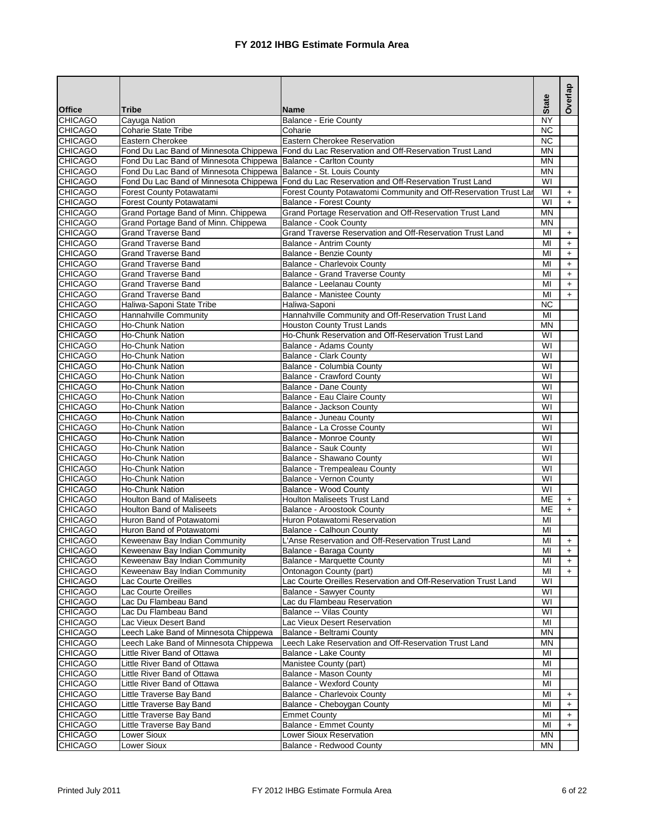|                                  |                                                                   |                                                                                                                                 | <b>State</b>                 | Overlap   |
|----------------------------------|-------------------------------------------------------------------|---------------------------------------------------------------------------------------------------------------------------------|------------------------------|-----------|
| <b>Office</b>                    | <b>Tribe</b>                                                      | <b>Name</b>                                                                                                                     |                              |           |
| <b>CHICAGO</b>                   | Cayuga Nation                                                     | <b>Balance - Erie County</b>                                                                                                    | $\overline{\text{NY}}$       |           |
| <b>CHICAGO</b>                   | <b>Coharie State Tribe</b>                                        | Coharie                                                                                                                         | $\overline{NC}$              |           |
| <b>CHICAGO</b><br><b>CHICAGO</b> | Eastern Cherokee                                                  | Eastern Cherokee Reservation<br>Fond Du Lac Band of Minnesota Chippewa   Fond du Lac Reservation and Off-Reservation Trust Land | $\overline{NC}$<br><b>MN</b> |           |
| <b>CHICAGO</b>                   | Fond Du Lac Band of Minnesota Chippewa Balance - Carlton County   |                                                                                                                                 | <b>MN</b>                    |           |
| <b>CHICAGO</b>                   | Fond Du Lac Band of Minnesota Chippewa Balance - St. Louis County |                                                                                                                                 | <b>MN</b>                    |           |
| <b>CHICAGO</b>                   |                                                                   | Fond Du Lac Band of Minnesota Chippewa   Fond du Lac Reservation and Off-Reservation Trust Land                                 | WI                           |           |
| <b>CHICAGO</b>                   | Forest County Potawatami                                          | Forest County Potawatomi Community and Off-Reservation Trust Lar                                                                | WI                           | $+$       |
| <b>CHICAGO</b>                   | Forest County Potawatami                                          | <b>Balance - Forest County</b>                                                                                                  | WI                           | $+$       |
| <b>CHICAGO</b>                   | Grand Portage Band of Minn. Chippewa                              | Grand Portage Reservation and Off-Reservation Trust Land                                                                        | <b>MN</b>                    |           |
| <b>CHICAGO</b>                   | Grand Portage Band of Minn. Chippewa                              | <b>Balance - Cook County</b>                                                                                                    | <b>MN</b>                    |           |
| <b>CHICAGO</b>                   | <b>Grand Traverse Band</b>                                        | Grand Traverse Reservation and Off-Reservation Trust Land                                                                       | MI                           | $\ddot{}$ |
| <b>CHICAGO</b>                   | <b>Grand Traverse Band</b>                                        | <b>Balance - Antrim County</b>                                                                                                  | MI                           | $\ddot{}$ |
| <b>CHICAGO</b>                   | <b>Grand Traverse Band</b>                                        | Balance - Benzie County                                                                                                         | MI                           | $\ddot{}$ |
| <b>CHICAGO</b>                   | Grand Traverse Band                                               | <b>Balance - Charlevoix County</b>                                                                                              | MI                           | $\ddot{}$ |
| <b>CHICAGO</b>                   | <b>Grand Traverse Band</b>                                        | <b>Balance - Grand Traverse County</b>                                                                                          | MI                           | $+$       |
| <b>CHICAGO</b>                   | <b>Grand Traverse Band</b>                                        | Balance - Leelanau County                                                                                                       | MI                           | $\ddot{}$ |
| <b>CHICAGO</b><br><b>CHICAGO</b> | <b>Grand Traverse Band</b><br>Haliwa-Saponi State Tribe           | <b>Balance - Manistee County</b><br>Haliwa-Saponi                                                                               | MI<br><b>NC</b>              | $+$       |
| <b>CHICAGO</b>                   | <b>Hannahville Community</b>                                      | Hannahville Community and Off-Reservation Trust Land                                                                            | MI                           |           |
| <b>CHICAGO</b>                   | <b>Ho-Chunk Nation</b>                                            | <b>Houston County Trust Lands</b>                                                                                               | <b>MN</b>                    |           |
| <b>CHICAGO</b>                   | <b>Ho-Chunk Nation</b>                                            | Ho-Chunk Reservation and Off-Reservation Trust Land                                                                             | WI                           |           |
| <b>CHICAGO</b>                   | <b>Ho-Chunk Nation</b>                                            | Balance - Adams County                                                                                                          | WI                           |           |
| <b>CHICAGO</b>                   | <b>Ho-Chunk Nation</b>                                            | <b>Balance - Clark County</b>                                                                                                   | $\overline{\mathsf{W}}$      |           |
| <b>CHICAGO</b>                   | <b>Ho-Chunk Nation</b>                                            | Balance - Columbia County                                                                                                       | WI                           |           |
| <b>CHICAGO</b>                   | <b>Ho-Chunk Nation</b>                                            | <b>Balance - Crawford County</b>                                                                                                | $\overline{\mathsf{W}}$      |           |
| <b>CHICAGO</b>                   | <b>Ho-Chunk Nation</b>                                            | <b>Balance - Dane County</b>                                                                                                    | WI                           |           |
| <b>CHICAGO</b>                   | <b>Ho-Chunk Nation</b>                                            | Balance - Eau Claire County                                                                                                     | $\overline{\mathsf{W}}$      |           |
| <b>CHICAGO</b>                   | <b>Ho-Chunk Nation</b>                                            | Balance - Jackson County                                                                                                        | WI                           |           |
| <b>CHICAGO</b>                   | <b>Ho-Chunk Nation</b>                                            | Balance - Juneau County                                                                                                         | WI                           |           |
| <b>CHICAGO</b>                   | <b>Ho-Chunk Nation</b>                                            | Balance - La Crosse County                                                                                                      | WI                           |           |
| <b>CHICAGO</b>                   | Ho-Chunk Nation                                                   | <b>Balance - Monroe County</b>                                                                                                  | WI                           |           |
| <b>CHICAGO</b>                   | <b>Ho-Chunk Nation</b>                                            | <b>Balance - Sauk County</b>                                                                                                    | WI                           |           |
| <b>CHICAGO</b><br><b>CHICAGO</b> | <b>Ho-Chunk Nation</b><br><b>Ho-Chunk Nation</b>                  | Balance - Shawano County<br>Balance - Trempealeau County                                                                        | WI<br>WI                     |           |
| <b>CHICAGO</b>                   | <b>Ho-Chunk Nation</b>                                            | <b>Balance - Vernon County</b>                                                                                                  | WI                           |           |
| <b>CHICAGO</b>                   | <b>Ho-Chunk Nation</b>                                            | Balance - Wood County                                                                                                           | $\overline{W}$               |           |
| <b>CHICAGO</b>                   | <b>Houlton Band of Maliseets</b>                                  | <b>Houlton Maliseets Trust Land</b>                                                                                             | ME                           | $\ddot{}$ |
| <b>CHICAGO</b>                   | <b>Houlton Band of Maliseets</b>                                  | Balance - Aroostook County                                                                                                      | ME                           | $+$       |
| <b>CHICAGO</b>                   | Huron Band of Potawatomi                                          | Huron Potawatomi Reservation                                                                                                    | MI                           |           |
| <b>CHICAGO</b>                   | Huron Band of Potawatomi                                          | Balance - Calhoun County                                                                                                        | MI                           |           |
| <b>CHICAGO</b>                   | Keweenaw Bay Indian Community                                     | L'Anse Reservation and Off-Reservation Trust Land                                                                               | MI                           | $+$       |
| <b>CHICAGO</b>                   | Keweenaw Bay Indian Community                                     | Balance - Baraga County                                                                                                         | МI                           | +         |
| <b>CHICAGO</b>                   | Keweenaw Bay Indian Community                                     | <b>Balance - Marquette County</b>                                                                                               | MI                           | $\ddot{}$ |
| <b>CHICAGO</b>                   | Keweenaw Bay Indian Community                                     | Ontonagon County (part)                                                                                                         | MI                           | $+$       |
| <b>CHICAGO</b>                   | Lac Courte Oreilles                                               | Lac Courte Oreilles Reservation and Off-Reservation Trust Land                                                                  | WI                           |           |
| <b>CHICAGO</b><br><b>CHICAGO</b> | Lac Courte Oreilles<br>Lac Du Flambeau Band                       | <b>Balance - Sawyer County</b><br>Lac du Flambeau Reservation                                                                   | WI<br>WI                     |           |
| <b>CHICAGO</b>                   | Lac Du Flambeau Band                                              | <b>Balance -- Vilas County</b>                                                                                                  | WI                           |           |
| <b>CHICAGO</b>                   | Lac Vieux Desert Band                                             | Lac Vieux Desert Reservation                                                                                                    | MI                           |           |
| <b>CHICAGO</b>                   | Leech Lake Band of Minnesota Chippewa                             | Balance - Beltrami County                                                                                                       | <b>MN</b>                    |           |
| <b>CHICAGO</b>                   | Leech Lake Band of Minnesota Chippewa                             | Leech Lake Reservation and Off-Reservation Trust Land                                                                           | <b>MN</b>                    |           |
| <b>CHICAGO</b>                   | Little River Band of Ottawa                                       | Balance - Lake County                                                                                                           | MI                           |           |
| <b>CHICAGO</b>                   | Little River Band of Ottawa                                       | Manistee County (part)                                                                                                          | MI                           |           |
| <b>CHICAGO</b>                   | Little River Band of Ottawa                                       | <b>Balance - Mason County</b>                                                                                                   | MI                           |           |
| <b>CHICAGO</b>                   | Little River Band of Ottawa                                       | <b>Balance - Wexford County</b>                                                                                                 | MI                           |           |
| <b>CHICAGO</b>                   | Little Traverse Bay Band                                          | Balance - Charlevoix County                                                                                                     | MI                           | $\ddot{}$ |
| <b>CHICAGO</b>                   | Little Traverse Bay Band                                          | Balance - Cheboygan County                                                                                                      | MI                           | $+$       |
| <b>CHICAGO</b>                   | Little Traverse Bay Band                                          | <b>Emmet County</b>                                                                                                             | MI                           | $\ddot{}$ |
| <b>CHICAGO</b>                   | Little Traverse Bay Band                                          | <b>Balance - Emmet County</b>                                                                                                   | MI                           | $\ddot{}$ |
| <b>CHICAGO</b>                   | Lower Sioux                                                       | Lower Sioux Reservation                                                                                                         | <b>MN</b>                    |           |
| <b>CHICAGO</b>                   | Lower Sioux                                                       | Balance - Redwood County                                                                                                        | ΜN                           |           |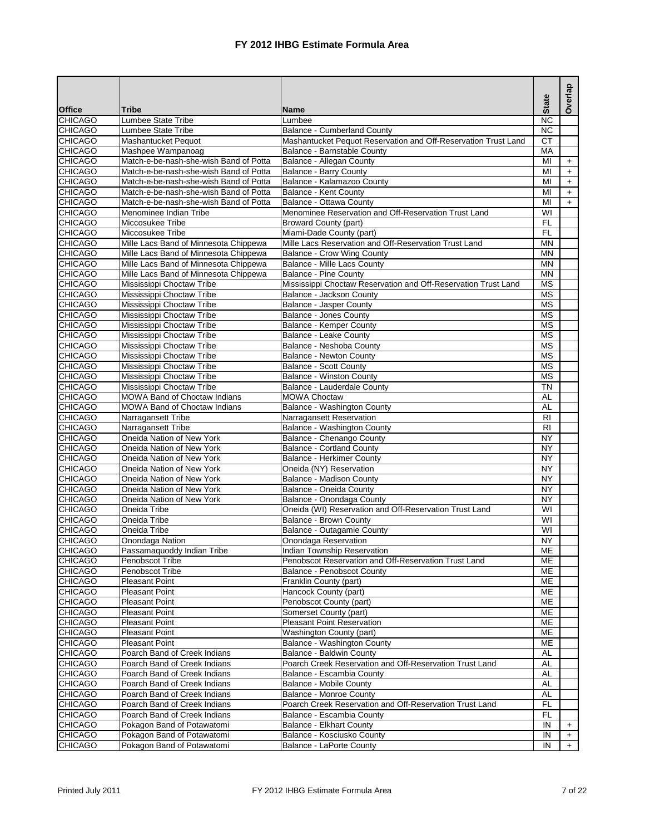|                                  |                                                                                  |                                                                                     | <b>State</b>            | Overlap   |
|----------------------------------|----------------------------------------------------------------------------------|-------------------------------------------------------------------------------------|-------------------------|-----------|
| <b>Office</b>                    | <b>Tribe</b>                                                                     | Name                                                                                |                         |           |
| <b>CHICAGO</b>                   | Lumbee State Tribe                                                               | Lumbee                                                                              | NC                      |           |
| <b>CHICAGO</b>                   | Lumbee State Tribe                                                               | <b>Balance - Cumberland County</b>                                                  | $\overline{NC}$         |           |
| <b>CHICAGO</b>                   | <b>Mashantucket Pequot</b>                                                       | Mashantucket Pequot Reservation and Off-Reservation Trust Land                      | <b>CT</b>               |           |
| <b>CHICAGO</b>                   | Mashpee Wampanoag                                                                | Balance - Barnstable County                                                         | MA                      |           |
| <b>CHICAGO</b>                   | Match-e-be-nash-she-wish Band of Potta                                           | Balance - Allegan County                                                            | MI                      | $+$       |
| <b>CHICAGO</b>                   | Match-e-be-nash-she-wish Band of Potta                                           | Balance - Barry County                                                              | MI                      | $+$       |
| <b>CHICAGO</b>                   | Match-e-be-nash-she-wish Band of Potta                                           | Balance - Kalamazoo County                                                          | MI                      | $\ddot{}$ |
| <b>CHICAGO</b>                   | Match-e-be-nash-she-wish Band of Potta<br>Match-e-be-nash-she-wish Band of Potta | Balance - Kent County<br><b>Balance - Ottawa County</b>                             | MI<br>$\overline{M}$    | $\pm$     |
| <b>CHICAGO</b><br><b>CHICAGO</b> | Menominee Indian Tribe                                                           | Menominee Reservation and Off-Reservation Trust Land                                | $\overline{\mathsf{W}}$ | $+$       |
| <b>CHICAGO</b>                   | Miccosukee Tribe                                                                 | <b>Broward County (part)</b>                                                        | <b>FL</b>               |           |
| <b>CHICAGO</b>                   | Miccosukee Tribe                                                                 | Miami-Dade County (part)                                                            | F <sub>L</sub>          |           |
| <b>CHICAGO</b>                   | Mille Lacs Band of Minnesota Chippewa                                            | Mille Lacs Reservation and Off-Reservation Trust Land                               | M <sub>N</sub>          |           |
| <b>CHICAGO</b>                   | Mille Lacs Band of Minnesota Chippewa                                            | Balance - Crow Wing County                                                          | <b>MN</b>               |           |
| <b>CHICAGO</b>                   | Mille Lacs Band of Minnesota Chippewa                                            | <b>Balance - Mille Lacs County</b>                                                  | <b>MN</b>               |           |
| <b>CHICAGO</b>                   | Mille Lacs Band of Minnesota Chippewa                                            | <b>Balance - Pine County</b>                                                        | <b>MN</b>               |           |
| <b>CHICAGO</b>                   | Mississippi Choctaw Tribe                                                        | Mississippi Choctaw Reservation and Off-Reservation Trust Land                      | <b>MS</b>               |           |
| <b>CHICAGO</b>                   | Mississippi Choctaw Tribe                                                        | Balance - Jackson County                                                            | <b>MS</b>               |           |
| <b>CHICAGO</b>                   | Mississippi Choctaw Tribe                                                        | <b>Balance - Jasper County</b>                                                      | <b>MS</b>               |           |
| <b>CHICAGO</b>                   | Mississippi Choctaw Tribe                                                        | Balance - Jones County                                                              | $\overline{\text{MS}}$  |           |
| <b>CHICAGO</b>                   | Mississippi Choctaw Tribe                                                        | Balance - Kemper County                                                             | <b>MS</b>               |           |
| <b>CHICAGO</b>                   | Mississippi Choctaw Tribe                                                        | Balance - Leake County                                                              | <b>MS</b>               |           |
| <b>CHICAGO</b>                   | Mississippi Choctaw Tribe                                                        | Balance - Neshoba County                                                            | <b>MS</b>               |           |
| <b>CHICAGO</b>                   | Mississippi Choctaw Tribe                                                        | <b>Balance - Newton County</b>                                                      | <b>MS</b>               |           |
| <b>CHICAGO</b>                   | Mississippi Choctaw Tribe                                                        | <b>Balance - Scott County</b>                                                       | <b>MS</b>               |           |
| <b>CHICAGO</b>                   | Mississippi Choctaw Tribe                                                        | <b>Balance - Winston County</b>                                                     | <b>MS</b>               |           |
| <b>CHICAGO</b>                   | Mississippi Choctaw Tribe                                                        | Balance - Lauderdale County                                                         | <b>TN</b>               |           |
| <b>CHICAGO</b>                   | <b>MOWA Band of Choctaw Indians</b>                                              | <b>MOWA Choctaw</b>                                                                 | <b>AL</b>               |           |
| <b>CHICAGO</b>                   | <b>MOWA Band of Choctaw Indians</b>                                              | Balance - Washington County                                                         | <b>AL</b>               |           |
| <b>CHICAGO</b>                   | Narragansett Tribe                                                               | Narragansett Reservation                                                            | $\overline{R}$          |           |
| <b>CHICAGO</b>                   | Narragansett Tribe                                                               | Balance - Washington County                                                         | R <sub>l</sub>          |           |
| <b>CHICAGO</b>                   | Oneida Nation of New York                                                        | Balance - Chenango County                                                           | <b>NY</b>               |           |
| <b>CHICAGO</b>                   | Oneida Nation of New York                                                        | <b>Balance - Cortland County</b>                                                    | $\overline{NY}$         |           |
| <b>CHICAGO</b>                   | Oneida Nation of New York                                                        | <b>Balance - Herkimer County</b>                                                    | <b>NY</b>               |           |
| <b>CHICAGO</b>                   | Oneida Nation of New York                                                        | Oneida (NY) Reservation                                                             | <b>NY</b>               |           |
| <b>CHICAGO</b>                   | Oneida Nation of New York                                                        | Balance - Madison County                                                            | <b>NY</b>               |           |
| <b>CHICAGO</b>                   | Oneida Nation of New York                                                        | Balance - Oneida County                                                             | $\overline{NY}$         |           |
| <b>CHICAGO</b>                   | Oneida Nation of New York                                                        | Balance - Onondaga County                                                           | <b>NY</b>               |           |
| <b>CHICAGO</b>                   | Oneida Tribe                                                                     | Oneida (WI) Reservation and Off-Reservation Trust Land                              | $\overline{\mathsf{W}}$ |           |
| <b>CHICAGO</b>                   | Oneida Tribe                                                                     | Balance - Brown County                                                              | $\overline{\mathsf{W}}$ |           |
| <b>CHICAGO</b>                   | Oneida Tribe                                                                     | Balance - Outagamie County                                                          | $\overline{\mathsf{W}}$ |           |
| <b>CHICAGO</b>                   | Onondaga Nation                                                                  | Onondaga Reservation                                                                | <b>NY</b>               |           |
| <b>CHICAGO</b><br><b>CHICAGO</b> | Passamaquoddy Indian Tribe<br>Penobscot Tribe                                    | Indian Township Reservation<br>Penobscot Reservation and Off-Reservation Trust Land | <b>ME</b><br>MЕ         |           |
| <b>CHICAGO</b>                   | Penobscot Tribe                                                                  | <b>Balance - Penobscot County</b>                                                   |                         |           |
| <b>CHICAGO</b>                   | <b>Pleasant Point</b>                                                            | Franklin County (part)                                                              | МE<br>ME                |           |
| <b>CHICAGO</b>                   | <b>Pleasant Point</b>                                                            | Hancock County (part)                                                               | ME                      |           |
| <b>CHICAGO</b>                   | Pleasant Point                                                                   | Penobscot County (part)                                                             | ME                      |           |
| <b>CHICAGO</b>                   | Pleasant Point                                                                   | Somerset County (part)                                                              | ME                      |           |
| <b>CHICAGO</b>                   | <b>Pleasant Point</b>                                                            | <b>Pleasant Point Reservation</b>                                                   | ME                      |           |
| <b>CHICAGO</b>                   | Pleasant Point                                                                   | Washington County (part)                                                            | ME                      |           |
| <b>CHICAGO</b>                   | <b>Pleasant Point</b>                                                            | <b>Balance - Washington County</b>                                                  | ME                      |           |
| <b>CHICAGO</b>                   | Poarch Band of Creek Indians                                                     | Balance - Baldwin County                                                            | AL                      |           |
| <b>CHICAGO</b>                   | Poarch Band of Creek Indians                                                     | Poarch Creek Reservation and Off-Reservation Trust Land                             | AL                      |           |
| <b>CHICAGO</b>                   | Poarch Band of Creek Indians                                                     | Balance - Escambia County                                                           | <b>AL</b>               |           |
| <b>CHICAGO</b>                   | Poarch Band of Creek Indians                                                     | Balance - Mobile County                                                             | AL                      |           |
| <b>CHICAGO</b>                   | Poarch Band of Creek Indians                                                     | <b>Balance - Monroe County</b>                                                      | <b>AL</b>               |           |
| <b>CHICAGO</b>                   | Poarch Band of Creek Indians                                                     | Poarch Creek Reservation and Off-Reservation Trust Land                             | FL                      |           |
| <b>CHICAGO</b>                   | Poarch Band of Creek Indians                                                     | Balance - Escambia County                                                           | FL.                     |           |
| <b>CHICAGO</b>                   | Pokagon Band of Potawatomi                                                       | <b>Balance - Elkhart County</b>                                                     | IN                      | $+$       |
| <b>CHICAGO</b>                   | Pokagon Band of Potawatomi                                                       | Balance - Kosciusko County                                                          | IN                      | $\ddot{}$ |
| <b>CHICAGO</b>                   | Pokagon Band of Potawatomi                                                       | Balance - LaPorte County                                                            | IN                      | $+$       |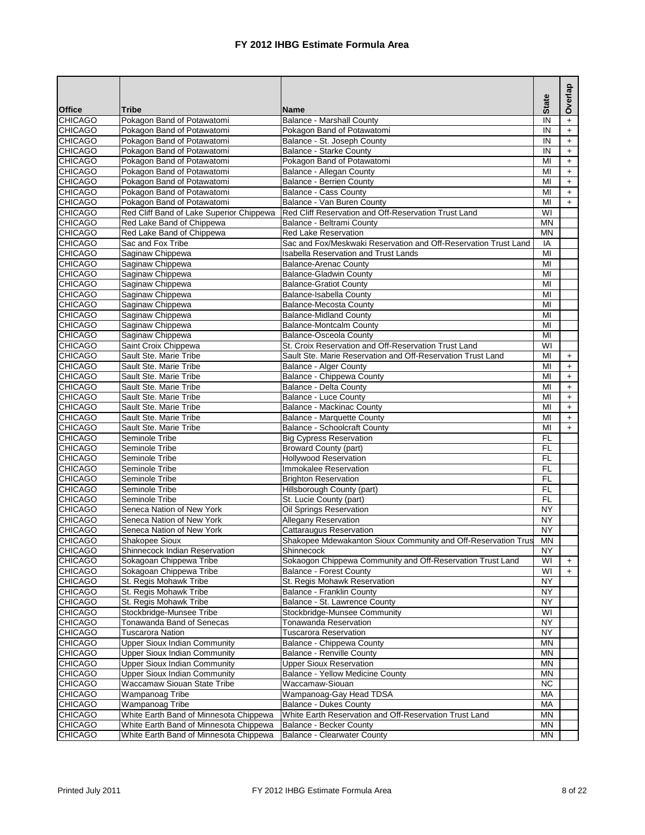| <b>Tribe</b><br><b>Name</b><br><b>CHICAGO</b><br>Pokagon Band of Potawatomi<br>IN<br><b>Balance - Marshall County</b><br>$\ddot{}$<br><b>CHICAGO</b><br>Pokagon Band of Potawatomi<br>Pokagon Band of Potawatomi<br>IN<br>$\ddot{}$<br><b>CHICAGO</b><br>Pokagon Band of Potawatomi<br>Balance - St. Joseph County<br>IN<br>$+$<br>Pokagon Band of Potawatomi<br>IN<br><b>CHICAGO</b><br><b>Balance - Starke County</b><br>$+$<br><b>CHICAGO</b><br>Pokagon Band of Potawatomi<br>Pokagon Band of Potawatomi<br>MI<br>$+$<br><b>CHICAGO</b><br>Pokagon Band of Potawatomi<br>Balance - Allegan County<br>MI<br>$+$<br><b>CHICAGO</b><br>Pokagon Band of Potawatomi<br><b>Balance - Berrien County</b><br>MI<br>$\ddot{}$<br><b>CHICAGO</b><br>Pokagon Band of Potawatomi<br><b>Balance - Cass County</b><br>MI<br>$+$<br><b>CHICAGO</b><br>Pokagon Band of Potawatomi<br>Balance - Van Buren County<br>MI<br>$+$<br>Red Cliff Reservation and Off-Reservation Trust Land<br>$\overline{\mathsf{W}}$<br><b>CHICAGO</b><br>Red Cliff Band of Lake Superior Chippewa<br><b>CHICAGO</b><br>Red Lake Band of Chippewa<br>Balance - Beltrami County<br><b>MN</b><br><b>CHICAGO</b><br>Red Lake Reservation<br><b>MN</b><br>Red Lake Band of Chippewa<br>Sac and Fox Tribe<br>Sac and Fox/Meskwaki Reservation and Off-Reservation Trust Land<br><b>CHICAGO</b><br>IA<br><b>CHICAGO</b><br>Saginaw Chippewa<br><b>Isabella Reservation and Trust Lands</b><br>MI<br><b>CHICAGO</b><br>Saginaw Chippewa<br>MI<br><b>Balance-Arenac County</b><br><b>CHICAGO</b><br>Saginaw Chippewa<br>MI<br><b>Balance-Gladwin County</b><br><b>CHICAGO</b><br>Saginaw Chippewa<br><b>Balance-Gratiot County</b><br>MI<br>Saginaw Chippewa<br><b>CHICAGO</b><br>Balance-Isabella County<br>MI<br><b>CHICAGO</b><br>Saginaw Chippewa<br>Balance-Mecosta County<br>MI<br>Saginaw Chippewa<br><b>CHICAGO</b><br><b>Balance-Midland County</b><br>MI<br><b>CHICAGO</b><br>Saginaw Chippewa<br><b>Balance-Montcalm County</b><br>MI<br>Saginaw Chippewa<br><b>CHICAGO</b><br><b>Balance-Osceola County</b><br>MI<br>St. Croix Reservation and Off-Reservation Trust Land<br>WI<br><b>CHICAGO</b><br>Saint Croix Chippewa<br><b>CHICAGO</b><br>Sault Ste. Marie Tribe<br>Sault Ste. Marie Reservation and Off-Reservation Trust Land<br>MI<br>$+$<br><b>CHICAGO</b><br>Sault Ste. Marie Tribe<br><b>Balance - Alger County</b><br>MI<br>$+$<br>Balance - Chippewa County<br><b>CHICAGO</b><br>Sault Ste. Marie Tribe<br>MI<br>$\ddot{}$<br><b>CHICAGO</b><br>Sault Ste. Marie Tribe<br>Balance - Delta County<br>MI<br>$\ddot{}$<br><b>CHICAGO</b><br>Sault Ste. Marie Tribe<br><b>Balance - Luce County</b><br>MI<br>$\ddot{}$<br><b>CHICAGO</b><br>Sault Ste. Marie Tribe<br><b>Balance - Mackinac County</b><br>MI<br>$+$<br><b>CHICAGO</b><br>Sault Ste. Marie Tribe<br>Balance - Marquette County<br>MI<br>$+$<br><b>CHICAGO</b><br><b>Balance - Schoolcraft County</b><br>MI<br>Sault Ste. Marie Tribe<br>$+$<br><b>CHICAGO</b><br><b>Big Cypress Reservation</b><br><b>FL</b><br>Seminole Tribe<br>F <sub>L</sub><br><b>CHICAGO</b><br>Seminole Tribe<br><b>Broward County (part)</b><br>FL<br><b>CHICAGO</b><br>Seminole Tribe<br><b>Hollywood Reservation</b><br>Immokalee Reservation<br><b>FL</b><br><b>CHICAGO</b><br>Seminole Tribe<br>F <sub>L</sub><br><b>CHICAGO</b><br>Seminole Tribe<br><b>Brighton Reservation</b><br><b>CHICAGO</b><br>F <sub>L</sub><br>Hillsborough County (part)<br>Seminole Tribe<br>F <sub>L</sub><br>Seminole Tribe<br>St. Lucie County (part)<br><b>CHICAGO</b><br>$\overline{NY}$<br><b>CHICAGO</b><br>Oil Springs Reservation<br>Seneca Nation of New York<br>$\overline{NY}$<br><b>CHICAGO</b><br>Seneca Nation of New York<br><b>Allegany Reservation</b><br><b>Cattaraugus Reservation</b><br><b>NY</b><br><b>CHICAGO</b><br>Seneca Nation of New York<br><b>CHICAGO</b><br><b>MN</b><br>Shakopee Sioux<br>Shakopee Mdewakanton Sioux Community and Off-Reservation Trus<br><b>CHICAGO</b><br>Shinnecock Indian Reservation<br>Shinnecock<br>ΝY<br>Sokaogon Chippewa Community and Off-Reservation Trust Land<br><b>CHICAGO</b><br>Sokagoan Chippewa Tribe<br>WI<br>$\ddot{}$<br><b>CHICAGO</b><br>WI<br>Sokagoan Chippewa Tribe<br><b>Balance - Forest County</b><br>$+$<br><b>NY</b><br><b>CHICAGO</b><br>St. Regis Mohawk Tribe<br>St. Regis Mohawk Reservation<br><b>NY</b><br><b>CHICAGO</b><br>St. Regis Mohawk Tribe<br>Balance - Franklin County<br><b>NY</b><br><b>CHICAGO</b><br>St. Regis Mohawk Tribe<br>Balance - St. Lawrence County<br>WI<br><b>CHICAGO</b><br>Stockbridge-Munsee Tribe<br>Stockbridge-Munsee Community<br><b>CHICAGO</b><br>Tonawanda Band of Senecas<br><b>NY</b><br><b>Tonawanda Reservation</b><br><b>CHICAGO</b><br><b>Tuscarora Nation</b><br><b>Tuscarora Reservation</b><br><b>NY</b><br><b>Upper Sioux Indian Community</b><br>Balance - Chippewa County<br><b>MN</b><br><b>CHICAGO</b><br><b>CHICAGO</b><br><b>Upper Sioux Indian Community</b><br><b>Balance - Renville County</b><br>MN<br><b>CHICAGO</b><br><b>Upper Sioux Indian Community</b><br><b>Upper Sioux Reservation</b><br>MN<br><b>CHICAGO</b><br><b>Upper Sioux Indian Community</b><br>Balance - Yellow Medicine County<br>MN<br>Waccamaw-Siouan<br><b>CHICAGO</b><br>Waccamaw Siouan State Tribe<br><b>NC</b><br>MA<br><b>CHICAGO</b><br>Wampanoag Tribe<br>Wampanoag-Gay Head TDSA<br><b>CHICAGO</b><br>MA<br>Wampanoag Tribe<br><b>Balance - Dukes County</b><br><b>CHICAGO</b><br>White Earth Band of Minnesota Chippewa<br>White Earth Reservation and Off-Reservation Trust Land<br><b>MN</b><br><b>CHICAGO</b><br>White Earth Band of Minnesota Chippewa<br>Balance - Becker County<br><b>MN</b> |                |                                        |                                    | <b>State</b> | Overlap |
|-------------------------------------------------------------------------------------------------------------------------------------------------------------------------------------------------------------------------------------------------------------------------------------------------------------------------------------------------------------------------------------------------------------------------------------------------------------------------------------------------------------------------------------------------------------------------------------------------------------------------------------------------------------------------------------------------------------------------------------------------------------------------------------------------------------------------------------------------------------------------------------------------------------------------------------------------------------------------------------------------------------------------------------------------------------------------------------------------------------------------------------------------------------------------------------------------------------------------------------------------------------------------------------------------------------------------------------------------------------------------------------------------------------------------------------------------------------------------------------------------------------------------------------------------------------------------------------------------------------------------------------------------------------------------------------------------------------------------------------------------------------------------------------------------------------------------------------------------------------------------------------------------------------------------------------------------------------------------------------------------------------------------------------------------------------------------------------------------------------------------------------------------------------------------------------------------------------------------------------------------------------------------------------------------------------------------------------------------------------------------------------------------------------------------------------------------------------------------------------------------------------------------------------------------------------------------------------------------------------------------------------------------------------------------------------------------------------------------------------------------------------------------------------------------------------------------------------------------------------------------------------------------------------------------------------------------------------------------------------------------------------------------------------------------------------------------------------------------------------------------------------------------------------------------------------------------------------------------------------------------------------------------------------------------------------------------------------------------------------------------------------------------------------------------------------------------------------------------------------------------------------------------------------------------------------------------------------------------------------------------------------------------------------------------------------------------------------------------------------------------------------------------------------------------------------------------------------------------------------------------------------------------------------------------------------------------------------------------------------------------------------------------------------------------------------------------------------------------------------------------------------------------------------------------------------------------------------------------------------------------------------------------------------------------------------------------------------------------------------------------------------------------------------------------------------------------------------------------------------------------------------------------------------------------------------------------------------------------------------------------------------------------------------------------------------------------------------------------------------------------------------------------------------------------------------------------------------------------------------------------------------------------------------------------------------------------------------------------------------------------------------------------------------------------------------------------------------------------------------------------------------------------------------------------------------------------------------------------------------------------------------------------------------------------------------------------------------------------------------------------------------------------------------------------------------------------------------------------------------------------------------------------------------------------------------------------------------------------------------------------------------------------------------------------------------------------------------------------------------|----------------|----------------------------------------|------------------------------------|--------------|---------|
|                                                                                                                                                                                                                                                                                                                                                                                                                                                                                                                                                                                                                                                                                                                                                                                                                                                                                                                                                                                                                                                                                                                                                                                                                                                                                                                                                                                                                                                                                                                                                                                                                                                                                                                                                                                                                                                                                                                                                                                                                                                                                                                                                                                                                                                                                                                                                                                                                                                                                                                                                                                                                                                                                                                                                                                                                                                                                                                                                                                                                                                                                                                                                                                                                                                                                                                                                                                                                                                                                                                                                                                                                                                                                                                                                                                                                                                                                                                                                                                                                                                                                                                                                                                                                                                                                                                                                                                                                                                                                                                                                                                                                                                                                                                                                                                                                                                                                                                                                                                                                                                                                                                                                                                                                                                                                                                                                                                                                                                                                                                                                                                                                                                                                                                                     | <b>Office</b>  |                                        |                                    |              |         |
|                                                                                                                                                                                                                                                                                                                                                                                                                                                                                                                                                                                                                                                                                                                                                                                                                                                                                                                                                                                                                                                                                                                                                                                                                                                                                                                                                                                                                                                                                                                                                                                                                                                                                                                                                                                                                                                                                                                                                                                                                                                                                                                                                                                                                                                                                                                                                                                                                                                                                                                                                                                                                                                                                                                                                                                                                                                                                                                                                                                                                                                                                                                                                                                                                                                                                                                                                                                                                                                                                                                                                                                                                                                                                                                                                                                                                                                                                                                                                                                                                                                                                                                                                                                                                                                                                                                                                                                                                                                                                                                                                                                                                                                                                                                                                                                                                                                                                                                                                                                                                                                                                                                                                                                                                                                                                                                                                                                                                                                                                                                                                                                                                                                                                                                                     |                |                                        |                                    |              |         |
|                                                                                                                                                                                                                                                                                                                                                                                                                                                                                                                                                                                                                                                                                                                                                                                                                                                                                                                                                                                                                                                                                                                                                                                                                                                                                                                                                                                                                                                                                                                                                                                                                                                                                                                                                                                                                                                                                                                                                                                                                                                                                                                                                                                                                                                                                                                                                                                                                                                                                                                                                                                                                                                                                                                                                                                                                                                                                                                                                                                                                                                                                                                                                                                                                                                                                                                                                                                                                                                                                                                                                                                                                                                                                                                                                                                                                                                                                                                                                                                                                                                                                                                                                                                                                                                                                                                                                                                                                                                                                                                                                                                                                                                                                                                                                                                                                                                                                                                                                                                                                                                                                                                                                                                                                                                                                                                                                                                                                                                                                                                                                                                                                                                                                                                                     |                |                                        |                                    |              |         |
|                                                                                                                                                                                                                                                                                                                                                                                                                                                                                                                                                                                                                                                                                                                                                                                                                                                                                                                                                                                                                                                                                                                                                                                                                                                                                                                                                                                                                                                                                                                                                                                                                                                                                                                                                                                                                                                                                                                                                                                                                                                                                                                                                                                                                                                                                                                                                                                                                                                                                                                                                                                                                                                                                                                                                                                                                                                                                                                                                                                                                                                                                                                                                                                                                                                                                                                                                                                                                                                                                                                                                                                                                                                                                                                                                                                                                                                                                                                                                                                                                                                                                                                                                                                                                                                                                                                                                                                                                                                                                                                                                                                                                                                                                                                                                                                                                                                                                                                                                                                                                                                                                                                                                                                                                                                                                                                                                                                                                                                                                                                                                                                                                                                                                                                                     |                |                                        |                                    |              |         |
|                                                                                                                                                                                                                                                                                                                                                                                                                                                                                                                                                                                                                                                                                                                                                                                                                                                                                                                                                                                                                                                                                                                                                                                                                                                                                                                                                                                                                                                                                                                                                                                                                                                                                                                                                                                                                                                                                                                                                                                                                                                                                                                                                                                                                                                                                                                                                                                                                                                                                                                                                                                                                                                                                                                                                                                                                                                                                                                                                                                                                                                                                                                                                                                                                                                                                                                                                                                                                                                                                                                                                                                                                                                                                                                                                                                                                                                                                                                                                                                                                                                                                                                                                                                                                                                                                                                                                                                                                                                                                                                                                                                                                                                                                                                                                                                                                                                                                                                                                                                                                                                                                                                                                                                                                                                                                                                                                                                                                                                                                                                                                                                                                                                                                                                                     |                |                                        |                                    |              |         |
|                                                                                                                                                                                                                                                                                                                                                                                                                                                                                                                                                                                                                                                                                                                                                                                                                                                                                                                                                                                                                                                                                                                                                                                                                                                                                                                                                                                                                                                                                                                                                                                                                                                                                                                                                                                                                                                                                                                                                                                                                                                                                                                                                                                                                                                                                                                                                                                                                                                                                                                                                                                                                                                                                                                                                                                                                                                                                                                                                                                                                                                                                                                                                                                                                                                                                                                                                                                                                                                                                                                                                                                                                                                                                                                                                                                                                                                                                                                                                                                                                                                                                                                                                                                                                                                                                                                                                                                                                                                                                                                                                                                                                                                                                                                                                                                                                                                                                                                                                                                                                                                                                                                                                                                                                                                                                                                                                                                                                                                                                                                                                                                                                                                                                                                                     |                |                                        |                                    |              |         |
|                                                                                                                                                                                                                                                                                                                                                                                                                                                                                                                                                                                                                                                                                                                                                                                                                                                                                                                                                                                                                                                                                                                                                                                                                                                                                                                                                                                                                                                                                                                                                                                                                                                                                                                                                                                                                                                                                                                                                                                                                                                                                                                                                                                                                                                                                                                                                                                                                                                                                                                                                                                                                                                                                                                                                                                                                                                                                                                                                                                                                                                                                                                                                                                                                                                                                                                                                                                                                                                                                                                                                                                                                                                                                                                                                                                                                                                                                                                                                                                                                                                                                                                                                                                                                                                                                                                                                                                                                                                                                                                                                                                                                                                                                                                                                                                                                                                                                                                                                                                                                                                                                                                                                                                                                                                                                                                                                                                                                                                                                                                                                                                                                                                                                                                                     |                |                                        |                                    |              |         |
|                                                                                                                                                                                                                                                                                                                                                                                                                                                                                                                                                                                                                                                                                                                                                                                                                                                                                                                                                                                                                                                                                                                                                                                                                                                                                                                                                                                                                                                                                                                                                                                                                                                                                                                                                                                                                                                                                                                                                                                                                                                                                                                                                                                                                                                                                                                                                                                                                                                                                                                                                                                                                                                                                                                                                                                                                                                                                                                                                                                                                                                                                                                                                                                                                                                                                                                                                                                                                                                                                                                                                                                                                                                                                                                                                                                                                                                                                                                                                                                                                                                                                                                                                                                                                                                                                                                                                                                                                                                                                                                                                                                                                                                                                                                                                                                                                                                                                                                                                                                                                                                                                                                                                                                                                                                                                                                                                                                                                                                                                                                                                                                                                                                                                                                                     |                |                                        |                                    |              |         |
|                                                                                                                                                                                                                                                                                                                                                                                                                                                                                                                                                                                                                                                                                                                                                                                                                                                                                                                                                                                                                                                                                                                                                                                                                                                                                                                                                                                                                                                                                                                                                                                                                                                                                                                                                                                                                                                                                                                                                                                                                                                                                                                                                                                                                                                                                                                                                                                                                                                                                                                                                                                                                                                                                                                                                                                                                                                                                                                                                                                                                                                                                                                                                                                                                                                                                                                                                                                                                                                                                                                                                                                                                                                                                                                                                                                                                                                                                                                                                                                                                                                                                                                                                                                                                                                                                                                                                                                                                                                                                                                                                                                                                                                                                                                                                                                                                                                                                                                                                                                                                                                                                                                                                                                                                                                                                                                                                                                                                                                                                                                                                                                                                                                                                                                                     |                |                                        |                                    |              |         |
|                                                                                                                                                                                                                                                                                                                                                                                                                                                                                                                                                                                                                                                                                                                                                                                                                                                                                                                                                                                                                                                                                                                                                                                                                                                                                                                                                                                                                                                                                                                                                                                                                                                                                                                                                                                                                                                                                                                                                                                                                                                                                                                                                                                                                                                                                                                                                                                                                                                                                                                                                                                                                                                                                                                                                                                                                                                                                                                                                                                                                                                                                                                                                                                                                                                                                                                                                                                                                                                                                                                                                                                                                                                                                                                                                                                                                                                                                                                                                                                                                                                                                                                                                                                                                                                                                                                                                                                                                                                                                                                                                                                                                                                                                                                                                                                                                                                                                                                                                                                                                                                                                                                                                                                                                                                                                                                                                                                                                                                                                                                                                                                                                                                                                                                                     |                |                                        |                                    |              |         |
|                                                                                                                                                                                                                                                                                                                                                                                                                                                                                                                                                                                                                                                                                                                                                                                                                                                                                                                                                                                                                                                                                                                                                                                                                                                                                                                                                                                                                                                                                                                                                                                                                                                                                                                                                                                                                                                                                                                                                                                                                                                                                                                                                                                                                                                                                                                                                                                                                                                                                                                                                                                                                                                                                                                                                                                                                                                                                                                                                                                                                                                                                                                                                                                                                                                                                                                                                                                                                                                                                                                                                                                                                                                                                                                                                                                                                                                                                                                                                                                                                                                                                                                                                                                                                                                                                                                                                                                                                                                                                                                                                                                                                                                                                                                                                                                                                                                                                                                                                                                                                                                                                                                                                                                                                                                                                                                                                                                                                                                                                                                                                                                                                                                                                                                                     |                |                                        |                                    |              |         |
|                                                                                                                                                                                                                                                                                                                                                                                                                                                                                                                                                                                                                                                                                                                                                                                                                                                                                                                                                                                                                                                                                                                                                                                                                                                                                                                                                                                                                                                                                                                                                                                                                                                                                                                                                                                                                                                                                                                                                                                                                                                                                                                                                                                                                                                                                                                                                                                                                                                                                                                                                                                                                                                                                                                                                                                                                                                                                                                                                                                                                                                                                                                                                                                                                                                                                                                                                                                                                                                                                                                                                                                                                                                                                                                                                                                                                                                                                                                                                                                                                                                                                                                                                                                                                                                                                                                                                                                                                                                                                                                                                                                                                                                                                                                                                                                                                                                                                                                                                                                                                                                                                                                                                                                                                                                                                                                                                                                                                                                                                                                                                                                                                                                                                                                                     |                |                                        |                                    |              |         |
|                                                                                                                                                                                                                                                                                                                                                                                                                                                                                                                                                                                                                                                                                                                                                                                                                                                                                                                                                                                                                                                                                                                                                                                                                                                                                                                                                                                                                                                                                                                                                                                                                                                                                                                                                                                                                                                                                                                                                                                                                                                                                                                                                                                                                                                                                                                                                                                                                                                                                                                                                                                                                                                                                                                                                                                                                                                                                                                                                                                                                                                                                                                                                                                                                                                                                                                                                                                                                                                                                                                                                                                                                                                                                                                                                                                                                                                                                                                                                                                                                                                                                                                                                                                                                                                                                                                                                                                                                                                                                                                                                                                                                                                                                                                                                                                                                                                                                                                                                                                                                                                                                                                                                                                                                                                                                                                                                                                                                                                                                                                                                                                                                                                                                                                                     |                |                                        |                                    |              |         |
|                                                                                                                                                                                                                                                                                                                                                                                                                                                                                                                                                                                                                                                                                                                                                                                                                                                                                                                                                                                                                                                                                                                                                                                                                                                                                                                                                                                                                                                                                                                                                                                                                                                                                                                                                                                                                                                                                                                                                                                                                                                                                                                                                                                                                                                                                                                                                                                                                                                                                                                                                                                                                                                                                                                                                                                                                                                                                                                                                                                                                                                                                                                                                                                                                                                                                                                                                                                                                                                                                                                                                                                                                                                                                                                                                                                                                                                                                                                                                                                                                                                                                                                                                                                                                                                                                                                                                                                                                                                                                                                                                                                                                                                                                                                                                                                                                                                                                                                                                                                                                                                                                                                                                                                                                                                                                                                                                                                                                                                                                                                                                                                                                                                                                                                                     |                |                                        |                                    |              |         |
|                                                                                                                                                                                                                                                                                                                                                                                                                                                                                                                                                                                                                                                                                                                                                                                                                                                                                                                                                                                                                                                                                                                                                                                                                                                                                                                                                                                                                                                                                                                                                                                                                                                                                                                                                                                                                                                                                                                                                                                                                                                                                                                                                                                                                                                                                                                                                                                                                                                                                                                                                                                                                                                                                                                                                                                                                                                                                                                                                                                                                                                                                                                                                                                                                                                                                                                                                                                                                                                                                                                                                                                                                                                                                                                                                                                                                                                                                                                                                                                                                                                                                                                                                                                                                                                                                                                                                                                                                                                                                                                                                                                                                                                                                                                                                                                                                                                                                                                                                                                                                                                                                                                                                                                                                                                                                                                                                                                                                                                                                                                                                                                                                                                                                                                                     |                |                                        |                                    |              |         |
|                                                                                                                                                                                                                                                                                                                                                                                                                                                                                                                                                                                                                                                                                                                                                                                                                                                                                                                                                                                                                                                                                                                                                                                                                                                                                                                                                                                                                                                                                                                                                                                                                                                                                                                                                                                                                                                                                                                                                                                                                                                                                                                                                                                                                                                                                                                                                                                                                                                                                                                                                                                                                                                                                                                                                                                                                                                                                                                                                                                                                                                                                                                                                                                                                                                                                                                                                                                                                                                                                                                                                                                                                                                                                                                                                                                                                                                                                                                                                                                                                                                                                                                                                                                                                                                                                                                                                                                                                                                                                                                                                                                                                                                                                                                                                                                                                                                                                                                                                                                                                                                                                                                                                                                                                                                                                                                                                                                                                                                                                                                                                                                                                                                                                                                                     |                |                                        |                                    |              |         |
|                                                                                                                                                                                                                                                                                                                                                                                                                                                                                                                                                                                                                                                                                                                                                                                                                                                                                                                                                                                                                                                                                                                                                                                                                                                                                                                                                                                                                                                                                                                                                                                                                                                                                                                                                                                                                                                                                                                                                                                                                                                                                                                                                                                                                                                                                                                                                                                                                                                                                                                                                                                                                                                                                                                                                                                                                                                                                                                                                                                                                                                                                                                                                                                                                                                                                                                                                                                                                                                                                                                                                                                                                                                                                                                                                                                                                                                                                                                                                                                                                                                                                                                                                                                                                                                                                                                                                                                                                                                                                                                                                                                                                                                                                                                                                                                                                                                                                                                                                                                                                                                                                                                                                                                                                                                                                                                                                                                                                                                                                                                                                                                                                                                                                                                                     |                |                                        |                                    |              |         |
|                                                                                                                                                                                                                                                                                                                                                                                                                                                                                                                                                                                                                                                                                                                                                                                                                                                                                                                                                                                                                                                                                                                                                                                                                                                                                                                                                                                                                                                                                                                                                                                                                                                                                                                                                                                                                                                                                                                                                                                                                                                                                                                                                                                                                                                                                                                                                                                                                                                                                                                                                                                                                                                                                                                                                                                                                                                                                                                                                                                                                                                                                                                                                                                                                                                                                                                                                                                                                                                                                                                                                                                                                                                                                                                                                                                                                                                                                                                                                                                                                                                                                                                                                                                                                                                                                                                                                                                                                                                                                                                                                                                                                                                                                                                                                                                                                                                                                                                                                                                                                                                                                                                                                                                                                                                                                                                                                                                                                                                                                                                                                                                                                                                                                                                                     |                |                                        |                                    |              |         |
|                                                                                                                                                                                                                                                                                                                                                                                                                                                                                                                                                                                                                                                                                                                                                                                                                                                                                                                                                                                                                                                                                                                                                                                                                                                                                                                                                                                                                                                                                                                                                                                                                                                                                                                                                                                                                                                                                                                                                                                                                                                                                                                                                                                                                                                                                                                                                                                                                                                                                                                                                                                                                                                                                                                                                                                                                                                                                                                                                                                                                                                                                                                                                                                                                                                                                                                                                                                                                                                                                                                                                                                                                                                                                                                                                                                                                                                                                                                                                                                                                                                                                                                                                                                                                                                                                                                                                                                                                                                                                                                                                                                                                                                                                                                                                                                                                                                                                                                                                                                                                                                                                                                                                                                                                                                                                                                                                                                                                                                                                                                                                                                                                                                                                                                                     |                |                                        |                                    |              |         |
|                                                                                                                                                                                                                                                                                                                                                                                                                                                                                                                                                                                                                                                                                                                                                                                                                                                                                                                                                                                                                                                                                                                                                                                                                                                                                                                                                                                                                                                                                                                                                                                                                                                                                                                                                                                                                                                                                                                                                                                                                                                                                                                                                                                                                                                                                                                                                                                                                                                                                                                                                                                                                                                                                                                                                                                                                                                                                                                                                                                                                                                                                                                                                                                                                                                                                                                                                                                                                                                                                                                                                                                                                                                                                                                                                                                                                                                                                                                                                                                                                                                                                                                                                                                                                                                                                                                                                                                                                                                                                                                                                                                                                                                                                                                                                                                                                                                                                                                                                                                                                                                                                                                                                                                                                                                                                                                                                                                                                                                                                                                                                                                                                                                                                                                                     |                |                                        |                                    |              |         |
|                                                                                                                                                                                                                                                                                                                                                                                                                                                                                                                                                                                                                                                                                                                                                                                                                                                                                                                                                                                                                                                                                                                                                                                                                                                                                                                                                                                                                                                                                                                                                                                                                                                                                                                                                                                                                                                                                                                                                                                                                                                                                                                                                                                                                                                                                                                                                                                                                                                                                                                                                                                                                                                                                                                                                                                                                                                                                                                                                                                                                                                                                                                                                                                                                                                                                                                                                                                                                                                                                                                                                                                                                                                                                                                                                                                                                                                                                                                                                                                                                                                                                                                                                                                                                                                                                                                                                                                                                                                                                                                                                                                                                                                                                                                                                                                                                                                                                                                                                                                                                                                                                                                                                                                                                                                                                                                                                                                                                                                                                                                                                                                                                                                                                                                                     |                |                                        |                                    |              |         |
|                                                                                                                                                                                                                                                                                                                                                                                                                                                                                                                                                                                                                                                                                                                                                                                                                                                                                                                                                                                                                                                                                                                                                                                                                                                                                                                                                                                                                                                                                                                                                                                                                                                                                                                                                                                                                                                                                                                                                                                                                                                                                                                                                                                                                                                                                                                                                                                                                                                                                                                                                                                                                                                                                                                                                                                                                                                                                                                                                                                                                                                                                                                                                                                                                                                                                                                                                                                                                                                                                                                                                                                                                                                                                                                                                                                                                                                                                                                                                                                                                                                                                                                                                                                                                                                                                                                                                                                                                                                                                                                                                                                                                                                                                                                                                                                                                                                                                                                                                                                                                                                                                                                                                                                                                                                                                                                                                                                                                                                                                                                                                                                                                                                                                                                                     |                |                                        |                                    |              |         |
|                                                                                                                                                                                                                                                                                                                                                                                                                                                                                                                                                                                                                                                                                                                                                                                                                                                                                                                                                                                                                                                                                                                                                                                                                                                                                                                                                                                                                                                                                                                                                                                                                                                                                                                                                                                                                                                                                                                                                                                                                                                                                                                                                                                                                                                                                                                                                                                                                                                                                                                                                                                                                                                                                                                                                                                                                                                                                                                                                                                                                                                                                                                                                                                                                                                                                                                                                                                                                                                                                                                                                                                                                                                                                                                                                                                                                                                                                                                                                                                                                                                                                                                                                                                                                                                                                                                                                                                                                                                                                                                                                                                                                                                                                                                                                                                                                                                                                                                                                                                                                                                                                                                                                                                                                                                                                                                                                                                                                                                                                                                                                                                                                                                                                                                                     |                |                                        |                                    |              |         |
|                                                                                                                                                                                                                                                                                                                                                                                                                                                                                                                                                                                                                                                                                                                                                                                                                                                                                                                                                                                                                                                                                                                                                                                                                                                                                                                                                                                                                                                                                                                                                                                                                                                                                                                                                                                                                                                                                                                                                                                                                                                                                                                                                                                                                                                                                                                                                                                                                                                                                                                                                                                                                                                                                                                                                                                                                                                                                                                                                                                                                                                                                                                                                                                                                                                                                                                                                                                                                                                                                                                                                                                                                                                                                                                                                                                                                                                                                                                                                                                                                                                                                                                                                                                                                                                                                                                                                                                                                                                                                                                                                                                                                                                                                                                                                                                                                                                                                                                                                                                                                                                                                                                                                                                                                                                                                                                                                                                                                                                                                                                                                                                                                                                                                                                                     |                |                                        |                                    |              |         |
|                                                                                                                                                                                                                                                                                                                                                                                                                                                                                                                                                                                                                                                                                                                                                                                                                                                                                                                                                                                                                                                                                                                                                                                                                                                                                                                                                                                                                                                                                                                                                                                                                                                                                                                                                                                                                                                                                                                                                                                                                                                                                                                                                                                                                                                                                                                                                                                                                                                                                                                                                                                                                                                                                                                                                                                                                                                                                                                                                                                                                                                                                                                                                                                                                                                                                                                                                                                                                                                                                                                                                                                                                                                                                                                                                                                                                                                                                                                                                                                                                                                                                                                                                                                                                                                                                                                                                                                                                                                                                                                                                                                                                                                                                                                                                                                                                                                                                                                                                                                                                                                                                                                                                                                                                                                                                                                                                                                                                                                                                                                                                                                                                                                                                                                                     |                |                                        |                                    |              |         |
|                                                                                                                                                                                                                                                                                                                                                                                                                                                                                                                                                                                                                                                                                                                                                                                                                                                                                                                                                                                                                                                                                                                                                                                                                                                                                                                                                                                                                                                                                                                                                                                                                                                                                                                                                                                                                                                                                                                                                                                                                                                                                                                                                                                                                                                                                                                                                                                                                                                                                                                                                                                                                                                                                                                                                                                                                                                                                                                                                                                                                                                                                                                                                                                                                                                                                                                                                                                                                                                                                                                                                                                                                                                                                                                                                                                                                                                                                                                                                                                                                                                                                                                                                                                                                                                                                                                                                                                                                                                                                                                                                                                                                                                                                                                                                                                                                                                                                                                                                                                                                                                                                                                                                                                                                                                                                                                                                                                                                                                                                                                                                                                                                                                                                                                                     |                |                                        |                                    |              |         |
|                                                                                                                                                                                                                                                                                                                                                                                                                                                                                                                                                                                                                                                                                                                                                                                                                                                                                                                                                                                                                                                                                                                                                                                                                                                                                                                                                                                                                                                                                                                                                                                                                                                                                                                                                                                                                                                                                                                                                                                                                                                                                                                                                                                                                                                                                                                                                                                                                                                                                                                                                                                                                                                                                                                                                                                                                                                                                                                                                                                                                                                                                                                                                                                                                                                                                                                                                                                                                                                                                                                                                                                                                                                                                                                                                                                                                                                                                                                                                                                                                                                                                                                                                                                                                                                                                                                                                                                                                                                                                                                                                                                                                                                                                                                                                                                                                                                                                                                                                                                                                                                                                                                                                                                                                                                                                                                                                                                                                                                                                                                                                                                                                                                                                                                                     |                |                                        |                                    |              |         |
|                                                                                                                                                                                                                                                                                                                                                                                                                                                                                                                                                                                                                                                                                                                                                                                                                                                                                                                                                                                                                                                                                                                                                                                                                                                                                                                                                                                                                                                                                                                                                                                                                                                                                                                                                                                                                                                                                                                                                                                                                                                                                                                                                                                                                                                                                                                                                                                                                                                                                                                                                                                                                                                                                                                                                                                                                                                                                                                                                                                                                                                                                                                                                                                                                                                                                                                                                                                                                                                                                                                                                                                                                                                                                                                                                                                                                                                                                                                                                                                                                                                                                                                                                                                                                                                                                                                                                                                                                                                                                                                                                                                                                                                                                                                                                                                                                                                                                                                                                                                                                                                                                                                                                                                                                                                                                                                                                                                                                                                                                                                                                                                                                                                                                                                                     |                |                                        |                                    |              |         |
|                                                                                                                                                                                                                                                                                                                                                                                                                                                                                                                                                                                                                                                                                                                                                                                                                                                                                                                                                                                                                                                                                                                                                                                                                                                                                                                                                                                                                                                                                                                                                                                                                                                                                                                                                                                                                                                                                                                                                                                                                                                                                                                                                                                                                                                                                                                                                                                                                                                                                                                                                                                                                                                                                                                                                                                                                                                                                                                                                                                                                                                                                                                                                                                                                                                                                                                                                                                                                                                                                                                                                                                                                                                                                                                                                                                                                                                                                                                                                                                                                                                                                                                                                                                                                                                                                                                                                                                                                                                                                                                                                                                                                                                                                                                                                                                                                                                                                                                                                                                                                                                                                                                                                                                                                                                                                                                                                                                                                                                                                                                                                                                                                                                                                                                                     |                |                                        |                                    |              |         |
|                                                                                                                                                                                                                                                                                                                                                                                                                                                                                                                                                                                                                                                                                                                                                                                                                                                                                                                                                                                                                                                                                                                                                                                                                                                                                                                                                                                                                                                                                                                                                                                                                                                                                                                                                                                                                                                                                                                                                                                                                                                                                                                                                                                                                                                                                                                                                                                                                                                                                                                                                                                                                                                                                                                                                                                                                                                                                                                                                                                                                                                                                                                                                                                                                                                                                                                                                                                                                                                                                                                                                                                                                                                                                                                                                                                                                                                                                                                                                                                                                                                                                                                                                                                                                                                                                                                                                                                                                                                                                                                                                                                                                                                                                                                                                                                                                                                                                                                                                                                                                                                                                                                                                                                                                                                                                                                                                                                                                                                                                                                                                                                                                                                                                                                                     |                |                                        |                                    |              |         |
|                                                                                                                                                                                                                                                                                                                                                                                                                                                                                                                                                                                                                                                                                                                                                                                                                                                                                                                                                                                                                                                                                                                                                                                                                                                                                                                                                                                                                                                                                                                                                                                                                                                                                                                                                                                                                                                                                                                                                                                                                                                                                                                                                                                                                                                                                                                                                                                                                                                                                                                                                                                                                                                                                                                                                                                                                                                                                                                                                                                                                                                                                                                                                                                                                                                                                                                                                                                                                                                                                                                                                                                                                                                                                                                                                                                                                                                                                                                                                                                                                                                                                                                                                                                                                                                                                                                                                                                                                                                                                                                                                                                                                                                                                                                                                                                                                                                                                                                                                                                                                                                                                                                                                                                                                                                                                                                                                                                                                                                                                                                                                                                                                                                                                                                                     |                |                                        |                                    |              |         |
|                                                                                                                                                                                                                                                                                                                                                                                                                                                                                                                                                                                                                                                                                                                                                                                                                                                                                                                                                                                                                                                                                                                                                                                                                                                                                                                                                                                                                                                                                                                                                                                                                                                                                                                                                                                                                                                                                                                                                                                                                                                                                                                                                                                                                                                                                                                                                                                                                                                                                                                                                                                                                                                                                                                                                                                                                                                                                                                                                                                                                                                                                                                                                                                                                                                                                                                                                                                                                                                                                                                                                                                                                                                                                                                                                                                                                                                                                                                                                                                                                                                                                                                                                                                                                                                                                                                                                                                                                                                                                                                                                                                                                                                                                                                                                                                                                                                                                                                                                                                                                                                                                                                                                                                                                                                                                                                                                                                                                                                                                                                                                                                                                                                                                                                                     |                |                                        |                                    |              |         |
|                                                                                                                                                                                                                                                                                                                                                                                                                                                                                                                                                                                                                                                                                                                                                                                                                                                                                                                                                                                                                                                                                                                                                                                                                                                                                                                                                                                                                                                                                                                                                                                                                                                                                                                                                                                                                                                                                                                                                                                                                                                                                                                                                                                                                                                                                                                                                                                                                                                                                                                                                                                                                                                                                                                                                                                                                                                                                                                                                                                                                                                                                                                                                                                                                                                                                                                                                                                                                                                                                                                                                                                                                                                                                                                                                                                                                                                                                                                                                                                                                                                                                                                                                                                                                                                                                                                                                                                                                                                                                                                                                                                                                                                                                                                                                                                                                                                                                                                                                                                                                                                                                                                                                                                                                                                                                                                                                                                                                                                                                                                                                                                                                                                                                                                                     |                |                                        |                                    |              |         |
|                                                                                                                                                                                                                                                                                                                                                                                                                                                                                                                                                                                                                                                                                                                                                                                                                                                                                                                                                                                                                                                                                                                                                                                                                                                                                                                                                                                                                                                                                                                                                                                                                                                                                                                                                                                                                                                                                                                                                                                                                                                                                                                                                                                                                                                                                                                                                                                                                                                                                                                                                                                                                                                                                                                                                                                                                                                                                                                                                                                                                                                                                                                                                                                                                                                                                                                                                                                                                                                                                                                                                                                                                                                                                                                                                                                                                                                                                                                                                                                                                                                                                                                                                                                                                                                                                                                                                                                                                                                                                                                                                                                                                                                                                                                                                                                                                                                                                                                                                                                                                                                                                                                                                                                                                                                                                                                                                                                                                                                                                                                                                                                                                                                                                                                                     |                |                                        |                                    |              |         |
|                                                                                                                                                                                                                                                                                                                                                                                                                                                                                                                                                                                                                                                                                                                                                                                                                                                                                                                                                                                                                                                                                                                                                                                                                                                                                                                                                                                                                                                                                                                                                                                                                                                                                                                                                                                                                                                                                                                                                                                                                                                                                                                                                                                                                                                                                                                                                                                                                                                                                                                                                                                                                                                                                                                                                                                                                                                                                                                                                                                                                                                                                                                                                                                                                                                                                                                                                                                                                                                                                                                                                                                                                                                                                                                                                                                                                                                                                                                                                                                                                                                                                                                                                                                                                                                                                                                                                                                                                                                                                                                                                                                                                                                                                                                                                                                                                                                                                                                                                                                                                                                                                                                                                                                                                                                                                                                                                                                                                                                                                                                                                                                                                                                                                                                                     |                |                                        |                                    |              |         |
|                                                                                                                                                                                                                                                                                                                                                                                                                                                                                                                                                                                                                                                                                                                                                                                                                                                                                                                                                                                                                                                                                                                                                                                                                                                                                                                                                                                                                                                                                                                                                                                                                                                                                                                                                                                                                                                                                                                                                                                                                                                                                                                                                                                                                                                                                                                                                                                                                                                                                                                                                                                                                                                                                                                                                                                                                                                                                                                                                                                                                                                                                                                                                                                                                                                                                                                                                                                                                                                                                                                                                                                                                                                                                                                                                                                                                                                                                                                                                                                                                                                                                                                                                                                                                                                                                                                                                                                                                                                                                                                                                                                                                                                                                                                                                                                                                                                                                                                                                                                                                                                                                                                                                                                                                                                                                                                                                                                                                                                                                                                                                                                                                                                                                                                                     |                |                                        |                                    |              |         |
|                                                                                                                                                                                                                                                                                                                                                                                                                                                                                                                                                                                                                                                                                                                                                                                                                                                                                                                                                                                                                                                                                                                                                                                                                                                                                                                                                                                                                                                                                                                                                                                                                                                                                                                                                                                                                                                                                                                                                                                                                                                                                                                                                                                                                                                                                                                                                                                                                                                                                                                                                                                                                                                                                                                                                                                                                                                                                                                                                                                                                                                                                                                                                                                                                                                                                                                                                                                                                                                                                                                                                                                                                                                                                                                                                                                                                                                                                                                                                                                                                                                                                                                                                                                                                                                                                                                                                                                                                                                                                                                                                                                                                                                                                                                                                                                                                                                                                                                                                                                                                                                                                                                                                                                                                                                                                                                                                                                                                                                                                                                                                                                                                                                                                                                                     |                |                                        |                                    |              |         |
|                                                                                                                                                                                                                                                                                                                                                                                                                                                                                                                                                                                                                                                                                                                                                                                                                                                                                                                                                                                                                                                                                                                                                                                                                                                                                                                                                                                                                                                                                                                                                                                                                                                                                                                                                                                                                                                                                                                                                                                                                                                                                                                                                                                                                                                                                                                                                                                                                                                                                                                                                                                                                                                                                                                                                                                                                                                                                                                                                                                                                                                                                                                                                                                                                                                                                                                                                                                                                                                                                                                                                                                                                                                                                                                                                                                                                                                                                                                                                                                                                                                                                                                                                                                                                                                                                                                                                                                                                                                                                                                                                                                                                                                                                                                                                                                                                                                                                                                                                                                                                                                                                                                                                                                                                                                                                                                                                                                                                                                                                                                                                                                                                                                                                                                                     |                |                                        |                                    |              |         |
|                                                                                                                                                                                                                                                                                                                                                                                                                                                                                                                                                                                                                                                                                                                                                                                                                                                                                                                                                                                                                                                                                                                                                                                                                                                                                                                                                                                                                                                                                                                                                                                                                                                                                                                                                                                                                                                                                                                                                                                                                                                                                                                                                                                                                                                                                                                                                                                                                                                                                                                                                                                                                                                                                                                                                                                                                                                                                                                                                                                                                                                                                                                                                                                                                                                                                                                                                                                                                                                                                                                                                                                                                                                                                                                                                                                                                                                                                                                                                                                                                                                                                                                                                                                                                                                                                                                                                                                                                                                                                                                                                                                                                                                                                                                                                                                                                                                                                                                                                                                                                                                                                                                                                                                                                                                                                                                                                                                                                                                                                                                                                                                                                                                                                                                                     |                |                                        |                                    |              |         |
|                                                                                                                                                                                                                                                                                                                                                                                                                                                                                                                                                                                                                                                                                                                                                                                                                                                                                                                                                                                                                                                                                                                                                                                                                                                                                                                                                                                                                                                                                                                                                                                                                                                                                                                                                                                                                                                                                                                                                                                                                                                                                                                                                                                                                                                                                                                                                                                                                                                                                                                                                                                                                                                                                                                                                                                                                                                                                                                                                                                                                                                                                                                                                                                                                                                                                                                                                                                                                                                                                                                                                                                                                                                                                                                                                                                                                                                                                                                                                                                                                                                                                                                                                                                                                                                                                                                                                                                                                                                                                                                                                                                                                                                                                                                                                                                                                                                                                                                                                                                                                                                                                                                                                                                                                                                                                                                                                                                                                                                                                                                                                                                                                                                                                                                                     |                |                                        |                                    |              |         |
|                                                                                                                                                                                                                                                                                                                                                                                                                                                                                                                                                                                                                                                                                                                                                                                                                                                                                                                                                                                                                                                                                                                                                                                                                                                                                                                                                                                                                                                                                                                                                                                                                                                                                                                                                                                                                                                                                                                                                                                                                                                                                                                                                                                                                                                                                                                                                                                                                                                                                                                                                                                                                                                                                                                                                                                                                                                                                                                                                                                                                                                                                                                                                                                                                                                                                                                                                                                                                                                                                                                                                                                                                                                                                                                                                                                                                                                                                                                                                                                                                                                                                                                                                                                                                                                                                                                                                                                                                                                                                                                                                                                                                                                                                                                                                                                                                                                                                                                                                                                                                                                                                                                                                                                                                                                                                                                                                                                                                                                                                                                                                                                                                                                                                                                                     |                |                                        |                                    |              |         |
|                                                                                                                                                                                                                                                                                                                                                                                                                                                                                                                                                                                                                                                                                                                                                                                                                                                                                                                                                                                                                                                                                                                                                                                                                                                                                                                                                                                                                                                                                                                                                                                                                                                                                                                                                                                                                                                                                                                                                                                                                                                                                                                                                                                                                                                                                                                                                                                                                                                                                                                                                                                                                                                                                                                                                                                                                                                                                                                                                                                                                                                                                                                                                                                                                                                                                                                                                                                                                                                                                                                                                                                                                                                                                                                                                                                                                                                                                                                                                                                                                                                                                                                                                                                                                                                                                                                                                                                                                                                                                                                                                                                                                                                                                                                                                                                                                                                                                                                                                                                                                                                                                                                                                                                                                                                                                                                                                                                                                                                                                                                                                                                                                                                                                                                                     |                |                                        |                                    |              |         |
|                                                                                                                                                                                                                                                                                                                                                                                                                                                                                                                                                                                                                                                                                                                                                                                                                                                                                                                                                                                                                                                                                                                                                                                                                                                                                                                                                                                                                                                                                                                                                                                                                                                                                                                                                                                                                                                                                                                                                                                                                                                                                                                                                                                                                                                                                                                                                                                                                                                                                                                                                                                                                                                                                                                                                                                                                                                                                                                                                                                                                                                                                                                                                                                                                                                                                                                                                                                                                                                                                                                                                                                                                                                                                                                                                                                                                                                                                                                                                                                                                                                                                                                                                                                                                                                                                                                                                                                                                                                                                                                                                                                                                                                                                                                                                                                                                                                                                                                                                                                                                                                                                                                                                                                                                                                                                                                                                                                                                                                                                                                                                                                                                                                                                                                                     |                |                                        |                                    |              |         |
|                                                                                                                                                                                                                                                                                                                                                                                                                                                                                                                                                                                                                                                                                                                                                                                                                                                                                                                                                                                                                                                                                                                                                                                                                                                                                                                                                                                                                                                                                                                                                                                                                                                                                                                                                                                                                                                                                                                                                                                                                                                                                                                                                                                                                                                                                                                                                                                                                                                                                                                                                                                                                                                                                                                                                                                                                                                                                                                                                                                                                                                                                                                                                                                                                                                                                                                                                                                                                                                                                                                                                                                                                                                                                                                                                                                                                                                                                                                                                                                                                                                                                                                                                                                                                                                                                                                                                                                                                                                                                                                                                                                                                                                                                                                                                                                                                                                                                                                                                                                                                                                                                                                                                                                                                                                                                                                                                                                                                                                                                                                                                                                                                                                                                                                                     |                |                                        |                                    |              |         |
|                                                                                                                                                                                                                                                                                                                                                                                                                                                                                                                                                                                                                                                                                                                                                                                                                                                                                                                                                                                                                                                                                                                                                                                                                                                                                                                                                                                                                                                                                                                                                                                                                                                                                                                                                                                                                                                                                                                                                                                                                                                                                                                                                                                                                                                                                                                                                                                                                                                                                                                                                                                                                                                                                                                                                                                                                                                                                                                                                                                                                                                                                                                                                                                                                                                                                                                                                                                                                                                                                                                                                                                                                                                                                                                                                                                                                                                                                                                                                                                                                                                                                                                                                                                                                                                                                                                                                                                                                                                                                                                                                                                                                                                                                                                                                                                                                                                                                                                                                                                                                                                                                                                                                                                                                                                                                                                                                                                                                                                                                                                                                                                                                                                                                                                                     |                |                                        |                                    |              |         |
|                                                                                                                                                                                                                                                                                                                                                                                                                                                                                                                                                                                                                                                                                                                                                                                                                                                                                                                                                                                                                                                                                                                                                                                                                                                                                                                                                                                                                                                                                                                                                                                                                                                                                                                                                                                                                                                                                                                                                                                                                                                                                                                                                                                                                                                                                                                                                                                                                                                                                                                                                                                                                                                                                                                                                                                                                                                                                                                                                                                                                                                                                                                                                                                                                                                                                                                                                                                                                                                                                                                                                                                                                                                                                                                                                                                                                                                                                                                                                                                                                                                                                                                                                                                                                                                                                                                                                                                                                                                                                                                                                                                                                                                                                                                                                                                                                                                                                                                                                                                                                                                                                                                                                                                                                                                                                                                                                                                                                                                                                                                                                                                                                                                                                                                                     |                |                                        |                                    |              |         |
|                                                                                                                                                                                                                                                                                                                                                                                                                                                                                                                                                                                                                                                                                                                                                                                                                                                                                                                                                                                                                                                                                                                                                                                                                                                                                                                                                                                                                                                                                                                                                                                                                                                                                                                                                                                                                                                                                                                                                                                                                                                                                                                                                                                                                                                                                                                                                                                                                                                                                                                                                                                                                                                                                                                                                                                                                                                                                                                                                                                                                                                                                                                                                                                                                                                                                                                                                                                                                                                                                                                                                                                                                                                                                                                                                                                                                                                                                                                                                                                                                                                                                                                                                                                                                                                                                                                                                                                                                                                                                                                                                                                                                                                                                                                                                                                                                                                                                                                                                                                                                                                                                                                                                                                                                                                                                                                                                                                                                                                                                                                                                                                                                                                                                                                                     |                |                                        |                                    |              |         |
|                                                                                                                                                                                                                                                                                                                                                                                                                                                                                                                                                                                                                                                                                                                                                                                                                                                                                                                                                                                                                                                                                                                                                                                                                                                                                                                                                                                                                                                                                                                                                                                                                                                                                                                                                                                                                                                                                                                                                                                                                                                                                                                                                                                                                                                                                                                                                                                                                                                                                                                                                                                                                                                                                                                                                                                                                                                                                                                                                                                                                                                                                                                                                                                                                                                                                                                                                                                                                                                                                                                                                                                                                                                                                                                                                                                                                                                                                                                                                                                                                                                                                                                                                                                                                                                                                                                                                                                                                                                                                                                                                                                                                                                                                                                                                                                                                                                                                                                                                                                                                                                                                                                                                                                                                                                                                                                                                                                                                                                                                                                                                                                                                                                                                                                                     |                |                                        |                                    |              |         |
|                                                                                                                                                                                                                                                                                                                                                                                                                                                                                                                                                                                                                                                                                                                                                                                                                                                                                                                                                                                                                                                                                                                                                                                                                                                                                                                                                                                                                                                                                                                                                                                                                                                                                                                                                                                                                                                                                                                                                                                                                                                                                                                                                                                                                                                                                                                                                                                                                                                                                                                                                                                                                                                                                                                                                                                                                                                                                                                                                                                                                                                                                                                                                                                                                                                                                                                                                                                                                                                                                                                                                                                                                                                                                                                                                                                                                                                                                                                                                                                                                                                                                                                                                                                                                                                                                                                                                                                                                                                                                                                                                                                                                                                                                                                                                                                                                                                                                                                                                                                                                                                                                                                                                                                                                                                                                                                                                                                                                                                                                                                                                                                                                                                                                                                                     |                |                                        |                                    |              |         |
|                                                                                                                                                                                                                                                                                                                                                                                                                                                                                                                                                                                                                                                                                                                                                                                                                                                                                                                                                                                                                                                                                                                                                                                                                                                                                                                                                                                                                                                                                                                                                                                                                                                                                                                                                                                                                                                                                                                                                                                                                                                                                                                                                                                                                                                                                                                                                                                                                                                                                                                                                                                                                                                                                                                                                                                                                                                                                                                                                                                                                                                                                                                                                                                                                                                                                                                                                                                                                                                                                                                                                                                                                                                                                                                                                                                                                                                                                                                                                                                                                                                                                                                                                                                                                                                                                                                                                                                                                                                                                                                                                                                                                                                                                                                                                                                                                                                                                                                                                                                                                                                                                                                                                                                                                                                                                                                                                                                                                                                                                                                                                                                                                                                                                                                                     |                |                                        |                                    |              |         |
|                                                                                                                                                                                                                                                                                                                                                                                                                                                                                                                                                                                                                                                                                                                                                                                                                                                                                                                                                                                                                                                                                                                                                                                                                                                                                                                                                                                                                                                                                                                                                                                                                                                                                                                                                                                                                                                                                                                                                                                                                                                                                                                                                                                                                                                                                                                                                                                                                                                                                                                                                                                                                                                                                                                                                                                                                                                                                                                                                                                                                                                                                                                                                                                                                                                                                                                                                                                                                                                                                                                                                                                                                                                                                                                                                                                                                                                                                                                                                                                                                                                                                                                                                                                                                                                                                                                                                                                                                                                                                                                                                                                                                                                                                                                                                                                                                                                                                                                                                                                                                                                                                                                                                                                                                                                                                                                                                                                                                                                                                                                                                                                                                                                                                                                                     |                |                                        |                                    |              |         |
|                                                                                                                                                                                                                                                                                                                                                                                                                                                                                                                                                                                                                                                                                                                                                                                                                                                                                                                                                                                                                                                                                                                                                                                                                                                                                                                                                                                                                                                                                                                                                                                                                                                                                                                                                                                                                                                                                                                                                                                                                                                                                                                                                                                                                                                                                                                                                                                                                                                                                                                                                                                                                                                                                                                                                                                                                                                                                                                                                                                                                                                                                                                                                                                                                                                                                                                                                                                                                                                                                                                                                                                                                                                                                                                                                                                                                                                                                                                                                                                                                                                                                                                                                                                                                                                                                                                                                                                                                                                                                                                                                                                                                                                                                                                                                                                                                                                                                                                                                                                                                                                                                                                                                                                                                                                                                                                                                                                                                                                                                                                                                                                                                                                                                                                                     |                |                                        |                                    |              |         |
|                                                                                                                                                                                                                                                                                                                                                                                                                                                                                                                                                                                                                                                                                                                                                                                                                                                                                                                                                                                                                                                                                                                                                                                                                                                                                                                                                                                                                                                                                                                                                                                                                                                                                                                                                                                                                                                                                                                                                                                                                                                                                                                                                                                                                                                                                                                                                                                                                                                                                                                                                                                                                                                                                                                                                                                                                                                                                                                                                                                                                                                                                                                                                                                                                                                                                                                                                                                                                                                                                                                                                                                                                                                                                                                                                                                                                                                                                                                                                                                                                                                                                                                                                                                                                                                                                                                                                                                                                                                                                                                                                                                                                                                                                                                                                                                                                                                                                                                                                                                                                                                                                                                                                                                                                                                                                                                                                                                                                                                                                                                                                                                                                                                                                                                                     |                |                                        |                                    |              |         |
|                                                                                                                                                                                                                                                                                                                                                                                                                                                                                                                                                                                                                                                                                                                                                                                                                                                                                                                                                                                                                                                                                                                                                                                                                                                                                                                                                                                                                                                                                                                                                                                                                                                                                                                                                                                                                                                                                                                                                                                                                                                                                                                                                                                                                                                                                                                                                                                                                                                                                                                                                                                                                                                                                                                                                                                                                                                                                                                                                                                                                                                                                                                                                                                                                                                                                                                                                                                                                                                                                                                                                                                                                                                                                                                                                                                                                                                                                                                                                                                                                                                                                                                                                                                                                                                                                                                                                                                                                                                                                                                                                                                                                                                                                                                                                                                                                                                                                                                                                                                                                                                                                                                                                                                                                                                                                                                                                                                                                                                                                                                                                                                                                                                                                                                                     |                |                                        |                                    |              |         |
|                                                                                                                                                                                                                                                                                                                                                                                                                                                                                                                                                                                                                                                                                                                                                                                                                                                                                                                                                                                                                                                                                                                                                                                                                                                                                                                                                                                                                                                                                                                                                                                                                                                                                                                                                                                                                                                                                                                                                                                                                                                                                                                                                                                                                                                                                                                                                                                                                                                                                                                                                                                                                                                                                                                                                                                                                                                                                                                                                                                                                                                                                                                                                                                                                                                                                                                                                                                                                                                                                                                                                                                                                                                                                                                                                                                                                                                                                                                                                                                                                                                                                                                                                                                                                                                                                                                                                                                                                                                                                                                                                                                                                                                                                                                                                                                                                                                                                                                                                                                                                                                                                                                                                                                                                                                                                                                                                                                                                                                                                                                                                                                                                                                                                                                                     |                |                                        |                                    |              |         |
|                                                                                                                                                                                                                                                                                                                                                                                                                                                                                                                                                                                                                                                                                                                                                                                                                                                                                                                                                                                                                                                                                                                                                                                                                                                                                                                                                                                                                                                                                                                                                                                                                                                                                                                                                                                                                                                                                                                                                                                                                                                                                                                                                                                                                                                                                                                                                                                                                                                                                                                                                                                                                                                                                                                                                                                                                                                                                                                                                                                                                                                                                                                                                                                                                                                                                                                                                                                                                                                                                                                                                                                                                                                                                                                                                                                                                                                                                                                                                                                                                                                                                                                                                                                                                                                                                                                                                                                                                                                                                                                                                                                                                                                                                                                                                                                                                                                                                                                                                                                                                                                                                                                                                                                                                                                                                                                                                                                                                                                                                                                                                                                                                                                                                                                                     |                |                                        |                                    |              |         |
|                                                                                                                                                                                                                                                                                                                                                                                                                                                                                                                                                                                                                                                                                                                                                                                                                                                                                                                                                                                                                                                                                                                                                                                                                                                                                                                                                                                                                                                                                                                                                                                                                                                                                                                                                                                                                                                                                                                                                                                                                                                                                                                                                                                                                                                                                                                                                                                                                                                                                                                                                                                                                                                                                                                                                                                                                                                                                                                                                                                                                                                                                                                                                                                                                                                                                                                                                                                                                                                                                                                                                                                                                                                                                                                                                                                                                                                                                                                                                                                                                                                                                                                                                                                                                                                                                                                                                                                                                                                                                                                                                                                                                                                                                                                                                                                                                                                                                                                                                                                                                                                                                                                                                                                                                                                                                                                                                                                                                                                                                                                                                                                                                                                                                                                                     |                |                                        |                                    |              |         |
|                                                                                                                                                                                                                                                                                                                                                                                                                                                                                                                                                                                                                                                                                                                                                                                                                                                                                                                                                                                                                                                                                                                                                                                                                                                                                                                                                                                                                                                                                                                                                                                                                                                                                                                                                                                                                                                                                                                                                                                                                                                                                                                                                                                                                                                                                                                                                                                                                                                                                                                                                                                                                                                                                                                                                                                                                                                                                                                                                                                                                                                                                                                                                                                                                                                                                                                                                                                                                                                                                                                                                                                                                                                                                                                                                                                                                                                                                                                                                                                                                                                                                                                                                                                                                                                                                                                                                                                                                                                                                                                                                                                                                                                                                                                                                                                                                                                                                                                                                                                                                                                                                                                                                                                                                                                                                                                                                                                                                                                                                                                                                                                                                                                                                                                                     |                |                                        |                                    |              |         |
|                                                                                                                                                                                                                                                                                                                                                                                                                                                                                                                                                                                                                                                                                                                                                                                                                                                                                                                                                                                                                                                                                                                                                                                                                                                                                                                                                                                                                                                                                                                                                                                                                                                                                                                                                                                                                                                                                                                                                                                                                                                                                                                                                                                                                                                                                                                                                                                                                                                                                                                                                                                                                                                                                                                                                                                                                                                                                                                                                                                                                                                                                                                                                                                                                                                                                                                                                                                                                                                                                                                                                                                                                                                                                                                                                                                                                                                                                                                                                                                                                                                                                                                                                                                                                                                                                                                                                                                                                                                                                                                                                                                                                                                                                                                                                                                                                                                                                                                                                                                                                                                                                                                                                                                                                                                                                                                                                                                                                                                                                                                                                                                                                                                                                                                                     |                |                                        |                                    |              |         |
|                                                                                                                                                                                                                                                                                                                                                                                                                                                                                                                                                                                                                                                                                                                                                                                                                                                                                                                                                                                                                                                                                                                                                                                                                                                                                                                                                                                                                                                                                                                                                                                                                                                                                                                                                                                                                                                                                                                                                                                                                                                                                                                                                                                                                                                                                                                                                                                                                                                                                                                                                                                                                                                                                                                                                                                                                                                                                                                                                                                                                                                                                                                                                                                                                                                                                                                                                                                                                                                                                                                                                                                                                                                                                                                                                                                                                                                                                                                                                                                                                                                                                                                                                                                                                                                                                                                                                                                                                                                                                                                                                                                                                                                                                                                                                                                                                                                                                                                                                                                                                                                                                                                                                                                                                                                                                                                                                                                                                                                                                                                                                                                                                                                                                                                                     |                |                                        |                                    |              |         |
|                                                                                                                                                                                                                                                                                                                                                                                                                                                                                                                                                                                                                                                                                                                                                                                                                                                                                                                                                                                                                                                                                                                                                                                                                                                                                                                                                                                                                                                                                                                                                                                                                                                                                                                                                                                                                                                                                                                                                                                                                                                                                                                                                                                                                                                                                                                                                                                                                                                                                                                                                                                                                                                                                                                                                                                                                                                                                                                                                                                                                                                                                                                                                                                                                                                                                                                                                                                                                                                                                                                                                                                                                                                                                                                                                                                                                                                                                                                                                                                                                                                                                                                                                                                                                                                                                                                                                                                                                                                                                                                                                                                                                                                                                                                                                                                                                                                                                                                                                                                                                                                                                                                                                                                                                                                                                                                                                                                                                                                                                                                                                                                                                                                                                                                                     | <b>CHICAGO</b> | White Earth Band of Minnesota Chippewa | <b>Balance - Clearwater County</b> | MN           |         |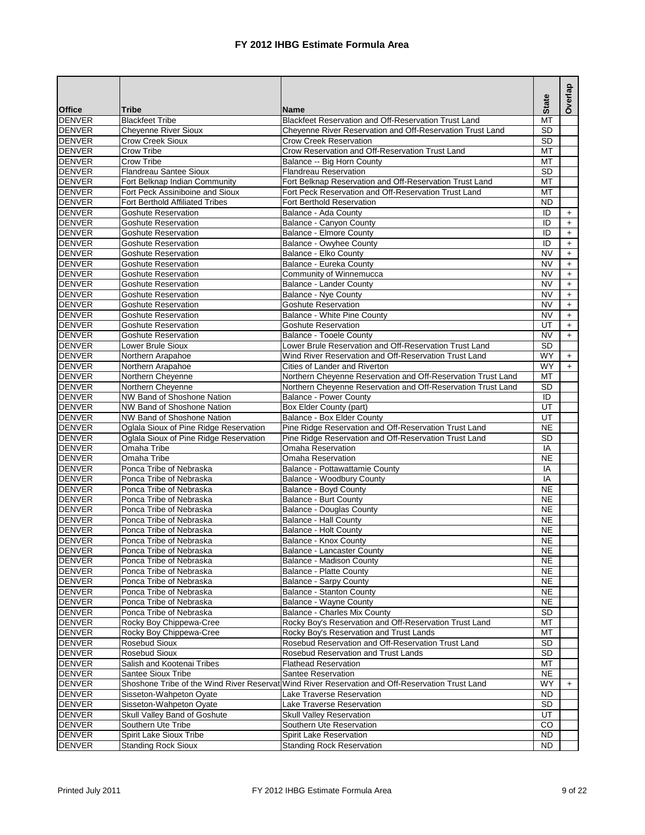|                                                        |                                                          |                                                                                                 |                        | Overlap    |
|--------------------------------------------------------|----------------------------------------------------------|-------------------------------------------------------------------------------------------------|------------------------|------------|
| <b>Office</b><br><b>Tribe</b>                          |                                                          | <b>Name</b>                                                                                     | <b>State</b>           |            |
| <b>Blackfeet Tribe</b><br><b>DENVER</b>                |                                                          | Blackfeet Reservation and Off-Reservation Trust Land                                            | $\overline{MT}$        |            |
| <b>DENVER</b>                                          | <b>Cheyenne River Sioux</b>                              | Cheyenne River Reservation and Off-Reservation Trust Land                                       | SD                     |            |
| <b>DENVER</b><br><b>Crow Creek Sioux</b>               |                                                          | <b>Crow Creek Reservation</b>                                                                   | <b>SD</b>              |            |
| <b>DENVER</b><br>Crow Tribe                            |                                                          | Crow Reservation and Off-Reservation Trust Land                                                 | MT                     |            |
| <b>DENVER</b><br><b>Crow Tribe</b>                     |                                                          | Balance -- Big Horn County                                                                      | МT                     |            |
| <b>DENVER</b>                                          | <b>Flandreau Santee Sioux</b>                            | <b>Flandreau Reservation</b>                                                                    | $\overline{SD}$        |            |
| <b>DENVER</b>                                          | Fort Belknap Indian Community                            | Fort Belknap Reservation and Off-Reservation Trust Land                                         | MT                     |            |
| <b>DENVER</b>                                          | Fort Peck Assiniboine and Sioux                          | Fort Peck Reservation and Off-Reservation Trust Land                                            | MT                     |            |
| <b>DENVER</b>                                          | Fort Berthold Affiliated Tribes                          | Fort Berthold Reservation                                                                       | <b>ND</b>              |            |
| <b>DENVER</b>                                          | <b>Goshute Reservation</b>                               | Balance - Ada County                                                                            | ID                     | $+$        |
| <b>DENVER</b>                                          | <b>Goshute Reservation</b>                               | Balance - Canyon County                                                                         | ID                     | $+$        |
| <b>DENVER</b>                                          | <b>Goshute Reservation</b>                               | Balance - Elmore County                                                                         | ID                     | $\ddot{}$  |
| <b>DENVER</b>                                          | <b>Goshute Reservation</b>                               | Balance - Owyhee County                                                                         | ID                     | $+$        |
| <b>DENVER</b><br><b>DENVER</b>                         | <b>Goshute Reservation</b>                               | Balance - Elko County                                                                           | <b>NV</b>              | $+$        |
| <b>DENVER</b>                                          | <b>Goshute Reservation</b><br><b>Goshute Reservation</b> | Balance - Eureka County                                                                         | <b>NV</b><br><b>NV</b> | $+$        |
| <b>DENVER</b>                                          | <b>Goshute Reservation</b>                               | Community of Winnemucca<br>Balance - Lander County                                              | NV                     | $+$        |
| <b>DENVER</b>                                          | <b>Goshute Reservation</b>                               | <b>Balance - Nye County</b>                                                                     | <b>NV</b>              | $+$<br>$+$ |
| <b>DENVER</b>                                          | <b>Goshute Reservation</b>                               | <b>Goshute Reservation</b>                                                                      | NV                     | $\ddot{}$  |
| <b>DENVER</b>                                          | Goshute Reservation                                      | Balance - White Pine County                                                                     | <b>NV</b>              | $\ddot{}$  |
| <b>DENVER</b>                                          | <b>Goshute Reservation</b>                               | <b>Goshute Reservation</b>                                                                      | UT                     | $+$        |
| <b>DENVER</b>                                          | <b>Goshute Reservation</b>                               | Balance - Tooele County                                                                         | <b>NV</b>              | $+$        |
| <b>DENVER</b><br>Lower Brule Sioux                     |                                                          | Lower Brule Reservation and Off-Reservation Trust Land                                          | SD                     |            |
| <b>DENVER</b><br>Northern Arapahoe                     |                                                          | Wind River Reservation and Off-Reservation Trust Land                                           | WY                     | $+$        |
| <b>DENVER</b><br>Northern Arapahoe                     |                                                          | Cities of Lander and Riverton                                                                   | <b>WY</b>              | $+$        |
| <b>DENVER</b><br>Northern Cheyenne                     |                                                          | Northern Cheyenne Reservation and Off-Reservation Trust Land                                    | MT                     |            |
| <b>DENVER</b><br>Northern Cheyenne                     |                                                          | Northern Cheyenne Reservation and Off-Reservation Trust Land                                    | <b>SD</b>              |            |
| <b>DENVER</b>                                          | <b>NW Band of Shoshone Nation</b>                        | <b>Balance - Power County</b>                                                                   | ID                     |            |
| <b>DENVER</b>                                          | NW Band of Shoshone Nation                               | Box Elder County (part)                                                                         | UT                     |            |
| <b>DENVER</b>                                          | NW Band of Shoshone Nation                               | Balance - Box Elder County                                                                      | UT                     |            |
| <b>DENVER</b>                                          | Oglala Sioux of Pine Ridge Reservation                   | Pine Ridge Reservation and Off-Reservation Trust Land                                           | <b>NE</b>              |            |
| <b>DENVER</b>                                          | Oglala Sioux of Pine Ridge Reservation                   | Pine Ridge Reservation and Off-Reservation Trust Land                                           | SD                     |            |
| <b>DENVER</b><br>Omaha Tribe                           |                                                          | Omaha Reservation                                                                               | IA                     |            |
| <b>DENVER</b><br>Omaha Tribe                           |                                                          | <b>Omaha Reservation</b>                                                                        | <b>NE</b>              |            |
| <b>DENVER</b>                                          | Ponca Tribe of Nebraska                                  | Balance - Pottawattamie County                                                                  | IA                     |            |
| <b>DENVER</b>                                          | Ponca Tribe of Nebraska                                  | Balance - Woodbury County                                                                       | IA                     |            |
| <b>DENVER</b>                                          | Ponca Tribe of Nebraska                                  | Balance - Boyd County                                                                           | <b>NE</b>              |            |
| <b>DENVER</b>                                          | Ponca Tribe of Nebraska                                  | Balance - Burt County                                                                           | <b>NE</b>              |            |
| <b>DENVER</b>                                          | Ponca Tribe of Nebraska                                  | <b>Balance - Douglas County</b>                                                                 | <b>NE</b>              |            |
| <b>DENVER</b>                                          | Ponca Tribe of Nebraska                                  | Balance - Hall County                                                                           | <b>NE</b>              |            |
| <b>DENVER</b>                                          | Ponca Tribe of Nebraska                                  | <b>Balance - Holt County</b>                                                                    | <b>NE</b>              |            |
| <b>DENVER</b>                                          | Ponca Tribe of Nebraska                                  | <b>Balance - Knox County</b>                                                                    | NE                     |            |
| <b>DENVER</b>                                          | Ponca Tribe of Nebraska                                  | Balance - Lancaster County                                                                      | <b>NE</b>              |            |
| <b>DENVER</b>                                          | Ponca Tribe of Nebraska                                  | Balance - Madison County                                                                        | <b>NE</b>              |            |
| <b>DENVER</b>                                          | Ponca Tribe of Nebraska                                  | Balance - Platte County                                                                         | NE.                    |            |
| <b>DENVER</b>                                          | Ponca Tribe of Nebraska                                  | Balance - Sarpy County                                                                          | <b>NE</b>              |            |
| <b>DENVER</b>                                          | Ponca Tribe of Nebraska                                  | <b>Balance - Stanton County</b>                                                                 | NE.                    |            |
| <b>DENVER</b>                                          | Ponca Tribe of Nebraska                                  | Balance - Wayne County                                                                          | <b>NE</b>              |            |
| <b>DENVER</b>                                          | Ponca Tribe of Nebraska                                  | <b>Balance - Charles Mix County</b>                                                             | <b>SD</b>              |            |
| <b>DENVER</b>                                          | Rocky Boy Chippewa-Cree                                  | Rocky Boy's Reservation and Off-Reservation Trust Land                                          | MT                     |            |
| <b>DENVER</b><br><b>DENVER</b><br><b>Rosebud Sioux</b> | Rocky Boy Chippewa-Cree                                  | Rocky Boy's Reservation and Trust Lands<br>Rosebud Reservation and Off-Reservation Trust Land   | МT<br><b>SD</b>        |            |
| <b>DENVER</b><br>Rosebud Sioux                         |                                                          | Rosebud Reservation and Trust Lands                                                             | SD                     |            |
| <b>DENVER</b>                                          | Salish and Kootenai Tribes                               | <b>Flathead Reservation</b>                                                                     | МT                     |            |
| <b>DENVER</b><br>Santee Sioux Tribe                    |                                                          | <b>Santee Reservation</b>                                                                       | <b>NE</b>              |            |
| <b>DENVER</b>                                          |                                                          | Shoshone Tribe of the Wind River Reservat Wind River Reservation and Off-Reservation Trust Land | <b>WY</b>              | $+$        |
| <b>DENVER</b>                                          | Sisseton-Wahpeton Oyate                                  | Lake Traverse Reservation                                                                       | <b>ND</b>              |            |
| <b>DENVER</b>                                          | Sisseton-Wahpeton Oyate                                  | Lake Traverse Reservation                                                                       | <b>SD</b>              |            |
| <b>DENVER</b>                                          | Skull Valley Band of Goshute                             | <b>Skull Valley Reservation</b>                                                                 | UT                     |            |
| <b>DENVER</b><br>Southern Ute Tribe                    |                                                          | Southern Ute Reservation                                                                        | CO                     |            |
| <b>DENVER</b>                                          | Spirit Lake Sioux Tribe                                  | Spirit Lake Reservation                                                                         | ND.                    |            |
| <b>DENVER</b>                                          | <b>Standing Rock Sioux</b>                               | <b>Standing Rock Reservation</b>                                                                | ND.                    |            |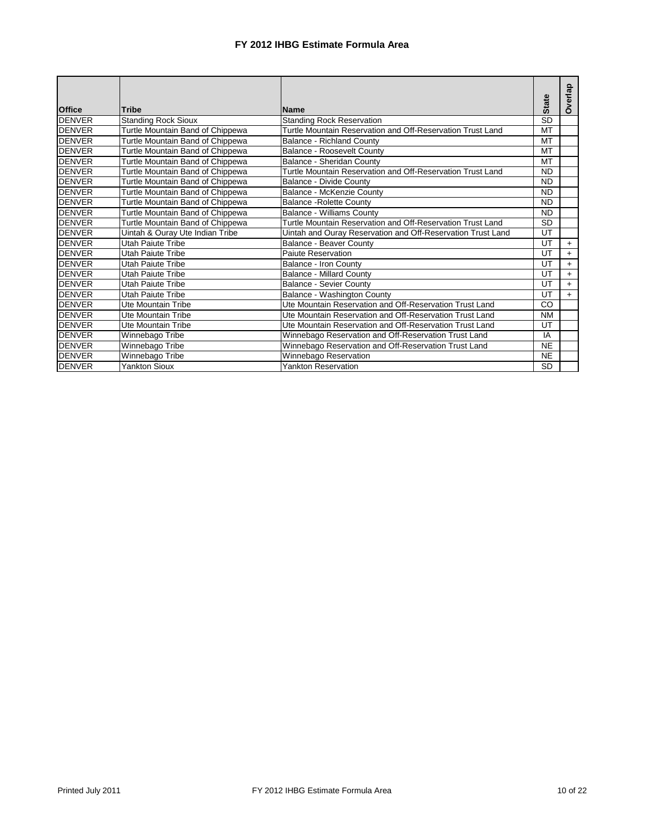| <b>Office</b> | Tribe                            | <b>Name</b>                                                 | <b>State</b> | Overlap   |
|---------------|----------------------------------|-------------------------------------------------------------|--------------|-----------|
| <b>DENVER</b> | <b>Standing Rock Sioux</b>       | Standing Rock Reservation                                   | <b>SD</b>    |           |
| <b>DENVER</b> | Turtle Mountain Band of Chippewa | Turtle Mountain Reservation and Off-Reservation Trust Land  | <b>MT</b>    |           |
| <b>DENVER</b> | Turtle Mountain Band of Chippewa | <b>Balance - Richland County</b>                            | MT           |           |
| <b>DENVER</b> | Turtle Mountain Band of Chippewa | Balance - Roosevelt County                                  | <b>MT</b>    |           |
| <b>DENVER</b> | Turtle Mountain Band of Chippewa | Balance - Sheridan County                                   | MT           |           |
| <b>DENVER</b> | Turtle Mountain Band of Chippewa | Turtle Mountain Reservation and Off-Reservation Trust Land  | <b>ND</b>    |           |
| <b>DENVER</b> | Turtle Mountain Band of Chippewa | <b>Balance - Divide County</b>                              | <b>ND</b>    |           |
| <b>DENVER</b> | Turtle Mountain Band of Chippewa | Balance - McKenzie County                                   | <b>ND</b>    |           |
| <b>DENVER</b> | Turtle Mountain Band of Chippewa | <b>Balance - Rolette County</b>                             | <b>ND</b>    |           |
| <b>DENVER</b> | Turtle Mountain Band of Chippewa | <b>Balance - Williams County</b>                            | <b>ND</b>    |           |
| <b>DENVER</b> | Turtle Mountain Band of Chippewa | Turtle Mountain Reservation and Off-Reservation Trust Land  | <b>SD</b>    |           |
| <b>DENVER</b> | Uintah & Ouray Ute Indian Tribe  | Uintah and Ouray Reservation and Off-Reservation Trust Land | UT           |           |
| <b>DENVER</b> | Utah Paiute Tribe                | <b>Balance - Beaver County</b>                              | UT           | $\ddot{}$ |
| <b>DENVER</b> | Utah Paiute Tribe                | Paiute Reservation                                          | UT           | $+$       |
| <b>DENVER</b> | Utah Paiute Tribe                | <b>Balance - Iron County</b>                                | UT           | $+$       |
| <b>DENVER</b> | Utah Paiute Tribe                | <b>Balance - Millard County</b>                             | UT           | $+$       |
| <b>DENVER</b> | Utah Paiute Tribe                | Balance - Sevier County                                     | UT           | $+$       |
| <b>DENVER</b> | Utah Paiute Tribe                | Balance - Washington County                                 | UT           | $\ddot{}$ |
| <b>DENVER</b> | Ute Mountain Tribe               | Ute Mountain Reservation and Off-Reservation Trust Land     | CO           |           |
| <b>DENVER</b> | Ute Mountain Tribe               | Ute Mountain Reservation and Off-Reservation Trust Land     | <b>NM</b>    |           |
| <b>DENVER</b> | Ute Mountain Tribe               | Ute Mountain Reservation and Off-Reservation Trust Land     | UT           |           |
| <b>DENVER</b> | Winnebago Tribe                  | Winnebago Reservation and Off-Reservation Trust Land        | IA           |           |
| <b>DENVER</b> | Winnebago Tribe                  | Winnebago Reservation and Off-Reservation Trust Land        | <b>NE</b>    |           |
| <b>DENVER</b> | Winnebago Tribe                  | Winnebago Reservation                                       | <b>NE</b>    |           |
| <b>DENVER</b> | <b>Yankton Sioux</b>             | <b>Yankton Reservation</b>                                  | <b>SD</b>    |           |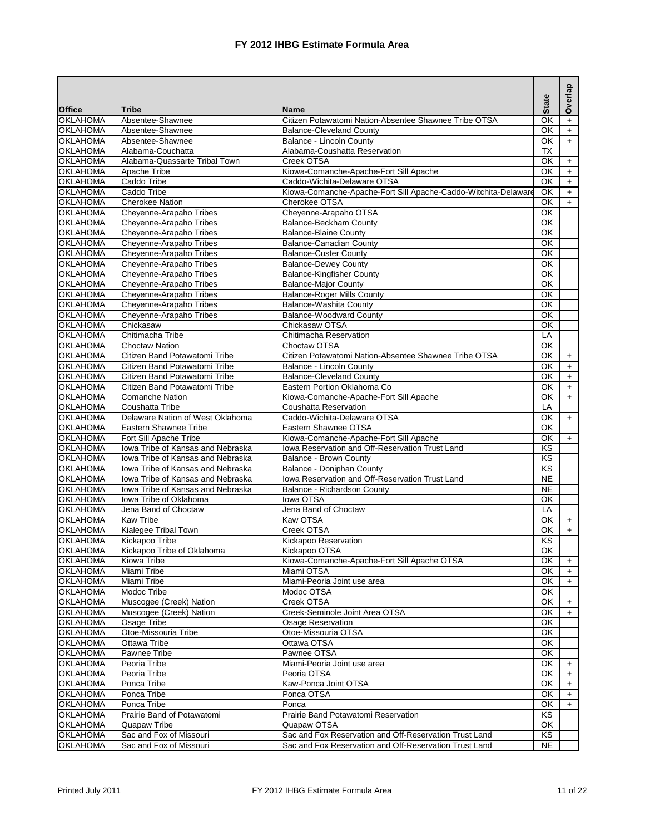|                 |                                   |                                                                | <b>State</b>           | Overlap   |
|-----------------|-----------------------------------|----------------------------------------------------------------|------------------------|-----------|
| <b>Office</b>   | <b>Tribe</b>                      | <b>Name</b>                                                    |                        |           |
| <b>OKLAHOMA</b> | Absentee-Shawnee                  | Citizen Potawatomi Nation-Absentee Shawnee Tribe OTSA          | $\overline{\alpha}$    | $\ddot{}$ |
| <b>OKLAHOMA</b> | Absentee-Shawnee                  | <b>Balance-Cleveland County</b>                                | OK                     | $\ddot{}$ |
| <b>OKLAHOMA</b> | Absentee-Shawnee                  | Balance - Lincoln County                                       | OK                     | $\ddot{}$ |
| <b>OKLAHOMA</b> | Alabama-Couchatta                 | Alabama-Coushatta Reservation                                  | <b>TX</b>              |           |
| <b>OKLAHOMA</b> | Alabama-Quassarte Tribal Town     | Creek OTSA                                                     | $\overline{\alpha}$    | $+$       |
| <b>OKLAHOMA</b> | Apache Tribe                      | Kiowa-Comanche-Apache-Fort Sill Apache                         | OK                     | $\ddot{}$ |
| <b>OKLAHOMA</b> | Caddo Tribe                       | Caddo-Wichita-Delaware OTSA                                    | OK                     | $+$       |
| <b>OKLAHOMA</b> | Caddo Tribe                       | Kiowa-Comanche-Apache-Fort Sill Apache-Caddo-Witchita-Delaware | OK                     | $\pm$     |
| <b>OKLAHOMA</b> | <b>Cherokee Nation</b>            | Cherokee OTSA                                                  | $\overline{\alpha}$    | $+$       |
| <b>OKLAHOMA</b> | Cheyenne-Arapaho Tribes           | Cheyenne-Arapaho OTSA                                          | $\overline{\alpha}$    |           |
| <b>OKLAHOMA</b> | Cheyenne-Arapaho Tribes           | <b>Balance-Beckham County</b>                                  | OK                     |           |
| <b>OKLAHOMA</b> | Cheyenne-Arapaho Tribes           | <b>Balance-Blaine County</b>                                   | $\overline{\alpha}$    |           |
| <b>OKLAHOMA</b> | Cheyenne-Arapaho Tribes           | <b>Balance-Canadian County</b>                                 | $\overline{\alpha}$    |           |
| <b>OKLAHOMA</b> | Cheyenne-Arapaho Tribes           | <b>Balance-Custer County</b>                                   | OK                     |           |
| <b>OKLAHOMA</b> | Cheyenne-Arapaho Tribes           | <b>Balance-Dewey County</b>                                    | OK                     |           |
| <b>OKLAHOMA</b> | Cheyenne-Arapaho Tribes           | <b>Balance-Kingfisher County</b>                               | OK                     |           |
| <b>OKLAHOMA</b> | Cheyenne-Arapaho Tribes           | <b>Balance-Major County</b>                                    | $\overline{\alpha}$    |           |
| <b>OKLAHOMA</b> | Cheyenne-Arapaho Tribes           | <b>Balance-Roger Mills County</b>                              | OK                     |           |
| <b>OKLAHOMA</b> | Cheyenne-Arapaho Tribes           | <b>Balance-Washita County</b>                                  | OK                     |           |
| <b>OKLAHOMA</b> | Cheyenne-Arapaho Tribes           | <b>Balance-Woodward County</b>                                 | $\overline{\alpha}$    |           |
| <b>OKLAHOMA</b> | Chickasaw                         | Chickasaw OTSA                                                 | OK                     |           |
| <b>OKLAHOMA</b> | Chitimacha Tribe                  | Chitimacha Reservation                                         | LA                     |           |
| <b>OKLAHOMA</b> | <b>Choctaw Nation</b>             | Choctaw OTSA                                                   | OK                     |           |
| <b>OKLAHOMA</b> | Citizen Band Potawatomi Tribe     | Citizen Potawatomi Nation-Absentee Shawnee Tribe OTSA          | OK                     | $+$       |
| <b>OKLAHOMA</b> | Citizen Band Potawatomi Tribe     | <b>Balance - Lincoln County</b>                                | OK                     | $+$       |
| <b>OKLAHOMA</b> | Citizen Band Potawatomi Tribe     | <b>Balance-Cleveland County</b>                                | OK                     | $+$       |
| <b>OKLAHOMA</b> | Citizen Band Potawatomi Tribe     | Eastern Portion Oklahoma Co                                    | ОΚ                     | $+$       |
| <b>OKLAHOMA</b> | Comanche Nation                   | Kiowa-Comanche-Apache-Fort Sill Apache                         | OK                     | $\ddot{}$ |
| <b>OKLAHOMA</b> | Coushatta Tribe                   | Coushatta Reservation                                          | LA                     |           |
| <b>OKLAHOMA</b> | Delaware Nation of West Oklahoma  | Caddo-Wichita-Delaware OTSA                                    | OK                     | $+$       |
| <b>OKLAHOMA</b> | <b>Eastern Shawnee Tribe</b>      | Eastern Shawnee OTSA                                           | OK                     |           |
| <b>OKLAHOMA</b> | Fort Sill Apache Tribe            | Kiowa-Comanche-Apache-Fort Sill Apache                         | OK                     | $+$       |
| <b>OKLAHOMA</b> | Iowa Tribe of Kansas and Nebraska | Iowa Reservation and Off-Reservation Trust Land                | KS                     |           |
| <b>OKLAHOMA</b> | Iowa Tribe of Kansas and Nebraska | Balance - Brown County                                         | KS                     |           |
| <b>OKLAHOMA</b> | Iowa Tribe of Kansas and Nebraska | Balance - Doniphan County                                      | KS                     |           |
| <b>OKLAHOMA</b> | lowa Tribe of Kansas and Nebraska | Iowa Reservation and Off-Reservation Trust Land                | $\overline{\text{NE}}$ |           |
| <b>OKLAHOMA</b> | Iowa Tribe of Kansas and Nebraska | Balance - Richardson County                                    | <b>NE</b>              |           |
| <b>OKLAHOMA</b> | Iowa Tribe of Oklahoma            | lowa OTSA                                                      | OK                     |           |
| <b>OKLAHOMA</b> | Jena Band of Choctaw              | Jena Band of Choctaw                                           | LA                     |           |
| <b>OKLAHOMA</b> | <b>Kaw Tribe</b>                  | Kaw OTSA                                                       | OK                     | $+$       |
| <b>OKLAHOMA</b> | Kialegee Tribal Town              | Creek OTSA                                                     | OK                     | $+$       |
| <b>OKLAHOMA</b> | <b>Kickapoo Tribe</b>             | Kickapoo Reservation                                           | $\overline{\text{KS}}$ |           |
| <b>OKLAHOMA</b> | Kickapoo Tribe of Oklahoma        | Kickapoo OTSA                                                  | OK                     |           |
| <b>OKLAHOMA</b> | Kiowa Tribe                       | Kiowa-Comanche-Apache-Fort Sill Apache OTSA                    | OK                     | $\ddot{}$ |
| <b>OKLAHOMA</b> | Miami Tribe                       | Miami OTSA                                                     | OK                     | $\ddot{}$ |
| <b>OKLAHOMA</b> | Miami Tribe                       | Miami-Peoria Joint use area                                    | OK                     | $+$       |
| <b>OKLAHOMA</b> | Modoc Tribe                       | Modoc OTSA                                                     | OK                     |           |
| <b>OKLAHOMA</b> | Muscogee (Creek) Nation           | Creek OTSA                                                     | OK                     | $\ddot{}$ |
| <b>OKLAHOMA</b> | Muscogee (Creek) Nation           | Creek-Seminole Joint Area OTSA                                 | OK                     | $+$       |
| <b>OKLAHOMA</b> | Osage Tribe                       | Osage Reservation                                              | OK                     |           |
| <b>OKLAHOMA</b> | Otoe-Missouria Tribe              | Otoe-Missouria OTSA                                            | OK                     |           |
| <b>OKLAHOMA</b> | Ottawa Tribe                      | Ottawa OTSA                                                    | OK                     |           |
| <b>OKLAHOMA</b> | Pawnee Tribe                      | Pawnee OTSA                                                    | OK                     |           |
| <b>OKLAHOMA</b> | Peoria Tribe                      | Miami-Peoria Joint use area                                    | OK                     | $\ddot{}$ |
| <b>OKLAHOMA</b> | Peoria Tribe                      | Peoria OTSA                                                    | OK                     | $+$       |
| <b>OKLAHOMA</b> | Ponca Tribe                       | Kaw-Ponca Joint OTSA                                           | OK                     | $\ddot{}$ |
| <b>OKLAHOMA</b> | Ponca Tribe                       | Ponca OTSA                                                     | OK                     | $+$       |
| <b>OKLAHOMA</b> | Ponca Tribe                       | Ponca                                                          | OK                     | $+$       |
| <b>OKLAHOMA</b> | Prairie Band of Potawatomi        | Prairie Band Potawatomi Reservation                            | KS                     |           |
| <b>OKLAHOMA</b> | Quapaw Tribe                      | Quapaw OTSA                                                    | OK                     |           |
| <b>OKLAHOMA</b> | Sac and Fox of Missouri           | Sac and Fox Reservation and Off-Reservation Trust Land         | ΚS                     |           |
| <b>OKLAHOMA</b> | Sac and Fox of Missouri           | Sac and Fox Reservation and Off-Reservation Trust Land         | <b>NE</b>              |           |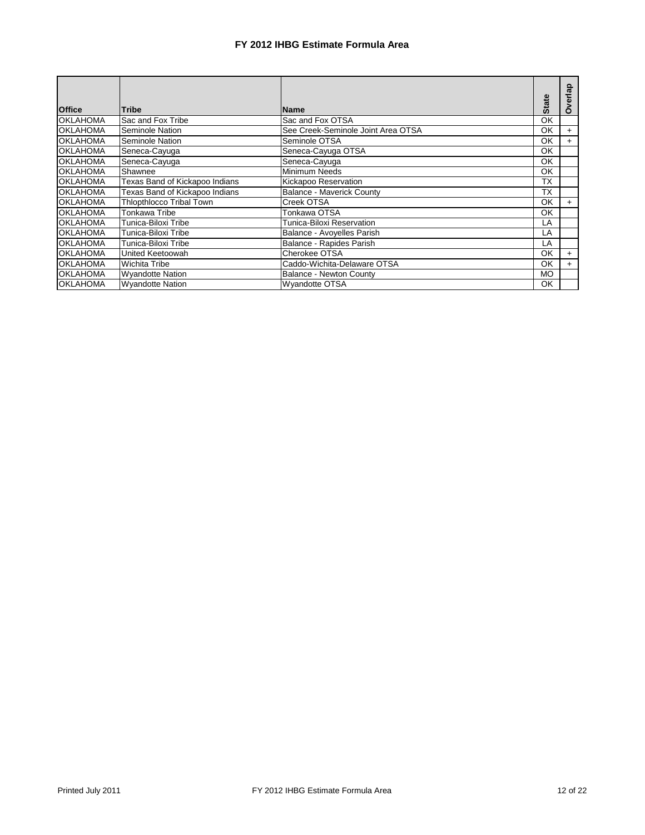|                 |                                 |                                    | <b>State</b> | rlap      |
|-----------------|---------------------------------|------------------------------------|--------------|-----------|
| <b>Office</b>   | <b>Tribe</b>                    | <b>Name</b>                        |              | O         |
| <b>OKLAHOMA</b> | Sac and Fox Tribe               | Sac and Fox OTSA                   | OK           |           |
| <b>OKLAHOMA</b> | Seminole Nation                 | See Creek-Seminole Joint Area OTSA | OK           | $+$       |
| <b>OKLAHOMA</b> | Seminole Nation                 | Seminole OTSA                      | OK           | $+$       |
| <b>OKLAHOMA</b> | Seneca-Cayuga                   | Seneca-Cayuga OTSA                 | OK           |           |
| <b>OKLAHOMA</b> | Seneca-Cayuga                   | Seneca-Cayuga                      | OK           |           |
| <b>OKLAHOMA</b> | Shawnee                         | Minimum Needs                      | OK           |           |
| <b>OKLAHOMA</b> | Texas Band of Kickapoo Indians  | Kickapoo Reservation               | ТΧ           |           |
| <b>OKLAHOMA</b> | Texas Band of Kickapoo Indians  | <b>Balance - Maverick County</b>   | ТX           |           |
| <b>OKLAHOMA</b> | <b>Thiopthiocco Tribal Town</b> | Creek OTSA                         | OK           | $\ddot{}$ |
| <b>OKLAHOMA</b> | Tonkawa Tribe                   | Tonkawa OTSA                       | OK           |           |
| <b>OKLAHOMA</b> | Tunica-Biloxi Tribe             | Tunica-Biloxi Reservation          | LA           |           |
| <b>OKLAHOMA</b> | Tunica-Biloxi Tribe             | Balance - Avoyelles Parish         | LA           |           |
| <b>OKLAHOMA</b> | Tunica-Biloxi Tribe             | Balance - Rapides Parish           | LA           |           |
| <b>OKLAHOMA</b> | United Keetoowah                | Cherokee OTSA                      | OK           | $+$       |
| <b>OKLAHOMA</b> | <b>Wichita Tribe</b>            | Caddo-Wichita-Delaware OTSA        | OK           | $\pm$     |
| <b>OKLAHOMA</b> | <b>Wyandotte Nation</b>         | <b>Balance - Newton County</b>     | <b>MO</b>    |           |
| <b>OKLAHOMA</b> | <b>Wyandotte Nation</b>         | <b>Wyandotte OTSA</b>              | OK           |           |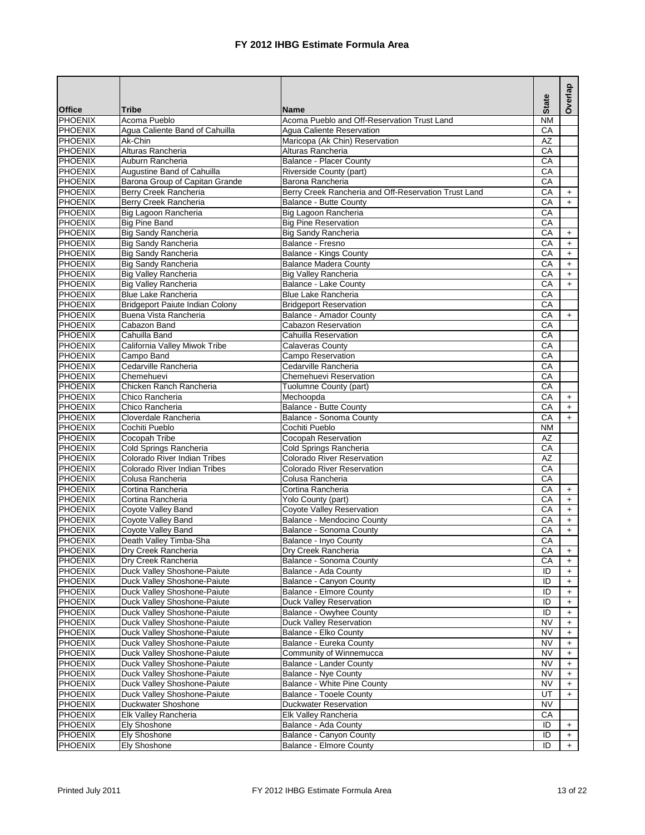| <b>Office</b><br><b>Tribe</b><br><b>Name</b><br>N <sub>M</sub><br><b>PHOENIX</b><br>Acoma Pueblo<br>Acoma Pueblo and Off-Reservation Trust Land<br><b>PHOENIX</b><br>Agua Caliente Band of Cahuilla<br>CA<br>Agua Caliente Reservation<br><b>PHOENIX</b><br>Ak-Chin<br>Maricopa (Ak Chin) Reservation<br><b>AZ</b><br><b>PHOENIX</b><br>Alturas Rancheria<br>Alturas Rancheria<br>CA<br><b>PHOENIX</b><br>Auburn Rancheria<br><b>Balance - Placer County</b><br>CA<br><b>PHOENIX</b><br>CA<br>Augustine Band of Cahuilla<br>Riverside County (part)<br><b>PHOENIX</b><br>CA<br>Barona Group of Capitan Grande<br>Barona Rancheria<br>PHOENIX<br>Berry Creek Rancheria and Off-Reservation Trust Land<br>CA<br>Berry Creek Rancheria<br>$\ddot{}$<br>CA<br><b>PHOENIX</b><br><b>Balance - Butte County</b><br>Berry Creek Rancheria<br>$+$<br><b>PHOENIX</b><br>Big Lagoon Rancheria<br>Big Lagoon Rancheria<br>CA<br><b>PHOENIX</b><br><b>Big Pine Band</b><br>CA<br><b>Big Pine Reservation</b><br>PHOENIX<br><b>Big Sandy Rancheria</b><br>CA<br><b>Big Sandy Rancheria</b><br>$\ddot{}$<br>PHOENIX<br><b>Big Sandy Rancheria</b><br>Balance - Fresno<br>CA<br>$+$<br><b>PHOENIX</b><br><b>Big Sandy Rancheria</b><br><b>Balance - Kings County</b><br>CA<br>$\ddot{}$<br><b>PHOENIX</b><br><b>Big Sandy Rancheria</b><br>CA<br><b>Balance Madera County</b><br>$\ddag$<br><b>PHOENIX</b><br>Big Valley Rancheria<br><b>Big Valley Rancheria</b><br>CA<br>$+$<br><b>PHOENIX</b><br>CA<br><b>Big Valley Rancheria</b><br><b>Balance - Lake County</b><br>$\ddot{}$<br><b>Blue Lake Rancheria</b><br>PHOENIX<br><b>Blue Lake Rancheria</b><br>CA<br><b>PHOENIX</b><br>CA<br><b>Bridgeport Paiute Indian Colony</b><br><b>Bridgeport Reservation</b><br><b>PHOENIX</b><br>Buena Vista Rancheria<br><b>Balance - Amador County</b><br>CA<br>$+$<br><b>PHOENIX</b><br>Cabazon Band<br><b>Cabazon Reservation</b><br>CA<br><b>PHOENIX</b><br>Cahuilla Band<br>Cahuilla Reservation<br>CA<br><b>PHOENIX</b><br>California Valley Miwok Tribe<br>CA<br><b>Calaveras County</b><br><b>PHOENIX</b><br>Campo Band<br><b>Campo Reservation</b><br>CA<br><b>PHOENIX</b><br>Cedarville Rancheria<br>CA<br>Cedarville Rancheria<br>PHOENIX<br>Chemehuevi<br>Chemehuevi Reservation<br>CA<br><b>PHOENIX</b><br>Chicken Ranch Rancheria<br>CA<br>Tuolumne County (part)<br><b>PHOENIX</b><br>Chico Rancheria<br>CA<br>Mechoopda<br>$\ddot{}$<br><b>PHOENIX</b><br>Chico Rancheria<br><b>Balance - Butte County</b><br>CA<br>$+$<br><b>PHOENIX</b><br>Balance - Sonoma County<br>CA<br>Cloverdale Rancheria<br>$+$<br>PHOENIX<br>Cochiti Pueblo<br>Cochiti Pueblo<br><b>NM</b><br>Cocopah Tribe<br>Cocopah Reservation<br>AZ<br>PHOENIX<br>Cold Springs Rancheria<br>CA<br>Cold Springs Rancheria<br>$\overline{AZ}$<br><b>PHOENIX</b><br>Colorado River Indian Tribes<br><b>Colorado River Reservation</b><br><b>PHOENIX</b><br>Colorado River Indian Tribes<br><b>Colorado River Reservation</b><br>CA<br>Colusa Rancheria<br>CA<br>Colusa Rancheria<br>Cortina Rancheria<br>Cortina Rancheria<br>CA<br>$\ddot{}$<br><b>PHOENIX</b><br>Yolo County (part)<br>CA<br>Cortina Rancheria<br>$\ddot{}$<br>Coyote Valley Band<br>CA<br>Coyote Valley Reservation<br>$\pm$<br><b>Coyote Valley Band</b><br>Balance - Mendocino County<br>CA<br>$+$<br>Coyote Valley Band<br><b>PHOENIX</b><br>Balance - Sonoma County<br>CA<br>$\ddot{}$<br><b>PHOENIX</b><br>Death Valley Timba-Sha<br>CA<br>Balance - Inyo County<br>PHOENIX<br>CA<br>Dry Creek Rancheria<br>Dry Creek Rancheria<br>PHOENIX<br>CA<br>Dry Creek Rancheria<br>Balance - Sonoma County<br>$\pm$<br>Duck Valley Shoshone-Paiute<br><b>PHOENIX</b><br>Balance - Ada County<br>ID<br>$\ddot{}$<br><b>PHOENIX</b><br>Duck Valley Shoshone-Paiute<br><b>Balance - Canyon County</b><br>ID<br>$\ddot{}$<br><b>PHOENIX</b><br>Duck Valley Shoshone-Paiute<br><b>Balance - Elmore County</b><br>ID<br>$+$<br><b>PHOENIX</b><br>Duck Valley Shoshone-Paiute<br><b>Duck Valley Reservation</b><br>ID<br>$\ddot{}$<br>Duck Valley Shoshone-Paiute<br>Balance - Owyhee County<br><b>PHOENIX</b><br>ID<br>$\ddot{}$<br><b>PHOENIX</b><br>Duck Valley Shoshone-Paiute<br><b>Duck Valley Reservation</b><br>NV<br>$\ddot{}$<br>Duck Valley Shoshone-Paiute<br>Balance - Elko County<br><b>PHOENIX</b><br>NV<br>$\ddot{}$<br>PHOENIX<br>Duck Valley Shoshone-Paiute<br>Balance - Eureka County<br>NV<br>$\ddot{}$<br>Duck Valley Shoshone-Paiute<br><b>PHOENIX</b><br>Community of Winnemucca<br>NV<br>$\ddot{}$<br><b>PHOENIX</b><br>Duck Valley Shoshone-Paiute<br>Balance - Lander County<br>NV<br>$\ddot{}$<br><b>PHOENIX</b><br>Duck Valley Shoshone-Paiute<br><b>Balance - Nye County</b><br><b>NV</b><br>$+$<br><b>PHOENIX</b><br>Duck Valley Shoshone-Paiute<br>Balance - White Pine County<br><b>NV</b><br>$\ddot{}$<br><b>PHOENIX</b><br>Duck Valley Shoshone-Paiute<br>Balance - Tooele County<br>UT<br>$+$<br>PHOENIX<br>Duckwater Shoshone<br><b>Duckwater Reservation</b><br>NV<br>Elk Valley Rancheria<br>Elk Valley Rancheria<br>CA<br><b>PHOENIX</b><br>PHOENIX<br><b>Ely Shoshone</b><br>Balance - Ada County<br>ID<br>$\ddot{}$<br><b>PHOENIX</b><br>Balance - Canyon County<br><b>Ely Shoshone</b><br>ID<br>$\ddot{}$<br><b>PHOENIX</b><br>Ely Shoshone<br><b>Balance - Elmore County</b><br>ID<br>$\ddot{}$ |                |  | <b>State</b> | Overlap |
|------------------------------------------------------------------------------------------------------------------------------------------------------------------------------------------------------------------------------------------------------------------------------------------------------------------------------------------------------------------------------------------------------------------------------------------------------------------------------------------------------------------------------------------------------------------------------------------------------------------------------------------------------------------------------------------------------------------------------------------------------------------------------------------------------------------------------------------------------------------------------------------------------------------------------------------------------------------------------------------------------------------------------------------------------------------------------------------------------------------------------------------------------------------------------------------------------------------------------------------------------------------------------------------------------------------------------------------------------------------------------------------------------------------------------------------------------------------------------------------------------------------------------------------------------------------------------------------------------------------------------------------------------------------------------------------------------------------------------------------------------------------------------------------------------------------------------------------------------------------------------------------------------------------------------------------------------------------------------------------------------------------------------------------------------------------------------------------------------------------------------------------------------------------------------------------------------------------------------------------------------------------------------------------------------------------------------------------------------------------------------------------------------------------------------------------------------------------------------------------------------------------------------------------------------------------------------------------------------------------------------------------------------------------------------------------------------------------------------------------------------------------------------------------------------------------------------------------------------------------------------------------------------------------------------------------------------------------------------------------------------------------------------------------------------------------------------------------------------------------------------------------------------------------------------------------------------------------------------------------------------------------------------------------------------------------------------------------------------------------------------------------------------------------------------------------------------------------------------------------------------------------------------------------------------------------------------------------------------------------------------------------------------------------------------------------------------------------------------------------------------------------------------------------------------------------------------------------------------------------------------------------------------------------------------------------------------------------------------------------------------------------------------------------------------------------------------------------------------------------------------------------------------------------------------------------------------------------------------------------------------------------------------------------------------------------------------------------------------------------------------------------------------------------------------------------------------------------------------------------------------------------------------------------------------------------------------------------------------------------------------------------------------------------------------------------------------------------------------------------------------------------------------------------------------------------------------------------------------------------------------------------------------------------------------------------------------------------------------------------------------------------------------------------------------------------------------------------------------------------------------------------------------------------------------------------------------------------------------------------------------------------------------------------------------------------------------------------------------------|----------------|--|--------------|---------|
|                                                                                                                                                                                                                                                                                                                                                                                                                                                                                                                                                                                                                                                                                                                                                                                                                                                                                                                                                                                                                                                                                                                                                                                                                                                                                                                                                                                                                                                                                                                                                                                                                                                                                                                                                                                                                                                                                                                                                                                                                                                                                                                                                                                                                                                                                                                                                                                                                                                                                                                                                                                                                                                                                                                                                                                                                                                                                                                                                                                                                                                                                                                                                                                                                                                                                                                                                                                                                                                                                                                                                                                                                                                                                                                                                                                                                                                                                                                                                                                                                                                                                                                                                                                                                                                                                                                                                                                                                                                                                                                                                                                                                                                                                                                                                                                                                                                                                                                                                                                                                                                                                                                                                                                                                                                                                                                                                            |                |  |              |         |
|                                                                                                                                                                                                                                                                                                                                                                                                                                                                                                                                                                                                                                                                                                                                                                                                                                                                                                                                                                                                                                                                                                                                                                                                                                                                                                                                                                                                                                                                                                                                                                                                                                                                                                                                                                                                                                                                                                                                                                                                                                                                                                                                                                                                                                                                                                                                                                                                                                                                                                                                                                                                                                                                                                                                                                                                                                                                                                                                                                                                                                                                                                                                                                                                                                                                                                                                                                                                                                                                                                                                                                                                                                                                                                                                                                                                                                                                                                                                                                                                                                                                                                                                                                                                                                                                                                                                                                                                                                                                                                                                                                                                                                                                                                                                                                                                                                                                                                                                                                                                                                                                                                                                                                                                                                                                                                                                                            |                |  |              |         |
|                                                                                                                                                                                                                                                                                                                                                                                                                                                                                                                                                                                                                                                                                                                                                                                                                                                                                                                                                                                                                                                                                                                                                                                                                                                                                                                                                                                                                                                                                                                                                                                                                                                                                                                                                                                                                                                                                                                                                                                                                                                                                                                                                                                                                                                                                                                                                                                                                                                                                                                                                                                                                                                                                                                                                                                                                                                                                                                                                                                                                                                                                                                                                                                                                                                                                                                                                                                                                                                                                                                                                                                                                                                                                                                                                                                                                                                                                                                                                                                                                                                                                                                                                                                                                                                                                                                                                                                                                                                                                                                                                                                                                                                                                                                                                                                                                                                                                                                                                                                                                                                                                                                                                                                                                                                                                                                                                            |                |  |              |         |
|                                                                                                                                                                                                                                                                                                                                                                                                                                                                                                                                                                                                                                                                                                                                                                                                                                                                                                                                                                                                                                                                                                                                                                                                                                                                                                                                                                                                                                                                                                                                                                                                                                                                                                                                                                                                                                                                                                                                                                                                                                                                                                                                                                                                                                                                                                                                                                                                                                                                                                                                                                                                                                                                                                                                                                                                                                                                                                                                                                                                                                                                                                                                                                                                                                                                                                                                                                                                                                                                                                                                                                                                                                                                                                                                                                                                                                                                                                                                                                                                                                                                                                                                                                                                                                                                                                                                                                                                                                                                                                                                                                                                                                                                                                                                                                                                                                                                                                                                                                                                                                                                                                                                                                                                                                                                                                                                                            |                |  |              |         |
|                                                                                                                                                                                                                                                                                                                                                                                                                                                                                                                                                                                                                                                                                                                                                                                                                                                                                                                                                                                                                                                                                                                                                                                                                                                                                                                                                                                                                                                                                                                                                                                                                                                                                                                                                                                                                                                                                                                                                                                                                                                                                                                                                                                                                                                                                                                                                                                                                                                                                                                                                                                                                                                                                                                                                                                                                                                                                                                                                                                                                                                                                                                                                                                                                                                                                                                                                                                                                                                                                                                                                                                                                                                                                                                                                                                                                                                                                                                                                                                                                                                                                                                                                                                                                                                                                                                                                                                                                                                                                                                                                                                                                                                                                                                                                                                                                                                                                                                                                                                                                                                                                                                                                                                                                                                                                                                                                            |                |  |              |         |
|                                                                                                                                                                                                                                                                                                                                                                                                                                                                                                                                                                                                                                                                                                                                                                                                                                                                                                                                                                                                                                                                                                                                                                                                                                                                                                                                                                                                                                                                                                                                                                                                                                                                                                                                                                                                                                                                                                                                                                                                                                                                                                                                                                                                                                                                                                                                                                                                                                                                                                                                                                                                                                                                                                                                                                                                                                                                                                                                                                                                                                                                                                                                                                                                                                                                                                                                                                                                                                                                                                                                                                                                                                                                                                                                                                                                                                                                                                                                                                                                                                                                                                                                                                                                                                                                                                                                                                                                                                                                                                                                                                                                                                                                                                                                                                                                                                                                                                                                                                                                                                                                                                                                                                                                                                                                                                                                                            |                |  |              |         |
|                                                                                                                                                                                                                                                                                                                                                                                                                                                                                                                                                                                                                                                                                                                                                                                                                                                                                                                                                                                                                                                                                                                                                                                                                                                                                                                                                                                                                                                                                                                                                                                                                                                                                                                                                                                                                                                                                                                                                                                                                                                                                                                                                                                                                                                                                                                                                                                                                                                                                                                                                                                                                                                                                                                                                                                                                                                                                                                                                                                                                                                                                                                                                                                                                                                                                                                                                                                                                                                                                                                                                                                                                                                                                                                                                                                                                                                                                                                                                                                                                                                                                                                                                                                                                                                                                                                                                                                                                                                                                                                                                                                                                                                                                                                                                                                                                                                                                                                                                                                                                                                                                                                                                                                                                                                                                                                                                            |                |  |              |         |
|                                                                                                                                                                                                                                                                                                                                                                                                                                                                                                                                                                                                                                                                                                                                                                                                                                                                                                                                                                                                                                                                                                                                                                                                                                                                                                                                                                                                                                                                                                                                                                                                                                                                                                                                                                                                                                                                                                                                                                                                                                                                                                                                                                                                                                                                                                                                                                                                                                                                                                                                                                                                                                                                                                                                                                                                                                                                                                                                                                                                                                                                                                                                                                                                                                                                                                                                                                                                                                                                                                                                                                                                                                                                                                                                                                                                                                                                                                                                                                                                                                                                                                                                                                                                                                                                                                                                                                                                                                                                                                                                                                                                                                                                                                                                                                                                                                                                                                                                                                                                                                                                                                                                                                                                                                                                                                                                                            |                |  |              |         |
|                                                                                                                                                                                                                                                                                                                                                                                                                                                                                                                                                                                                                                                                                                                                                                                                                                                                                                                                                                                                                                                                                                                                                                                                                                                                                                                                                                                                                                                                                                                                                                                                                                                                                                                                                                                                                                                                                                                                                                                                                                                                                                                                                                                                                                                                                                                                                                                                                                                                                                                                                                                                                                                                                                                                                                                                                                                                                                                                                                                                                                                                                                                                                                                                                                                                                                                                                                                                                                                                                                                                                                                                                                                                                                                                                                                                                                                                                                                                                                                                                                                                                                                                                                                                                                                                                                                                                                                                                                                                                                                                                                                                                                                                                                                                                                                                                                                                                                                                                                                                                                                                                                                                                                                                                                                                                                                                                            |                |  |              |         |
|                                                                                                                                                                                                                                                                                                                                                                                                                                                                                                                                                                                                                                                                                                                                                                                                                                                                                                                                                                                                                                                                                                                                                                                                                                                                                                                                                                                                                                                                                                                                                                                                                                                                                                                                                                                                                                                                                                                                                                                                                                                                                                                                                                                                                                                                                                                                                                                                                                                                                                                                                                                                                                                                                                                                                                                                                                                                                                                                                                                                                                                                                                                                                                                                                                                                                                                                                                                                                                                                                                                                                                                                                                                                                                                                                                                                                                                                                                                                                                                                                                                                                                                                                                                                                                                                                                                                                                                                                                                                                                                                                                                                                                                                                                                                                                                                                                                                                                                                                                                                                                                                                                                                                                                                                                                                                                                                                            |                |  |              |         |
|                                                                                                                                                                                                                                                                                                                                                                                                                                                                                                                                                                                                                                                                                                                                                                                                                                                                                                                                                                                                                                                                                                                                                                                                                                                                                                                                                                                                                                                                                                                                                                                                                                                                                                                                                                                                                                                                                                                                                                                                                                                                                                                                                                                                                                                                                                                                                                                                                                                                                                                                                                                                                                                                                                                                                                                                                                                                                                                                                                                                                                                                                                                                                                                                                                                                                                                                                                                                                                                                                                                                                                                                                                                                                                                                                                                                                                                                                                                                                                                                                                                                                                                                                                                                                                                                                                                                                                                                                                                                                                                                                                                                                                                                                                                                                                                                                                                                                                                                                                                                                                                                                                                                                                                                                                                                                                                                                            |                |  |              |         |
|                                                                                                                                                                                                                                                                                                                                                                                                                                                                                                                                                                                                                                                                                                                                                                                                                                                                                                                                                                                                                                                                                                                                                                                                                                                                                                                                                                                                                                                                                                                                                                                                                                                                                                                                                                                                                                                                                                                                                                                                                                                                                                                                                                                                                                                                                                                                                                                                                                                                                                                                                                                                                                                                                                                                                                                                                                                                                                                                                                                                                                                                                                                                                                                                                                                                                                                                                                                                                                                                                                                                                                                                                                                                                                                                                                                                                                                                                                                                                                                                                                                                                                                                                                                                                                                                                                                                                                                                                                                                                                                                                                                                                                                                                                                                                                                                                                                                                                                                                                                                                                                                                                                                                                                                                                                                                                                                                            |                |  |              |         |
|                                                                                                                                                                                                                                                                                                                                                                                                                                                                                                                                                                                                                                                                                                                                                                                                                                                                                                                                                                                                                                                                                                                                                                                                                                                                                                                                                                                                                                                                                                                                                                                                                                                                                                                                                                                                                                                                                                                                                                                                                                                                                                                                                                                                                                                                                                                                                                                                                                                                                                                                                                                                                                                                                                                                                                                                                                                                                                                                                                                                                                                                                                                                                                                                                                                                                                                                                                                                                                                                                                                                                                                                                                                                                                                                                                                                                                                                                                                                                                                                                                                                                                                                                                                                                                                                                                                                                                                                                                                                                                                                                                                                                                                                                                                                                                                                                                                                                                                                                                                                                                                                                                                                                                                                                                                                                                                                                            |                |  |              |         |
|                                                                                                                                                                                                                                                                                                                                                                                                                                                                                                                                                                                                                                                                                                                                                                                                                                                                                                                                                                                                                                                                                                                                                                                                                                                                                                                                                                                                                                                                                                                                                                                                                                                                                                                                                                                                                                                                                                                                                                                                                                                                                                                                                                                                                                                                                                                                                                                                                                                                                                                                                                                                                                                                                                                                                                                                                                                                                                                                                                                                                                                                                                                                                                                                                                                                                                                                                                                                                                                                                                                                                                                                                                                                                                                                                                                                                                                                                                                                                                                                                                                                                                                                                                                                                                                                                                                                                                                                                                                                                                                                                                                                                                                                                                                                                                                                                                                                                                                                                                                                                                                                                                                                                                                                                                                                                                                                                            |                |  |              |         |
|                                                                                                                                                                                                                                                                                                                                                                                                                                                                                                                                                                                                                                                                                                                                                                                                                                                                                                                                                                                                                                                                                                                                                                                                                                                                                                                                                                                                                                                                                                                                                                                                                                                                                                                                                                                                                                                                                                                                                                                                                                                                                                                                                                                                                                                                                                                                                                                                                                                                                                                                                                                                                                                                                                                                                                                                                                                                                                                                                                                                                                                                                                                                                                                                                                                                                                                                                                                                                                                                                                                                                                                                                                                                                                                                                                                                                                                                                                                                                                                                                                                                                                                                                                                                                                                                                                                                                                                                                                                                                                                                                                                                                                                                                                                                                                                                                                                                                                                                                                                                                                                                                                                                                                                                                                                                                                                                                            |                |  |              |         |
|                                                                                                                                                                                                                                                                                                                                                                                                                                                                                                                                                                                                                                                                                                                                                                                                                                                                                                                                                                                                                                                                                                                                                                                                                                                                                                                                                                                                                                                                                                                                                                                                                                                                                                                                                                                                                                                                                                                                                                                                                                                                                                                                                                                                                                                                                                                                                                                                                                                                                                                                                                                                                                                                                                                                                                                                                                                                                                                                                                                                                                                                                                                                                                                                                                                                                                                                                                                                                                                                                                                                                                                                                                                                                                                                                                                                                                                                                                                                                                                                                                                                                                                                                                                                                                                                                                                                                                                                                                                                                                                                                                                                                                                                                                                                                                                                                                                                                                                                                                                                                                                                                                                                                                                                                                                                                                                                                            |                |  |              |         |
|                                                                                                                                                                                                                                                                                                                                                                                                                                                                                                                                                                                                                                                                                                                                                                                                                                                                                                                                                                                                                                                                                                                                                                                                                                                                                                                                                                                                                                                                                                                                                                                                                                                                                                                                                                                                                                                                                                                                                                                                                                                                                                                                                                                                                                                                                                                                                                                                                                                                                                                                                                                                                                                                                                                                                                                                                                                                                                                                                                                                                                                                                                                                                                                                                                                                                                                                                                                                                                                                                                                                                                                                                                                                                                                                                                                                                                                                                                                                                                                                                                                                                                                                                                                                                                                                                                                                                                                                                                                                                                                                                                                                                                                                                                                                                                                                                                                                                                                                                                                                                                                                                                                                                                                                                                                                                                                                                            |                |  |              |         |
|                                                                                                                                                                                                                                                                                                                                                                                                                                                                                                                                                                                                                                                                                                                                                                                                                                                                                                                                                                                                                                                                                                                                                                                                                                                                                                                                                                                                                                                                                                                                                                                                                                                                                                                                                                                                                                                                                                                                                                                                                                                                                                                                                                                                                                                                                                                                                                                                                                                                                                                                                                                                                                                                                                                                                                                                                                                                                                                                                                                                                                                                                                                                                                                                                                                                                                                                                                                                                                                                                                                                                                                                                                                                                                                                                                                                                                                                                                                                                                                                                                                                                                                                                                                                                                                                                                                                                                                                                                                                                                                                                                                                                                                                                                                                                                                                                                                                                                                                                                                                                                                                                                                                                                                                                                                                                                                                                            |                |  |              |         |
|                                                                                                                                                                                                                                                                                                                                                                                                                                                                                                                                                                                                                                                                                                                                                                                                                                                                                                                                                                                                                                                                                                                                                                                                                                                                                                                                                                                                                                                                                                                                                                                                                                                                                                                                                                                                                                                                                                                                                                                                                                                                                                                                                                                                                                                                                                                                                                                                                                                                                                                                                                                                                                                                                                                                                                                                                                                                                                                                                                                                                                                                                                                                                                                                                                                                                                                                                                                                                                                                                                                                                                                                                                                                                                                                                                                                                                                                                                                                                                                                                                                                                                                                                                                                                                                                                                                                                                                                                                                                                                                                                                                                                                                                                                                                                                                                                                                                                                                                                                                                                                                                                                                                                                                                                                                                                                                                                            |                |  |              |         |
|                                                                                                                                                                                                                                                                                                                                                                                                                                                                                                                                                                                                                                                                                                                                                                                                                                                                                                                                                                                                                                                                                                                                                                                                                                                                                                                                                                                                                                                                                                                                                                                                                                                                                                                                                                                                                                                                                                                                                                                                                                                                                                                                                                                                                                                                                                                                                                                                                                                                                                                                                                                                                                                                                                                                                                                                                                                                                                                                                                                                                                                                                                                                                                                                                                                                                                                                                                                                                                                                                                                                                                                                                                                                                                                                                                                                                                                                                                                                                                                                                                                                                                                                                                                                                                                                                                                                                                                                                                                                                                                                                                                                                                                                                                                                                                                                                                                                                                                                                                                                                                                                                                                                                                                                                                                                                                                                                            |                |  |              |         |
|                                                                                                                                                                                                                                                                                                                                                                                                                                                                                                                                                                                                                                                                                                                                                                                                                                                                                                                                                                                                                                                                                                                                                                                                                                                                                                                                                                                                                                                                                                                                                                                                                                                                                                                                                                                                                                                                                                                                                                                                                                                                                                                                                                                                                                                                                                                                                                                                                                                                                                                                                                                                                                                                                                                                                                                                                                                                                                                                                                                                                                                                                                                                                                                                                                                                                                                                                                                                                                                                                                                                                                                                                                                                                                                                                                                                                                                                                                                                                                                                                                                                                                                                                                                                                                                                                                                                                                                                                                                                                                                                                                                                                                                                                                                                                                                                                                                                                                                                                                                                                                                                                                                                                                                                                                                                                                                                                            |                |  |              |         |
|                                                                                                                                                                                                                                                                                                                                                                                                                                                                                                                                                                                                                                                                                                                                                                                                                                                                                                                                                                                                                                                                                                                                                                                                                                                                                                                                                                                                                                                                                                                                                                                                                                                                                                                                                                                                                                                                                                                                                                                                                                                                                                                                                                                                                                                                                                                                                                                                                                                                                                                                                                                                                                                                                                                                                                                                                                                                                                                                                                                                                                                                                                                                                                                                                                                                                                                                                                                                                                                                                                                                                                                                                                                                                                                                                                                                                                                                                                                                                                                                                                                                                                                                                                                                                                                                                                                                                                                                                                                                                                                                                                                                                                                                                                                                                                                                                                                                                                                                                                                                                                                                                                                                                                                                                                                                                                                                                            |                |  |              |         |
|                                                                                                                                                                                                                                                                                                                                                                                                                                                                                                                                                                                                                                                                                                                                                                                                                                                                                                                                                                                                                                                                                                                                                                                                                                                                                                                                                                                                                                                                                                                                                                                                                                                                                                                                                                                                                                                                                                                                                                                                                                                                                                                                                                                                                                                                                                                                                                                                                                                                                                                                                                                                                                                                                                                                                                                                                                                                                                                                                                                                                                                                                                                                                                                                                                                                                                                                                                                                                                                                                                                                                                                                                                                                                                                                                                                                                                                                                                                                                                                                                                                                                                                                                                                                                                                                                                                                                                                                                                                                                                                                                                                                                                                                                                                                                                                                                                                                                                                                                                                                                                                                                                                                                                                                                                                                                                                                                            |                |  |              |         |
|                                                                                                                                                                                                                                                                                                                                                                                                                                                                                                                                                                                                                                                                                                                                                                                                                                                                                                                                                                                                                                                                                                                                                                                                                                                                                                                                                                                                                                                                                                                                                                                                                                                                                                                                                                                                                                                                                                                                                                                                                                                                                                                                                                                                                                                                                                                                                                                                                                                                                                                                                                                                                                                                                                                                                                                                                                                                                                                                                                                                                                                                                                                                                                                                                                                                                                                                                                                                                                                                                                                                                                                                                                                                                                                                                                                                                                                                                                                                                                                                                                                                                                                                                                                                                                                                                                                                                                                                                                                                                                                                                                                                                                                                                                                                                                                                                                                                                                                                                                                                                                                                                                                                                                                                                                                                                                                                                            |                |  |              |         |
|                                                                                                                                                                                                                                                                                                                                                                                                                                                                                                                                                                                                                                                                                                                                                                                                                                                                                                                                                                                                                                                                                                                                                                                                                                                                                                                                                                                                                                                                                                                                                                                                                                                                                                                                                                                                                                                                                                                                                                                                                                                                                                                                                                                                                                                                                                                                                                                                                                                                                                                                                                                                                                                                                                                                                                                                                                                                                                                                                                                                                                                                                                                                                                                                                                                                                                                                                                                                                                                                                                                                                                                                                                                                                                                                                                                                                                                                                                                                                                                                                                                                                                                                                                                                                                                                                                                                                                                                                                                                                                                                                                                                                                                                                                                                                                                                                                                                                                                                                                                                                                                                                                                                                                                                                                                                                                                                                            |                |  |              |         |
|                                                                                                                                                                                                                                                                                                                                                                                                                                                                                                                                                                                                                                                                                                                                                                                                                                                                                                                                                                                                                                                                                                                                                                                                                                                                                                                                                                                                                                                                                                                                                                                                                                                                                                                                                                                                                                                                                                                                                                                                                                                                                                                                                                                                                                                                                                                                                                                                                                                                                                                                                                                                                                                                                                                                                                                                                                                                                                                                                                                                                                                                                                                                                                                                                                                                                                                                                                                                                                                                                                                                                                                                                                                                                                                                                                                                                                                                                                                                                                                                                                                                                                                                                                                                                                                                                                                                                                                                                                                                                                                                                                                                                                                                                                                                                                                                                                                                                                                                                                                                                                                                                                                                                                                                                                                                                                                                                            |                |  |              |         |
|                                                                                                                                                                                                                                                                                                                                                                                                                                                                                                                                                                                                                                                                                                                                                                                                                                                                                                                                                                                                                                                                                                                                                                                                                                                                                                                                                                                                                                                                                                                                                                                                                                                                                                                                                                                                                                                                                                                                                                                                                                                                                                                                                                                                                                                                                                                                                                                                                                                                                                                                                                                                                                                                                                                                                                                                                                                                                                                                                                                                                                                                                                                                                                                                                                                                                                                                                                                                                                                                                                                                                                                                                                                                                                                                                                                                                                                                                                                                                                                                                                                                                                                                                                                                                                                                                                                                                                                                                                                                                                                                                                                                                                                                                                                                                                                                                                                                                                                                                                                                                                                                                                                                                                                                                                                                                                                                                            |                |  |              |         |
|                                                                                                                                                                                                                                                                                                                                                                                                                                                                                                                                                                                                                                                                                                                                                                                                                                                                                                                                                                                                                                                                                                                                                                                                                                                                                                                                                                                                                                                                                                                                                                                                                                                                                                                                                                                                                                                                                                                                                                                                                                                                                                                                                                                                                                                                                                                                                                                                                                                                                                                                                                                                                                                                                                                                                                                                                                                                                                                                                                                                                                                                                                                                                                                                                                                                                                                                                                                                                                                                                                                                                                                                                                                                                                                                                                                                                                                                                                                                                                                                                                                                                                                                                                                                                                                                                                                                                                                                                                                                                                                                                                                                                                                                                                                                                                                                                                                                                                                                                                                                                                                                                                                                                                                                                                                                                                                                                            |                |  |              |         |
|                                                                                                                                                                                                                                                                                                                                                                                                                                                                                                                                                                                                                                                                                                                                                                                                                                                                                                                                                                                                                                                                                                                                                                                                                                                                                                                                                                                                                                                                                                                                                                                                                                                                                                                                                                                                                                                                                                                                                                                                                                                                                                                                                                                                                                                                                                                                                                                                                                                                                                                                                                                                                                                                                                                                                                                                                                                                                                                                                                                                                                                                                                                                                                                                                                                                                                                                                                                                                                                                                                                                                                                                                                                                                                                                                                                                                                                                                                                                                                                                                                                                                                                                                                                                                                                                                                                                                                                                                                                                                                                                                                                                                                                                                                                                                                                                                                                                                                                                                                                                                                                                                                                                                                                                                                                                                                                                                            |                |  |              |         |
|                                                                                                                                                                                                                                                                                                                                                                                                                                                                                                                                                                                                                                                                                                                                                                                                                                                                                                                                                                                                                                                                                                                                                                                                                                                                                                                                                                                                                                                                                                                                                                                                                                                                                                                                                                                                                                                                                                                                                                                                                                                                                                                                                                                                                                                                                                                                                                                                                                                                                                                                                                                                                                                                                                                                                                                                                                                                                                                                                                                                                                                                                                                                                                                                                                                                                                                                                                                                                                                                                                                                                                                                                                                                                                                                                                                                                                                                                                                                                                                                                                                                                                                                                                                                                                                                                                                                                                                                                                                                                                                                                                                                                                                                                                                                                                                                                                                                                                                                                                                                                                                                                                                                                                                                                                                                                                                                                            |                |  |              |         |
|                                                                                                                                                                                                                                                                                                                                                                                                                                                                                                                                                                                                                                                                                                                                                                                                                                                                                                                                                                                                                                                                                                                                                                                                                                                                                                                                                                                                                                                                                                                                                                                                                                                                                                                                                                                                                                                                                                                                                                                                                                                                                                                                                                                                                                                                                                                                                                                                                                                                                                                                                                                                                                                                                                                                                                                                                                                                                                                                                                                                                                                                                                                                                                                                                                                                                                                                                                                                                                                                                                                                                                                                                                                                                                                                                                                                                                                                                                                                                                                                                                                                                                                                                                                                                                                                                                                                                                                                                                                                                                                                                                                                                                                                                                                                                                                                                                                                                                                                                                                                                                                                                                                                                                                                                                                                                                                                                            |                |  |              |         |
|                                                                                                                                                                                                                                                                                                                                                                                                                                                                                                                                                                                                                                                                                                                                                                                                                                                                                                                                                                                                                                                                                                                                                                                                                                                                                                                                                                                                                                                                                                                                                                                                                                                                                                                                                                                                                                                                                                                                                                                                                                                                                                                                                                                                                                                                                                                                                                                                                                                                                                                                                                                                                                                                                                                                                                                                                                                                                                                                                                                                                                                                                                                                                                                                                                                                                                                                                                                                                                                                                                                                                                                                                                                                                                                                                                                                                                                                                                                                                                                                                                                                                                                                                                                                                                                                                                                                                                                                                                                                                                                                                                                                                                                                                                                                                                                                                                                                                                                                                                                                                                                                                                                                                                                                                                                                                                                                                            | PHOENIX        |  |              |         |
|                                                                                                                                                                                                                                                                                                                                                                                                                                                                                                                                                                                                                                                                                                                                                                                                                                                                                                                                                                                                                                                                                                                                                                                                                                                                                                                                                                                                                                                                                                                                                                                                                                                                                                                                                                                                                                                                                                                                                                                                                                                                                                                                                                                                                                                                                                                                                                                                                                                                                                                                                                                                                                                                                                                                                                                                                                                                                                                                                                                                                                                                                                                                                                                                                                                                                                                                                                                                                                                                                                                                                                                                                                                                                                                                                                                                                                                                                                                                                                                                                                                                                                                                                                                                                                                                                                                                                                                                                                                                                                                                                                                                                                                                                                                                                                                                                                                                                                                                                                                                                                                                                                                                                                                                                                                                                                                                                            |                |  |              |         |
|                                                                                                                                                                                                                                                                                                                                                                                                                                                                                                                                                                                                                                                                                                                                                                                                                                                                                                                                                                                                                                                                                                                                                                                                                                                                                                                                                                                                                                                                                                                                                                                                                                                                                                                                                                                                                                                                                                                                                                                                                                                                                                                                                                                                                                                                                                                                                                                                                                                                                                                                                                                                                                                                                                                                                                                                                                                                                                                                                                                                                                                                                                                                                                                                                                                                                                                                                                                                                                                                                                                                                                                                                                                                                                                                                                                                                                                                                                                                                                                                                                                                                                                                                                                                                                                                                                                                                                                                                                                                                                                                                                                                                                                                                                                                                                                                                                                                                                                                                                                                                                                                                                                                                                                                                                                                                                                                                            |                |  |              |         |
|                                                                                                                                                                                                                                                                                                                                                                                                                                                                                                                                                                                                                                                                                                                                                                                                                                                                                                                                                                                                                                                                                                                                                                                                                                                                                                                                                                                                                                                                                                                                                                                                                                                                                                                                                                                                                                                                                                                                                                                                                                                                                                                                                                                                                                                                                                                                                                                                                                                                                                                                                                                                                                                                                                                                                                                                                                                                                                                                                                                                                                                                                                                                                                                                                                                                                                                                                                                                                                                                                                                                                                                                                                                                                                                                                                                                                                                                                                                                                                                                                                                                                                                                                                                                                                                                                                                                                                                                                                                                                                                                                                                                                                                                                                                                                                                                                                                                                                                                                                                                                                                                                                                                                                                                                                                                                                                                                            |                |  |              |         |
|                                                                                                                                                                                                                                                                                                                                                                                                                                                                                                                                                                                                                                                                                                                                                                                                                                                                                                                                                                                                                                                                                                                                                                                                                                                                                                                                                                                                                                                                                                                                                                                                                                                                                                                                                                                                                                                                                                                                                                                                                                                                                                                                                                                                                                                                                                                                                                                                                                                                                                                                                                                                                                                                                                                                                                                                                                                                                                                                                                                                                                                                                                                                                                                                                                                                                                                                                                                                                                                                                                                                                                                                                                                                                                                                                                                                                                                                                                                                                                                                                                                                                                                                                                                                                                                                                                                                                                                                                                                                                                                                                                                                                                                                                                                                                                                                                                                                                                                                                                                                                                                                                                                                                                                                                                                                                                                                                            | <b>PHOENIX</b> |  |              |         |
|                                                                                                                                                                                                                                                                                                                                                                                                                                                                                                                                                                                                                                                                                                                                                                                                                                                                                                                                                                                                                                                                                                                                                                                                                                                                                                                                                                                                                                                                                                                                                                                                                                                                                                                                                                                                                                                                                                                                                                                                                                                                                                                                                                                                                                                                                                                                                                                                                                                                                                                                                                                                                                                                                                                                                                                                                                                                                                                                                                                                                                                                                                                                                                                                                                                                                                                                                                                                                                                                                                                                                                                                                                                                                                                                                                                                                                                                                                                                                                                                                                                                                                                                                                                                                                                                                                                                                                                                                                                                                                                                                                                                                                                                                                                                                                                                                                                                                                                                                                                                                                                                                                                                                                                                                                                                                                                                                            | PHOENIX        |  |              |         |
|                                                                                                                                                                                                                                                                                                                                                                                                                                                                                                                                                                                                                                                                                                                                                                                                                                                                                                                                                                                                                                                                                                                                                                                                                                                                                                                                                                                                                                                                                                                                                                                                                                                                                                                                                                                                                                                                                                                                                                                                                                                                                                                                                                                                                                                                                                                                                                                                                                                                                                                                                                                                                                                                                                                                                                                                                                                                                                                                                                                                                                                                                                                                                                                                                                                                                                                                                                                                                                                                                                                                                                                                                                                                                                                                                                                                                                                                                                                                                                                                                                                                                                                                                                                                                                                                                                                                                                                                                                                                                                                                                                                                                                                                                                                                                                                                                                                                                                                                                                                                                                                                                                                                                                                                                                                                                                                                                            |                |  |              |         |
|                                                                                                                                                                                                                                                                                                                                                                                                                                                                                                                                                                                                                                                                                                                                                                                                                                                                                                                                                                                                                                                                                                                                                                                                                                                                                                                                                                                                                                                                                                                                                                                                                                                                                                                                                                                                                                                                                                                                                                                                                                                                                                                                                                                                                                                                                                                                                                                                                                                                                                                                                                                                                                                                                                                                                                                                                                                                                                                                                                                                                                                                                                                                                                                                                                                                                                                                                                                                                                                                                                                                                                                                                                                                                                                                                                                                                                                                                                                                                                                                                                                                                                                                                                                                                                                                                                                                                                                                                                                                                                                                                                                                                                                                                                                                                                                                                                                                                                                                                                                                                                                                                                                                                                                                                                                                                                                                                            | PHOENIX        |  |              |         |
|                                                                                                                                                                                                                                                                                                                                                                                                                                                                                                                                                                                                                                                                                                                                                                                                                                                                                                                                                                                                                                                                                                                                                                                                                                                                                                                                                                                                                                                                                                                                                                                                                                                                                                                                                                                                                                                                                                                                                                                                                                                                                                                                                                                                                                                                                                                                                                                                                                                                                                                                                                                                                                                                                                                                                                                                                                                                                                                                                                                                                                                                                                                                                                                                                                                                                                                                                                                                                                                                                                                                                                                                                                                                                                                                                                                                                                                                                                                                                                                                                                                                                                                                                                                                                                                                                                                                                                                                                                                                                                                                                                                                                                                                                                                                                                                                                                                                                                                                                                                                                                                                                                                                                                                                                                                                                                                                                            | PHOENIX        |  |              |         |
|                                                                                                                                                                                                                                                                                                                                                                                                                                                                                                                                                                                                                                                                                                                                                                                                                                                                                                                                                                                                                                                                                                                                                                                                                                                                                                                                                                                                                                                                                                                                                                                                                                                                                                                                                                                                                                                                                                                                                                                                                                                                                                                                                                                                                                                                                                                                                                                                                                                                                                                                                                                                                                                                                                                                                                                                                                                                                                                                                                                                                                                                                                                                                                                                                                                                                                                                                                                                                                                                                                                                                                                                                                                                                                                                                                                                                                                                                                                                                                                                                                                                                                                                                                                                                                                                                                                                                                                                                                                                                                                                                                                                                                                                                                                                                                                                                                                                                                                                                                                                                                                                                                                                                                                                                                                                                                                                                            |                |  |              |         |
|                                                                                                                                                                                                                                                                                                                                                                                                                                                                                                                                                                                                                                                                                                                                                                                                                                                                                                                                                                                                                                                                                                                                                                                                                                                                                                                                                                                                                                                                                                                                                                                                                                                                                                                                                                                                                                                                                                                                                                                                                                                                                                                                                                                                                                                                                                                                                                                                                                                                                                                                                                                                                                                                                                                                                                                                                                                                                                                                                                                                                                                                                                                                                                                                                                                                                                                                                                                                                                                                                                                                                                                                                                                                                                                                                                                                                                                                                                                                                                                                                                                                                                                                                                                                                                                                                                                                                                                                                                                                                                                                                                                                                                                                                                                                                                                                                                                                                                                                                                                                                                                                                                                                                                                                                                                                                                                                                            |                |  |              |         |
|                                                                                                                                                                                                                                                                                                                                                                                                                                                                                                                                                                                                                                                                                                                                                                                                                                                                                                                                                                                                                                                                                                                                                                                                                                                                                                                                                                                                                                                                                                                                                                                                                                                                                                                                                                                                                                                                                                                                                                                                                                                                                                                                                                                                                                                                                                                                                                                                                                                                                                                                                                                                                                                                                                                                                                                                                                                                                                                                                                                                                                                                                                                                                                                                                                                                                                                                                                                                                                                                                                                                                                                                                                                                                                                                                                                                                                                                                                                                                                                                                                                                                                                                                                                                                                                                                                                                                                                                                                                                                                                                                                                                                                                                                                                                                                                                                                                                                                                                                                                                                                                                                                                                                                                                                                                                                                                                                            |                |  |              |         |
|                                                                                                                                                                                                                                                                                                                                                                                                                                                                                                                                                                                                                                                                                                                                                                                                                                                                                                                                                                                                                                                                                                                                                                                                                                                                                                                                                                                                                                                                                                                                                                                                                                                                                                                                                                                                                                                                                                                                                                                                                                                                                                                                                                                                                                                                                                                                                                                                                                                                                                                                                                                                                                                                                                                                                                                                                                                                                                                                                                                                                                                                                                                                                                                                                                                                                                                                                                                                                                                                                                                                                                                                                                                                                                                                                                                                                                                                                                                                                                                                                                                                                                                                                                                                                                                                                                                                                                                                                                                                                                                                                                                                                                                                                                                                                                                                                                                                                                                                                                                                                                                                                                                                                                                                                                                                                                                                                            |                |  |              |         |
|                                                                                                                                                                                                                                                                                                                                                                                                                                                                                                                                                                                                                                                                                                                                                                                                                                                                                                                                                                                                                                                                                                                                                                                                                                                                                                                                                                                                                                                                                                                                                                                                                                                                                                                                                                                                                                                                                                                                                                                                                                                                                                                                                                                                                                                                                                                                                                                                                                                                                                                                                                                                                                                                                                                                                                                                                                                                                                                                                                                                                                                                                                                                                                                                                                                                                                                                                                                                                                                                                                                                                                                                                                                                                                                                                                                                                                                                                                                                                                                                                                                                                                                                                                                                                                                                                                                                                                                                                                                                                                                                                                                                                                                                                                                                                                                                                                                                                                                                                                                                                                                                                                                                                                                                                                                                                                                                                            |                |  |              |         |
|                                                                                                                                                                                                                                                                                                                                                                                                                                                                                                                                                                                                                                                                                                                                                                                                                                                                                                                                                                                                                                                                                                                                                                                                                                                                                                                                                                                                                                                                                                                                                                                                                                                                                                                                                                                                                                                                                                                                                                                                                                                                                                                                                                                                                                                                                                                                                                                                                                                                                                                                                                                                                                                                                                                                                                                                                                                                                                                                                                                                                                                                                                                                                                                                                                                                                                                                                                                                                                                                                                                                                                                                                                                                                                                                                                                                                                                                                                                                                                                                                                                                                                                                                                                                                                                                                                                                                                                                                                                                                                                                                                                                                                                                                                                                                                                                                                                                                                                                                                                                                                                                                                                                                                                                                                                                                                                                                            |                |  |              |         |
|                                                                                                                                                                                                                                                                                                                                                                                                                                                                                                                                                                                                                                                                                                                                                                                                                                                                                                                                                                                                                                                                                                                                                                                                                                                                                                                                                                                                                                                                                                                                                                                                                                                                                                                                                                                                                                                                                                                                                                                                                                                                                                                                                                                                                                                                                                                                                                                                                                                                                                                                                                                                                                                                                                                                                                                                                                                                                                                                                                                                                                                                                                                                                                                                                                                                                                                                                                                                                                                                                                                                                                                                                                                                                                                                                                                                                                                                                                                                                                                                                                                                                                                                                                                                                                                                                                                                                                                                                                                                                                                                                                                                                                                                                                                                                                                                                                                                                                                                                                                                                                                                                                                                                                                                                                                                                                                                                            |                |  |              |         |
|                                                                                                                                                                                                                                                                                                                                                                                                                                                                                                                                                                                                                                                                                                                                                                                                                                                                                                                                                                                                                                                                                                                                                                                                                                                                                                                                                                                                                                                                                                                                                                                                                                                                                                                                                                                                                                                                                                                                                                                                                                                                                                                                                                                                                                                                                                                                                                                                                                                                                                                                                                                                                                                                                                                                                                                                                                                                                                                                                                                                                                                                                                                                                                                                                                                                                                                                                                                                                                                                                                                                                                                                                                                                                                                                                                                                                                                                                                                                                                                                                                                                                                                                                                                                                                                                                                                                                                                                                                                                                                                                                                                                                                                                                                                                                                                                                                                                                                                                                                                                                                                                                                                                                                                                                                                                                                                                                            |                |  |              |         |
|                                                                                                                                                                                                                                                                                                                                                                                                                                                                                                                                                                                                                                                                                                                                                                                                                                                                                                                                                                                                                                                                                                                                                                                                                                                                                                                                                                                                                                                                                                                                                                                                                                                                                                                                                                                                                                                                                                                                                                                                                                                                                                                                                                                                                                                                                                                                                                                                                                                                                                                                                                                                                                                                                                                                                                                                                                                                                                                                                                                                                                                                                                                                                                                                                                                                                                                                                                                                                                                                                                                                                                                                                                                                                                                                                                                                                                                                                                                                                                                                                                                                                                                                                                                                                                                                                                                                                                                                                                                                                                                                                                                                                                                                                                                                                                                                                                                                                                                                                                                                                                                                                                                                                                                                                                                                                                                                                            |                |  |              |         |
|                                                                                                                                                                                                                                                                                                                                                                                                                                                                                                                                                                                                                                                                                                                                                                                                                                                                                                                                                                                                                                                                                                                                                                                                                                                                                                                                                                                                                                                                                                                                                                                                                                                                                                                                                                                                                                                                                                                                                                                                                                                                                                                                                                                                                                                                                                                                                                                                                                                                                                                                                                                                                                                                                                                                                                                                                                                                                                                                                                                                                                                                                                                                                                                                                                                                                                                                                                                                                                                                                                                                                                                                                                                                                                                                                                                                                                                                                                                                                                                                                                                                                                                                                                                                                                                                                                                                                                                                                                                                                                                                                                                                                                                                                                                                                                                                                                                                                                                                                                                                                                                                                                                                                                                                                                                                                                                                                            |                |  |              |         |
|                                                                                                                                                                                                                                                                                                                                                                                                                                                                                                                                                                                                                                                                                                                                                                                                                                                                                                                                                                                                                                                                                                                                                                                                                                                                                                                                                                                                                                                                                                                                                                                                                                                                                                                                                                                                                                                                                                                                                                                                                                                                                                                                                                                                                                                                                                                                                                                                                                                                                                                                                                                                                                                                                                                                                                                                                                                                                                                                                                                                                                                                                                                                                                                                                                                                                                                                                                                                                                                                                                                                                                                                                                                                                                                                                                                                                                                                                                                                                                                                                                                                                                                                                                                                                                                                                                                                                                                                                                                                                                                                                                                                                                                                                                                                                                                                                                                                                                                                                                                                                                                                                                                                                                                                                                                                                                                                                            |                |  |              |         |
|                                                                                                                                                                                                                                                                                                                                                                                                                                                                                                                                                                                                                                                                                                                                                                                                                                                                                                                                                                                                                                                                                                                                                                                                                                                                                                                                                                                                                                                                                                                                                                                                                                                                                                                                                                                                                                                                                                                                                                                                                                                                                                                                                                                                                                                                                                                                                                                                                                                                                                                                                                                                                                                                                                                                                                                                                                                                                                                                                                                                                                                                                                                                                                                                                                                                                                                                                                                                                                                                                                                                                                                                                                                                                                                                                                                                                                                                                                                                                                                                                                                                                                                                                                                                                                                                                                                                                                                                                                                                                                                                                                                                                                                                                                                                                                                                                                                                                                                                                                                                                                                                                                                                                                                                                                                                                                                                                            |                |  |              |         |
|                                                                                                                                                                                                                                                                                                                                                                                                                                                                                                                                                                                                                                                                                                                                                                                                                                                                                                                                                                                                                                                                                                                                                                                                                                                                                                                                                                                                                                                                                                                                                                                                                                                                                                                                                                                                                                                                                                                                                                                                                                                                                                                                                                                                                                                                                                                                                                                                                                                                                                                                                                                                                                                                                                                                                                                                                                                                                                                                                                                                                                                                                                                                                                                                                                                                                                                                                                                                                                                                                                                                                                                                                                                                                                                                                                                                                                                                                                                                                                                                                                                                                                                                                                                                                                                                                                                                                                                                                                                                                                                                                                                                                                                                                                                                                                                                                                                                                                                                                                                                                                                                                                                                                                                                                                                                                                                                                            |                |  |              |         |
|                                                                                                                                                                                                                                                                                                                                                                                                                                                                                                                                                                                                                                                                                                                                                                                                                                                                                                                                                                                                                                                                                                                                                                                                                                                                                                                                                                                                                                                                                                                                                                                                                                                                                                                                                                                                                                                                                                                                                                                                                                                                                                                                                                                                                                                                                                                                                                                                                                                                                                                                                                                                                                                                                                                                                                                                                                                                                                                                                                                                                                                                                                                                                                                                                                                                                                                                                                                                                                                                                                                                                                                                                                                                                                                                                                                                                                                                                                                                                                                                                                                                                                                                                                                                                                                                                                                                                                                                                                                                                                                                                                                                                                                                                                                                                                                                                                                                                                                                                                                                                                                                                                                                                                                                                                                                                                                                                            |                |  |              |         |
|                                                                                                                                                                                                                                                                                                                                                                                                                                                                                                                                                                                                                                                                                                                                                                                                                                                                                                                                                                                                                                                                                                                                                                                                                                                                                                                                                                                                                                                                                                                                                                                                                                                                                                                                                                                                                                                                                                                                                                                                                                                                                                                                                                                                                                                                                                                                                                                                                                                                                                                                                                                                                                                                                                                                                                                                                                                                                                                                                                                                                                                                                                                                                                                                                                                                                                                                                                                                                                                                                                                                                                                                                                                                                                                                                                                                                                                                                                                                                                                                                                                                                                                                                                                                                                                                                                                                                                                                                                                                                                                                                                                                                                                                                                                                                                                                                                                                                                                                                                                                                                                                                                                                                                                                                                                                                                                                                            |                |  |              |         |
|                                                                                                                                                                                                                                                                                                                                                                                                                                                                                                                                                                                                                                                                                                                                                                                                                                                                                                                                                                                                                                                                                                                                                                                                                                                                                                                                                                                                                                                                                                                                                                                                                                                                                                                                                                                                                                                                                                                                                                                                                                                                                                                                                                                                                                                                                                                                                                                                                                                                                                                                                                                                                                                                                                                                                                                                                                                                                                                                                                                                                                                                                                                                                                                                                                                                                                                                                                                                                                                                                                                                                                                                                                                                                                                                                                                                                                                                                                                                                                                                                                                                                                                                                                                                                                                                                                                                                                                                                                                                                                                                                                                                                                                                                                                                                                                                                                                                                                                                                                                                                                                                                                                                                                                                                                                                                                                                                            |                |  |              |         |
|                                                                                                                                                                                                                                                                                                                                                                                                                                                                                                                                                                                                                                                                                                                                                                                                                                                                                                                                                                                                                                                                                                                                                                                                                                                                                                                                                                                                                                                                                                                                                                                                                                                                                                                                                                                                                                                                                                                                                                                                                                                                                                                                                                                                                                                                                                                                                                                                                                                                                                                                                                                                                                                                                                                                                                                                                                                                                                                                                                                                                                                                                                                                                                                                                                                                                                                                                                                                                                                                                                                                                                                                                                                                                                                                                                                                                                                                                                                                                                                                                                                                                                                                                                                                                                                                                                                                                                                                                                                                                                                                                                                                                                                                                                                                                                                                                                                                                                                                                                                                                                                                                                                                                                                                                                                                                                                                                            |                |  |              |         |
|                                                                                                                                                                                                                                                                                                                                                                                                                                                                                                                                                                                                                                                                                                                                                                                                                                                                                                                                                                                                                                                                                                                                                                                                                                                                                                                                                                                                                                                                                                                                                                                                                                                                                                                                                                                                                                                                                                                                                                                                                                                                                                                                                                                                                                                                                                                                                                                                                                                                                                                                                                                                                                                                                                                                                                                                                                                                                                                                                                                                                                                                                                                                                                                                                                                                                                                                                                                                                                                                                                                                                                                                                                                                                                                                                                                                                                                                                                                                                                                                                                                                                                                                                                                                                                                                                                                                                                                                                                                                                                                                                                                                                                                                                                                                                                                                                                                                                                                                                                                                                                                                                                                                                                                                                                                                                                                                                            |                |  |              |         |
|                                                                                                                                                                                                                                                                                                                                                                                                                                                                                                                                                                                                                                                                                                                                                                                                                                                                                                                                                                                                                                                                                                                                                                                                                                                                                                                                                                                                                                                                                                                                                                                                                                                                                                                                                                                                                                                                                                                                                                                                                                                                                                                                                                                                                                                                                                                                                                                                                                                                                                                                                                                                                                                                                                                                                                                                                                                                                                                                                                                                                                                                                                                                                                                                                                                                                                                                                                                                                                                                                                                                                                                                                                                                                                                                                                                                                                                                                                                                                                                                                                                                                                                                                                                                                                                                                                                                                                                                                                                                                                                                                                                                                                                                                                                                                                                                                                                                                                                                                                                                                                                                                                                                                                                                                                                                                                                                                            |                |  |              |         |
|                                                                                                                                                                                                                                                                                                                                                                                                                                                                                                                                                                                                                                                                                                                                                                                                                                                                                                                                                                                                                                                                                                                                                                                                                                                                                                                                                                                                                                                                                                                                                                                                                                                                                                                                                                                                                                                                                                                                                                                                                                                                                                                                                                                                                                                                                                                                                                                                                                                                                                                                                                                                                                                                                                                                                                                                                                                                                                                                                                                                                                                                                                                                                                                                                                                                                                                                                                                                                                                                                                                                                                                                                                                                                                                                                                                                                                                                                                                                                                                                                                                                                                                                                                                                                                                                                                                                                                                                                                                                                                                                                                                                                                                                                                                                                                                                                                                                                                                                                                                                                                                                                                                                                                                                                                                                                                                                                            |                |  |              |         |
|                                                                                                                                                                                                                                                                                                                                                                                                                                                                                                                                                                                                                                                                                                                                                                                                                                                                                                                                                                                                                                                                                                                                                                                                                                                                                                                                                                                                                                                                                                                                                                                                                                                                                                                                                                                                                                                                                                                                                                                                                                                                                                                                                                                                                                                                                                                                                                                                                                                                                                                                                                                                                                                                                                                                                                                                                                                                                                                                                                                                                                                                                                                                                                                                                                                                                                                                                                                                                                                                                                                                                                                                                                                                                                                                                                                                                                                                                                                                                                                                                                                                                                                                                                                                                                                                                                                                                                                                                                                                                                                                                                                                                                                                                                                                                                                                                                                                                                                                                                                                                                                                                                                                                                                                                                                                                                                                                            |                |  |              |         |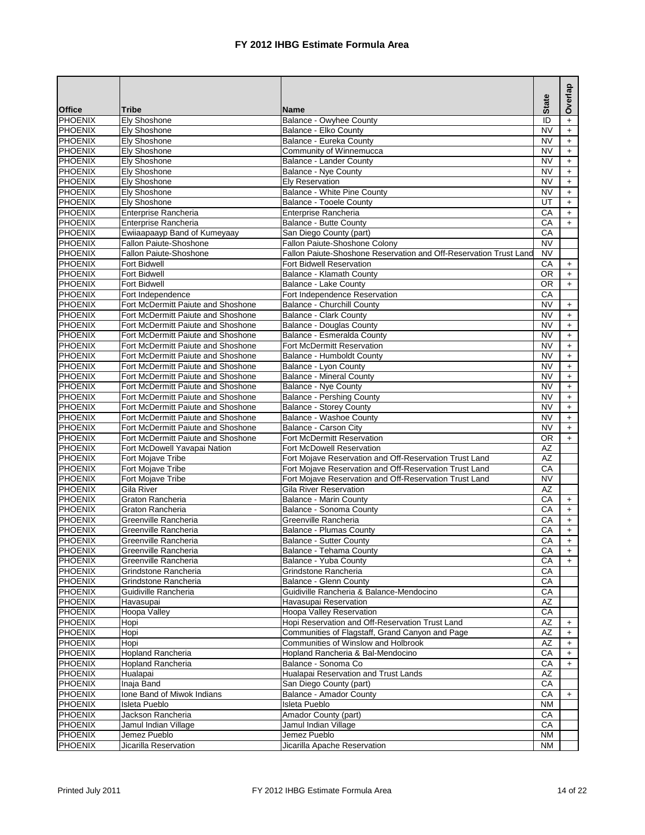|                                  |                                                                          |                                                                   | <b>State</b>           | Overlap                          |
|----------------------------------|--------------------------------------------------------------------------|-------------------------------------------------------------------|------------------------|----------------------------------|
| <b>Office</b>                    | <b>Tribe</b>                                                             | <b>Name</b>                                                       |                        |                                  |
| <b>PHOENIX</b>                   | Ely Shoshone                                                             | <b>Balance - Owyhee County</b>                                    | ID                     | $\ddot{}$                        |
| <b>PHOENIX</b>                   | Ely Shoshone                                                             | Balance - Elko County                                             | <b>NV</b>              | $\ddot{}$                        |
| <b>PHOENIX</b>                   | <b>Elv Shoshone</b>                                                      | Balance - Eureka County                                           | <b>NV</b>              | $\ddot{}$                        |
| <b>PHOENIX</b>                   | <b>Ely Shoshone</b>                                                      | Community of Winnemucca                                           | <b>NV</b>              | $+$                              |
| <b>PHOENIX</b>                   | <b>Ely Shoshone</b>                                                      | <b>Balance - Lander County</b>                                    | <b>NV</b>              | $\ddot{}$                        |
| <b>PHOENIX</b><br><b>PHOENIX</b> | Ely Shoshone                                                             | <b>Balance - Nye County</b><br><b>Elv Reservation</b>             | NV                     | $\begin{array}{c} + \end{array}$ |
| <b>PHOENIX</b>                   | Ely Shoshone<br>Ely Shoshone                                             | Balance - White Pine County                                       | NV<br><b>NV</b>        | $\ddot{}$<br>$+$                 |
| <b>PHOENIX</b>                   | Ely Shoshone                                                             | Balance - Tooele County                                           | UT                     | $\ddot{}$                        |
| <b>PHOENIX</b>                   | Enterprise Rancheria                                                     | Enterprise Rancheria                                              | CA                     | $\ddot{}$                        |
| <b>PHOENIX</b>                   | <b>Enterprise Rancheria</b>                                              | Balance - Butte County                                            | CA                     | $+$                              |
| <b>PHOENIX</b>                   | Ewiiaapaayp Band of Kumeyaay                                             | San Diego County (part)                                           | CA                     |                                  |
| <b>PHOENIX</b>                   | Fallon Paiute-Shoshone                                                   | Fallon Paiute-Shoshone Colony                                     | <b>NV</b>              |                                  |
| <b>PHOENIX</b>                   | <b>Fallon Paiute-Shoshone</b>                                            | Fallon Paiute-Shoshone Reservation and Off-Reservation Trust Land | <b>NV</b>              |                                  |
| <b>PHOENIX</b>                   | Fort Bidwell                                                             | Fort Bidwell Reservation                                          | CA                     | $\begin{array}{c} + \end{array}$ |
| <b>PHOENIX</b>                   | <b>Fort Bidwell</b>                                                      | Balance - Klamath County                                          | <b>OR</b>              | $+$                              |
| <b>PHOENIX</b>                   | Fort Bidwell                                                             | Balance - Lake County                                             | $\overline{OR}$        | $+$                              |
| <b>PHOENIX</b>                   | Fort Independence                                                        | Fort Independence Reservation                                     | CA                     |                                  |
| <b>PHOENIX</b>                   | Fort McDermitt Paiute and Shoshone                                       | <b>Balance - Churchill County</b>                                 | <b>NV</b>              | $\ddot{}$                        |
| <b>PHOENIX</b>                   | Fort McDermitt Paiute and Shoshone                                       | <b>Balance - Clark County</b>                                     | <b>NV</b>              | $+$                              |
| <b>PHOENIX</b>                   | Fort McDermitt Paiute and Shoshone                                       | <b>Balance - Douglas County</b>                                   | <b>NV</b>              | $\ddot{}$                        |
| PHOENIX                          | Fort McDermitt Paiute and Shoshone                                       | Balance - Esmeralda County                                        | <b>NV</b>              | $\ddag$                          |
| <b>PHOENIX</b>                   | Fort McDermitt Paiute and Shoshone                                       | Fort McDermitt Reservation                                        | <b>NV</b>              | $\begin{array}{c} + \end{array}$ |
| <b>PHOENIX</b>                   | Fort McDermitt Paiute and Shoshone                                       | Balance - Humboldt County                                         | <b>NV</b>              | $\ddot{}$                        |
| <b>PHOENIX</b>                   | Fort McDermitt Paiute and Shoshone                                       | Balance - Lyon County                                             | <b>NV</b>              | $\ddot{}$                        |
| <b>PHOENIX</b>                   | Fort McDermitt Paiute and Shoshone                                       | <b>Balance - Mineral County</b>                                   | <b>NV</b>              | $\ddot{}$                        |
| <b>PHOENIX</b>                   | Fort McDermitt Paiute and Shoshone                                       | Balance - Nye County                                              | <b>NV</b>              | $\begin{array}{c} + \end{array}$ |
| <b>PHOENIX</b>                   | Fort McDermitt Paiute and Shoshone                                       | <b>Balance - Pershing County</b>                                  | <b>NV</b>              | $+$                              |
| <b>PHOENIX</b>                   | Fort McDermitt Paiute and Shoshone                                       | <b>Balance - Storey County</b>                                    | <b>NV</b>              | $+$                              |
| <b>PHOENIX</b>                   | Fort McDermitt Paiute and Shoshone                                       | Balance - Washoe County                                           | <b>NV</b>              | $+$                              |
| <b>PHOENIX</b><br><b>PHOENIX</b> | Fort McDermitt Paiute and Shoshone<br>Fort McDermitt Paiute and Shoshone | Balance - Carson City<br>Fort McDermitt Reservation               | <b>NV</b><br><b>OR</b> | $\ddot{}$                        |
| <b>PHOENIX</b>                   | Fort McDowell Yavapai Nation                                             | Fort McDowell Reservation                                         | <b>AZ</b>              | $+$                              |
| <b>PHOENIX</b>                   | <b>Fort Mojave Tribe</b>                                                 | Fort Mojave Reservation and Off-Reservation Trust Land            | AZ                     |                                  |
| <b>PHOENIX</b>                   | <b>Fort Moiave Tribe</b>                                                 | Fort Mojave Reservation and Off-Reservation Trust Land            | CA                     |                                  |
| <b>PHOENIX</b>                   | Fort Mojave Tribe                                                        | Fort Mojave Reservation and Off-Reservation Trust Land            | <b>NV</b>              |                                  |
| <b>PHOENIX</b>                   | Gila River                                                               | Gila River Reservation                                            | AZ                     |                                  |
| <b>PHOENIX</b>                   | Graton Rancheria                                                         | Balance - Marin County                                            | СA                     | $\ddot{}$                        |
| <b>PHOENIX</b>                   | Graton Rancheria                                                         | Balance - Sonoma County                                           | CA                     | $\ddot{}$                        |
| <b>PHOENIX</b>                   | Greenville Rancheria                                                     | Greenville Rancheria                                              | CA                     | $+$                              |
| <b>PHOENIX</b>                   | Greenville Rancheria                                                     | <b>Balance - Plumas County</b>                                    | CA                     | $+$                              |
| <b>PHOENIX</b>                   | Greenville Rancheria                                                     | <b>Balance - Sutter County</b>                                    | CA                     | $\ddot{}$                        |
| PHOENIX                          | Greenville Rancheria                                                     | Balance - Tehama County                                           | CА                     | $+$                              |
| PHOENIX                          | Greenville Rancheria                                                     | Balance - Yuba County                                             | CA                     | $+$                              |
| PHOENIX                          | Grindstone Rancheria                                                     | Grindstone Rancheria                                              | CA                     |                                  |
| PHOENIX                          | Grindstone Rancheria                                                     | Balance - Glenn County                                            | CA                     |                                  |
| <b>PHOENIX</b>                   | Guidiville Rancheria                                                     | Guidiville Rancheria & Balance-Mendocino                          | СA                     |                                  |
| <b>PHOENIX</b>                   | Havasupai                                                                | Havasupai Reservation                                             | AZ                     |                                  |
| <b>PHOENIX</b>                   | Hoopa Valley                                                             | Hoopa Valley Reservation                                          | CA                     |                                  |
| <b>PHOENIX</b>                   | Hopi                                                                     | Hopi Reservation and Off-Reservation Trust Land                   | AZ                     | $\ddot{}$                        |
| <b>PHOENIX</b>                   | Hopi                                                                     | Communities of Flagstaff, Grand Canyon and Page                   | AΖ                     | $\ddot{}$                        |
| <b>PHOENIX</b>                   | Hopi                                                                     | Communities of Winslow and Holbrook                               | AZ                     | $\ddot{}$                        |
| <b>PHOENIX</b>                   | Hopland Rancheria                                                        | Hopland Rancheria & Bal-Mendocino                                 | CA                     | $\ddot{}$                        |
| <b>PHOENIX</b>                   | <b>Hopland Rancheria</b>                                                 | Balance - Sonoma Co                                               | СA                     | $\ddot{}$                        |
| <b>PHOENIX</b>                   | Hualapai                                                                 | Hualapai Reservation and Trust Lands                              | $\overline{AZ}$        |                                  |
| <b>PHOENIX</b>                   | Inaja Band                                                               | San Diego County (part)                                           | СA                     |                                  |
| <b>PHOENIX</b>                   | Ione Band of Miwok Indians                                               | <b>Balance - Amador County</b>                                    | CA                     | $\ddot{}$                        |
| <b>PHOENIX</b>                   | Isleta Pueblo                                                            | Isleta Pueblo                                                     | NM                     |                                  |
| <b>PHOENIX</b><br><b>PHOENIX</b> | Jackson Rancheria<br>Jamul Indian Village                                | Amador County (part)<br>Jamul Indian Village                      | CA<br>CA               |                                  |
| <b>PHOENIX</b>                   | Jemez Pueblo                                                             | Jemez Pueblo                                                      | <b>NM</b>              |                                  |
| <b>PHOENIX</b>                   | Jicarilla Reservation                                                    | Jicarilla Apache Reservation                                      | ΝM                     |                                  |
|                                  |                                                                          |                                                                   |                        |                                  |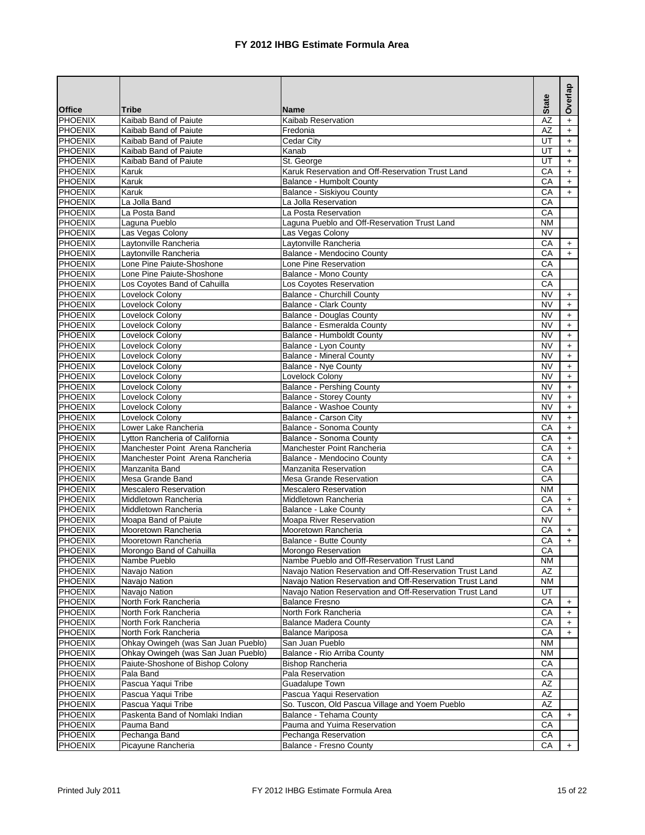|                                  |                                                                         |                                                              |                 | Overlap                                 |
|----------------------------------|-------------------------------------------------------------------------|--------------------------------------------------------------|-----------------|-----------------------------------------|
| <b>Office</b>                    | <b>Tribe</b>                                                            | <b>Name</b>                                                  | <b>State</b>    |                                         |
| PHOENIX                          | Kaibab Band of Paiute                                                   | Kaibab Reservation                                           | AZ              | $\ddot{}$                               |
| PHOENIX                          | Kaibab Band of Paiute                                                   | Fredonia                                                     | AZ              | $+$                                     |
| <b>PHOENIX</b>                   | Kaibab Band of Paiute                                                   | Cedar City                                                   | UT              | $\ddot{}$                               |
| <b>PHOENIX</b>                   | Kaibab Band of Paiute                                                   | Kanab                                                        | UT              | $\ddot{}$                               |
| PHOENIX                          | Kaibab Band of Paiute                                                   | St. George                                                   | UT              | $\ddot{}$                               |
| <b>PHOENIX</b>                   | Karuk                                                                   | Karuk Reservation and Off-Reservation Trust Land             | CA              | $\ddot{}$                               |
| PHOENIX<br>PHOENIX               | Karuk<br>Karuk                                                          | Balance - Humbolt County<br><b>Balance - Siskiyou County</b> | CA<br>CA        | $+$                                     |
| <b>PHOENIX</b>                   | La Jolla Band                                                           | La Jolla Reservation                                         | CA              | $+$                                     |
| <b>PHOENIX</b>                   | La Posta Band                                                           | La Posta Reservation                                         | CA              |                                         |
| <b>PHOENIX</b>                   | Laguna Pueblo                                                           | Laguna Pueblo and Off-Reservation Trust Land                 | ΝM              |                                         |
| <b>PHOENIX</b>                   | Las Vegas Colony                                                        | Las Vegas Colony                                             | <b>NV</b>       |                                         |
| PHOENIX                          | Laytonville Rancheria                                                   | Laytonville Rancheria                                        | CA              | $\ddot{}$                               |
| <b>PHOENIX</b>                   | Laytonville Rancheria                                                   | Balance - Mendocino County                                   | $\overline{CA}$ | $+$                                     |
| PHOENIX                          | Lone Pine Paiute-Shoshone                                               | Lone Pine Reservation                                        | CA              |                                         |
| <b>PHOENIX</b>                   | Lone Pine Paiute-Shoshone                                               | Balance - Mono County                                        | СA              |                                         |
| <b>PHOENIX</b>                   | Los Coyotes Band of Cahuilla                                            | Los Coyotes Reservation                                      | CA              |                                         |
| <b>PHOENIX</b>                   | Lovelock Colony                                                         | <b>Balance - Churchill County</b>                            | <b>NV</b>       | $+$                                     |
| <b>PHOENIX</b>                   | Lovelock Colony                                                         | Balance - Clark County                                       | <b>NV</b>       | $+$                                     |
| PHOENIX                          | Lovelock Colony                                                         | <b>Balance - Douglas County</b>                              | <b>NV</b>       | $\ddot{}$                               |
| PHOENIX                          | Lovelock Colony                                                         | Balance - Esmeralda County                                   | NV              | $\ddot{}$                               |
| <b>PHOENIX</b>                   | Lovelock Colony                                                         | Balance - Humboldt County                                    | NV              | $\ddot{}$                               |
| PHOENIX                          | Lovelock Colony                                                         | Balance - Lyon County                                        | <b>NV</b>       | $+$                                     |
| <b>PHOENIX</b>                   | Lovelock Colonv                                                         | <b>Balance - Mineral County</b>                              | NV              | $\ddot{}$                               |
| <b>PHOENIX</b>                   | Lovelock Colonv                                                         | <b>Balance - Nye County</b>                                  | <b>NV</b>       | $\ddot{}$                               |
| PHOENIX                          | Lovelock Colony                                                         | Lovelock Colony                                              | NV              | $+$                                     |
| <b>PHOENIX</b>                   | Lovelock Colony                                                         | <b>Balance - Pershing County</b>                             | <b>NV</b>       | $+$                                     |
| PHOENIX                          | Lovelock Colony                                                         | <b>Balance - Storey County</b>                               | NV              | $+$                                     |
| <b>PHOENIX</b>                   | Lovelock Colony                                                         | Balance - Washoe County                                      | NV<br>NV        | $+$                                     |
| <b>PHOENIX</b><br><b>PHOENIX</b> | Lovelock Colony<br>Lower Lake Rancheria                                 | Balance - Carson City<br>Balance - Sonoma County             | CA              | $\ddot{}$                               |
| PHOENIX                          | Lytton Rancheria of California                                          | Balance - Sonoma County                                      | CA              | $+$<br>$\begin{array}{c} + \end{array}$ |
| <b>PHOENIX</b>                   | Manchester Point Arena Rancheria                                        | Manchester Point Rancheria                                   | CA              | $+$                                     |
| PHOENIX                          | Manchester Point Arena Rancheria                                        | Balance - Mendocino County                                   | СA              | $+$                                     |
| <b>PHOENIX</b>                   | Manzanita Band                                                          | Manzanita Reservation                                        | CA              |                                         |
| PHOENIX                          | Mesa Grande Band                                                        | <b>Mesa Grande Reservation</b>                               | CA              |                                         |
| PHOENIX                          | <b>Mescalero Reservation</b>                                            | <b>Mescalero Reservation</b>                                 | <b>NM</b>       |                                         |
| <b>PHOENIX</b>                   | Middletown Rancheria                                                    | Middletown Rancheria                                         | CA              | $+$                                     |
| <b>PHOENIX</b>                   | Middletown Rancheria                                                    | <b>Balance - Lake County</b>                                 | $\overline{CA}$ | $+$                                     |
| <b>PHOENIX</b>                   | Moapa Band of Paiute                                                    | Moapa River Reservation                                      | <b>NV</b>       |                                         |
| <b>PHOENIX</b>                   | Mooretown Rancheria                                                     | Mooretown Rancheria                                          | CA              | $\ddot{}$                               |
| <b>PHOENIX</b>                   | Mooretown Rancheria                                                     | <b>Balance - Butte County</b>                                | CA              | $+$                                     |
| PHOENIX                          | Morongo Band of Cahuilla                                                | Morongo Reservation                                          | CA              |                                         |
| PHOENIX                          | Nambe Pueblo                                                            | Nambe Pueblo and Off-Reservation Trust Land                  | ΝM              |                                         |
| PHOENIX                          | Navajo Nation                                                           | Navajo Nation Reservation and Off-Reservation Trust Land     | AΖ              |                                         |
| PHOENIX                          | Navajo Nation                                                           | Navajo Nation Reservation and Off-Reservation Trust Land     | <b>NM</b>       |                                         |
| <b>PHOENIX</b>                   | Navajo Nation                                                           | Navajo Nation Reservation and Off-Reservation Trust Land     | UT              |                                         |
| PHOENIX                          | North Fork Rancheria                                                    | <b>Balance Fresno</b>                                        | CA              | $\ddot{}$                               |
| PHOENIX                          | North Fork Rancheria                                                    | North Fork Rancheria                                         | CA              | $\ddot{}$                               |
| <b>PHOENIX</b>                   | North Fork Rancheria                                                    | <b>Balance Madera County</b>                                 | СA              | $\ddot{}$                               |
| <b>PHOENIX</b>                   | North Fork Rancheria                                                    | <b>Balance Mariposa</b>                                      | CA              | $\ddot{}$                               |
| <b>PHOENIX</b>                   | Ohkay Owingeh (was San Juan Pueblo)                                     | San Juan Pueblo                                              | <b>NM</b>       |                                         |
| <b>PHOENIX</b><br><b>PHOENIX</b> | Ohkay Owingeh (was San Juan Pueblo)<br>Paiute-Shoshone of Bishop Colony | Balance - Rio Arriba County<br><b>Bishop Rancheria</b>       | NM<br>СA        |                                         |
| PHOENIX                          | Pala Band                                                               | Pala Reservation                                             | CA              |                                         |
| <b>PHOENIX</b>                   | Pascua Yaqui Tribe                                                      | Guadalupe Town                                               | AZ              |                                         |
| PHOENIX                          | Pascua Yaqui Tribe                                                      | Pascua Yaqui Reservation                                     | AZ              |                                         |
| PHOENIX                          | Pascua Yaqui Tribe                                                      | So. Tuscon, Old Pascua Village and Yoem Pueblo               | AZ              |                                         |
| PHOENIX                          | Paskenta Band of Nomlaki Indian                                         | Balance - Tehama County                                      | СA              | $\ddot{}$                               |
| <b>PHOENIX</b>                   | Pauma Band                                                              | Pauma and Yuima Reservation                                  | CA              |                                         |
| <b>PHOENIX</b>                   | Pechanga Band                                                           | Pechanga Reservation                                         | CA              |                                         |
| <b>PHOENIX</b>                   | Picayune Rancheria                                                      | <b>Balance - Fresno County</b>                               | CA              | $+$                                     |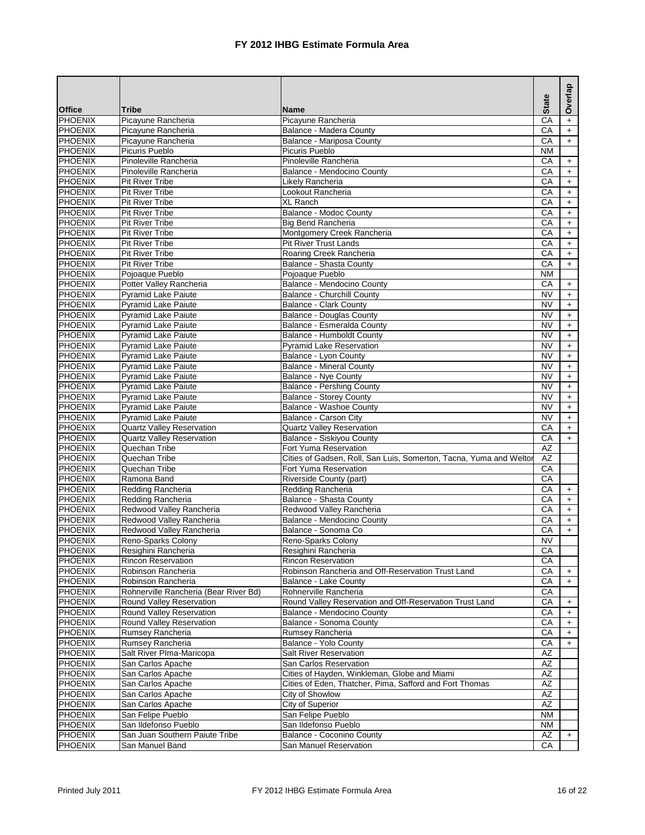|                                  |                                           |                                                                    | <b>State</b>    | Overlap                          |
|----------------------------------|-------------------------------------------|--------------------------------------------------------------------|-----------------|----------------------------------|
| <b>Office</b>                    | <b>Tribe</b>                              | <b>Name</b>                                                        |                 |                                  |
| <b>PHOENIX</b>                   | Picayune Rancheria                        | Picayune Rancheria                                                 | CA              | $\ddot{}$                        |
| <b>PHOENIX</b>                   | Picayune Rancheria                        | Balance - Madera County                                            | CA              | $\ddot{}$                        |
| <b>PHOENIX</b>                   | Picayune Rancheria                        | Balance - Mariposa County                                          | CA              | $+$                              |
| <b>PHOENIX</b>                   | <b>Picuris Pueblo</b>                     | Picuris Pueblo                                                     | <b>NM</b>       |                                  |
| <b>PHOENIX</b>                   | Pinoleville Rancheria                     | Pinoleville Rancheria                                              | CA              | $\pm$                            |
| <b>PHOENIX</b>                   | Pinoleville Rancheria                     | Balance - Mendocino County                                         | CA              | $\pm$                            |
| <b>PHOENIX</b>                   | Pit River Tribe                           | Likely Rancheria                                                   | CA              | $\ddot{}$                        |
| <b>PHOENIX</b>                   | Pit River Tribe                           | Lookout Rancheria                                                  | CA              | $+$                              |
| <b>PHOENIX</b>                   | <b>Pit River Tribe</b>                    | <b>XL Ranch</b>                                                    | CA              | $\pm$                            |
| <b>PHOENIX</b>                   | Pit River Tribe<br><b>Pit River Tribe</b> | Balance - Modoc County                                             | CA<br>CA        | $\ddag$                          |
| <b>PHOENIX</b><br><b>PHOENIX</b> | <b>Pit River Tribe</b>                    | <b>Big Bend Rancheria</b><br>Montgomery Creek Rancheria            | CA              | $\ddot{}$<br>$+$                 |
| <b>PHOENIX</b>                   | Pit River Tribe                           | Pit River Trust Lands                                              | CA              | $\pm$                            |
| <b>PHOENIX</b>                   | <b>Pit River Tribe</b>                    | Roaring Creek Rancheria                                            | CA              | $\pm$                            |
| <b>PHOENIX</b>                   | <b>Pit River Tribe</b>                    | Balance - Shasta County                                            | CA              | $+$                              |
| <b>PHOENIX</b>                   | Pojoaque Pueblo                           | Pojoaque Pueblo                                                    | <b>NM</b>       |                                  |
| <b>PHOENIX</b>                   | Potter Valley Rancheria                   | Balance - Mendocino County                                         | СA              | $\begin{array}{c} + \end{array}$ |
| <b>PHOENIX</b>                   | <b>Pyramid Lake Paiute</b>                | <b>Balance - Churchill County</b>                                  | <b>NV</b>       | $+$                              |
| <b>PHOENIX</b>                   | <b>Pyramid Lake Paiute</b>                | <b>Balance - Clark County</b>                                      | <b>NV</b>       | $\pm$                            |
| <b>PHOENIX</b>                   | <b>Pyramid Lake Paiute</b>                | <b>Balance - Douglas County</b>                                    | <b>NV</b>       | $\ddot{}$                        |
| <b>PHOENIX</b>                   | Pyramid Lake Paiute                       | Balance - Esmeralda County                                         | <b>NV</b>       | $\boldsymbol{+}$                 |
| <b>PHOENIX</b>                   | <b>Pyramid Lake Paiute</b>                | Balance - Humboldt County                                          | <b>NV</b>       | $\ddag$                          |
| <b>PHOENIX</b>                   | <b>Pyramid Lake Paiute</b>                | <b>Pyramid Lake Reservation</b>                                    | <b>NV</b>       | $\pm$                            |
| <b>PHOENIX</b>                   | Pyramid Lake Paiute                       | Balance - Lyon County                                              | <b>NV</b>       | $\ddot{}$                        |
| <b>PHOENIX</b>                   | <b>Pyramid Lake Paiute</b>                | <b>Balance - Mineral County</b>                                    | <b>NV</b>       | $\ddot{}$                        |
| <b>PHOENIX</b>                   | <b>Pyramid Lake Paiute</b>                | <b>Balance - Nye County</b>                                        | <b>NV</b>       | $+$                              |
| <b>PHOENIX</b>                   | <b>Pyramid Lake Paiute</b>                | <b>Balance - Pershing County</b>                                   | <b>NV</b>       | $\pm$                            |
| <b>PHOENIX</b>                   | <b>Pyramid Lake Paiute</b>                | <b>Balance - Storey County</b>                                     | <b>NV</b>       | $+$                              |
| <b>PHOENIX</b>                   | <b>Pyramid Lake Paiute</b>                | <b>Balance - Washoe County</b>                                     | <b>NV</b>       | $+$                              |
| <b>PHOENIX</b>                   | <b>Pyramid Lake Paiute</b>                | <b>Balance - Carson City</b>                                       | <b>NV</b>       | $\ddotmark$                      |
| <b>PHOENIX</b>                   | <b>Quartz Valley Reservation</b>          | <b>Quartz Valley Reservation</b>                                   | CA              | $+$                              |
| <b>PHOENIX</b>                   | <b>Quartz Valley Reservation</b>          | Balance - Siskiyou County                                          | CA              | $+$                              |
| <b>PHOENIX</b>                   | Quechan Tribe                             | Fort Yuma Reservation                                              | <b>AZ</b>       |                                  |
| PHOENIX                          | Quechan Tribe                             | Cities of Gadsen, Roll, San Luis, Somerton, Tacna, Yuma and Weltor | $\overline{AZ}$ |                                  |
| <b>PHOENIX</b>                   | Quechan Tribe                             | Fort Yuma Reservation                                              | СA              |                                  |
| <b>PHOENIX</b>                   | Ramona Band                               | Riverside County (part)                                            | CA              |                                  |
| <b>PHOENIX</b>                   | Redding Rancheria                         | Redding Rancheria                                                  | CA              | $+$                              |
| <b>PHOENIX</b>                   | Redding Rancheria                         | <b>Balance - Shasta County</b>                                     | СA              | $\ddot{}$                        |
| <b>PHOENIX</b>                   | Redwood Valley Rancheria                  | Redwood Valley Rancheria                                           | CA              | $+$                              |
| <b>PHOENIX</b>                   | Redwood Valley Rancheria                  | Balance - Mendocino County                                         | CA              | $+$                              |
| <b>PHOENIX</b>                   | Redwood Valley Rancheria                  | Balance - Sonoma Co                                                | CA              | $+$                              |
| <b>PHOENIX</b>                   | Reno-Sparks Colony                        | Reno-Sparks Colony                                                 | <b>NV</b>       |                                  |
| PHOENIX                          | Resighini Rancheria                       | Resighini Rancheria                                                | СA              |                                  |
| PHOENIX                          | <b>Rincon Reservation</b>                 | <b>Rincon Reservation</b>                                          | CA              |                                  |
| PHOENIX                          | Robinson Rancheria                        | Robinson Rancheria and Off-Reservation Trust Land                  | CA              | $+$                              |
| PHOENIX                          | Robinson Rancheria                        | Balance - Lake County                                              | СA              | $\ddot{}$                        |
| <b>PHOENIX</b>                   | Rohnerville Rancheria (Bear River Bd)     | Rohnerville Rancheria                                              | СA              |                                  |
| <b>PHOENIX</b>                   | Round Valley Reservation                  | Round Valley Reservation and Off-Reservation Trust Land            | CA              | $\ddot{}$                        |
| <b>PHOENIX</b>                   | Round Valley Reservation                  | Balance - Mendocino County                                         | СA              | $\ddot{}$                        |
| <b>PHOENIX</b>                   | Round Valley Reservation                  | Balance - Sonoma County                                            | CA              | $\ddot{}$                        |
| <b>PHOENIX</b>                   | Rumsey Rancheria                          | Rumsey Rancheria                                                   | СA              | $\ddot{}$                        |
| <b>PHOENIX</b>                   | Rumsey Rancheria                          | Balance - Yolo County                                              | СA              | $\ddot{}$                        |
| <b>PHOENIX</b>                   | Salt River Plma-Maricopa                  | <b>Salt River Reservation</b>                                      | AZ              |                                  |
| <b>PHOENIX</b>                   | San Carlos Apache                         | San Carlos Reservation                                             | AZ              |                                  |
| <b>PHOENIX</b>                   | San Carlos Apache                         | Cities of Hayden, Winkleman, Globe and Miami                       | AZ              |                                  |
| <b>PHOENIX</b>                   | San Carlos Apache                         | Cities of Eden, Thatcher, Pima, Safford and Fort Thomas            | AZ              |                                  |
| <b>PHOENIX</b>                   | San Carlos Apache                         | City of Showlow                                                    | AZ              |                                  |
| <b>PHOENIX</b>                   | San Carlos Apache                         | City of Superior                                                   | AZ              |                                  |
| <b>PHOENIX</b>                   | San Felipe Pueblo                         | San Felipe Pueblo                                                  | <b>NM</b>       |                                  |
| <b>PHOENIX</b>                   | San Ildefonso Pueblo                      | San Ildefonso Pueblo                                               | NM              |                                  |
| <b>PHOENIX</b>                   | San Juan Southern Paiute Tribe            | Balance - Coconino County<br>San Manuel Reservation                | AZ              | $\ddot{}$                        |
| <b>PHOENIX</b>                   | San Manuel Band                           |                                                                    | CA              |                                  |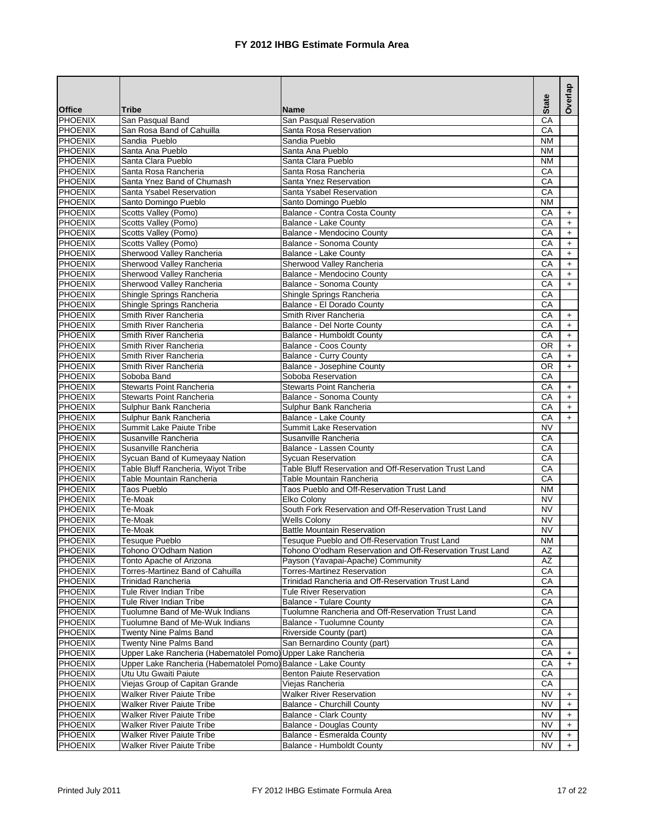|                                  |                                                                                               |                                                               | <b>State</b>           | Overlap                |
|----------------------------------|-----------------------------------------------------------------------------------------------|---------------------------------------------------------------|------------------------|------------------------|
| <b>Office</b>                    | <b>Tribe</b>                                                                                  | <b>Name</b>                                                   |                        |                        |
| <b>PHOENIX</b>                   | San Pasqual Band                                                                              | San Pasqual Reservation                                       | $\overline{CA}$        |                        |
| <b>PHOENIX</b>                   | San Rosa Band of Cahuilla                                                                     | Santa Rosa Reservation                                        | CA                     |                        |
| <b>PHOENIX</b>                   | Sandia Pueblo                                                                                 | Sandia Pueblo                                                 | <b>NM</b>              |                        |
| <b>PHOENIX</b>                   | Santa Ana Pueblo                                                                              | Santa Ana Pueblo                                              | <b>NM</b>              |                        |
| <b>PHOENIX</b>                   | Santa Clara Pueblo                                                                            | Santa Clara Pueblo                                            | <b>NM</b>              |                        |
| <b>PHOENIX</b>                   | Santa Rosa Rancheria                                                                          | Santa Rosa Rancheria                                          | СA                     |                        |
| <b>PHOENIX</b>                   | Santa Ynez Band of Chumash                                                                    | Santa Ynez Reservation                                        | CA                     |                        |
| <b>PHOENIX</b>                   | Santa Ysabel Reservation                                                                      | Santa Ysabel Reservation                                      | CA                     |                        |
| <b>PHOENIX</b><br><b>PHOENIX</b> | Santo Domingo Pueblo                                                                          | Santo Domingo Pueblo                                          | <b>NM</b><br>CA        |                        |
| <b>PHOENIX</b>                   | Scotts Valley (Pomo)<br>Scotts Valley (Pomo)                                                  | Balance - Contra Costa County<br><b>Balance - Lake County</b> | CA                     | $\pm$                  |
| <b>PHOENIX</b>                   | Scotts Valley (Pomo)                                                                          | Balance - Mendocino County                                    | CA                     | $\pm$<br>$+$           |
| <b>PHOENIX</b>                   | Scotts Valley (Pomo)                                                                          | Balance - Sonoma County                                       | CA                     | $\ddag$                |
| PHOENIX                          | Sherwood Valley Rancheria                                                                     | <b>Balance - Lake County</b>                                  | CA                     | $\ddot{}$              |
| <b>PHOENIX</b>                   | Sherwood Valley Rancheria                                                                     | Sherwood Valley Rancheria                                     | CA                     | $\pm$                  |
| <b>PHOENIX</b>                   | Sherwood Valley Rancheria                                                                     | Balance - Mendocino County                                    | CA                     | $+$                    |
| <b>PHOENIX</b>                   | Sherwood Valley Rancheria                                                                     | Balance - Sonoma County                                       | CA                     | $+$                    |
| PHOENIX                          | Shingle Springs Rancheria                                                                     | Shingle Springs Rancheria                                     | CA                     |                        |
| <b>PHOENIX</b>                   | Shingle Springs Rancheria                                                                     | Balance - El Dorado County                                    | CA                     |                        |
| <b>PHOENIX</b>                   | Smith River Rancheria                                                                         | Smith River Rancheria                                         | $\overline{CA}$        | $+$                    |
| <b>PHOENIX</b>                   | Smith River Rancheria                                                                         | Balance - Del Norte County                                    | CA                     | $\pm$                  |
| PHOENIX                          | Smith River Rancheria                                                                         | Balance - Humboldt County                                     | CA                     | $\ddot{}$              |
| <b>PHOENIX</b>                   | Smith River Rancheria                                                                         | Balance - Coos County                                         | <b>OR</b>              | $\pm$                  |
| <b>PHOENIX</b>                   | Smith River Rancheria                                                                         | <b>Balance - Curry County</b>                                 | CA                     | $+$                    |
| <b>PHOENIX</b>                   | Smith River Rancheria                                                                         | Balance - Josephine County                                    | <b>OR</b>              | $\ddot{}$              |
| <b>PHOENIX</b>                   | Soboba Band                                                                                   | Soboba Reservation                                            | CA                     |                        |
| <b>PHOENIX</b>                   | Stewarts Point Rancheria                                                                      | <b>Stewarts Point Rancheria</b>                               | СA                     | $+$                    |
| <b>PHOENIX</b>                   | Stewarts Point Rancheria                                                                      | Balance - Sonoma County                                       | CA                     | $\ddot{}$              |
| <b>PHOENIX</b>                   | Sulphur Bank Rancheria                                                                        | Sulphur Bank Rancheria                                        | CA                     | $+$                    |
| <b>PHOENIX</b>                   | Sulphur Bank Rancheria                                                                        | <b>Balance - Lake County</b>                                  | CA                     | $\ddot{\phantom{1}}$   |
| <b>PHOENIX</b>                   | Summit Lake Paiute Tribe                                                                      | <b>Summit Lake Reservation</b>                                | $\overline{\text{NV}}$ |                        |
| <b>PHOENIX</b>                   | Susanville Rancheria                                                                          | Susanville Rancheria                                          | CA                     |                        |
| <b>PHOENIX</b>                   | Susanville Rancheria                                                                          | Balance - Lassen County                                       | CA                     |                        |
| <b>PHOENIX</b>                   | Sycuan Band of Kumeyaay Nation                                                                | <b>Sycuan Reservation</b>                                     | CA                     |                        |
| PHOENIX                          | Table Bluff Rancheria, Wiyot Tribe                                                            | Table Bluff Reservation and Off-Reservation Trust Land        | CA                     |                        |
| <b>PHOENIX</b>                   | Table Mountain Rancheria                                                                      | Table Mountain Rancheria                                      | CA                     |                        |
| <b>PHOENIX</b>                   | Taos Pueblo                                                                                   | Taos Pueblo and Off-Reservation Trust Land                    | <b>NM</b>              |                        |
| <b>PHOENIX</b>                   | Te-Moak                                                                                       | Elko Colony                                                   | <b>NV</b>              |                        |
| <b>PHOENIX</b>                   | Te-Moak                                                                                       | South Fork Reservation and Off-Reservation Trust Land         | <b>NV</b>              |                        |
| <b>PHOENIX</b>                   | Te-Moak                                                                                       | <b>Wells Colony</b>                                           | <b>NV</b>              |                        |
| <b>PHOENIX</b>                   | Te-Moak                                                                                       | <b>Battle Mountain Reservation</b>                            | $\overline{\text{NV}}$ |                        |
| <b>PHOENIX</b>                   | <b>Tesuque Pueblo</b>                                                                         | Tesuque Pueblo and Off-Reservation Trust Land                 | <b>NM</b>              |                        |
| <b>PHOENIX</b>                   | Tohono O'Odham Nation                                                                         | Tohono O'odham Reservation and Off-Reservation Trust Land     | AΖ                     |                        |
| PHOENIX                          | Tonto Apache of Arizona                                                                       | Payson (Yavapai-Apache) Community                             | <b>AZ</b>              |                        |
| PHOENIX                          | Torres-Martinez Band of Cahuilla                                                              | <b>Torres-Martinez Reservation</b>                            | CA                     |                        |
| PHOENIX                          | <b>Trinidad Rancheria</b>                                                                     | Trinidad Rancheria and Off-Reservation Trust Land             | CA                     |                        |
| <b>PHOENIX</b>                   | Tule River Indian Tribe                                                                       | <b>Tule River Reservation</b>                                 | СA                     |                        |
| <b>PHOENIX</b>                   | Tule River Indian Tribe                                                                       | <b>Balance - Tulare County</b>                                | CA                     |                        |
| <b>PHOENIX</b>                   | Tuolumne Band of Me-Wuk Indians                                                               | Tuolumne Rancheria and Off-Reservation Trust Land             | CA                     |                        |
| <b>PHOENIX</b>                   | Tuolumne Band of Me-Wuk Indians                                                               | <b>Balance - Tuolumne County</b>                              | CA                     |                        |
| <b>PHOENIX</b>                   | Twenty Nine Palms Band                                                                        | Riverside County (part)                                       | СA                     |                        |
| <b>PHOENIX</b>                   | <b>Twenty Nine Palms Band</b><br>Upper Lake Rancheria (Habematolel Pomo) Upper Lake Rancheria | San Bernardino County (part)                                  | CA<br>CA               |                        |
| <b>PHOENIX</b><br><b>PHOENIX</b> |                                                                                               |                                                               | СA                     | $+$                    |
| <b>PHOENIX</b>                   | Upper Lake Rancheria (Habematolel Pomo) Balance - Lake County                                 |                                                               | CA                     | $\ddot{}$              |
| <b>PHOENIX</b>                   | Utu Utu Gwaiti Paiute<br>Viejas Group of Capitan Grande                                       | <b>Benton Paiute Reservation</b><br>Viejas Rancheria          | СA                     |                        |
| <b>PHOENIX</b>                   | <b>Walker River Paiute Tribe</b>                                                              | <b>Walker River Reservation</b>                               | <b>NV</b>              |                        |
| <b>PHOENIX</b>                   | <b>Walker River Paiute Tribe</b>                                                              | <b>Balance - Churchill County</b>                             | NV                     | $\ddot{}$<br>$+$       |
| <b>PHOENIX</b>                   | <b>Walker River Paiute Tribe</b>                                                              | <b>Balance - Clark County</b>                                 | NV                     |                        |
| <b>PHOENIX</b>                   | <b>Walker River Paiute Tribe</b>                                                              | <b>Balance - Douglas County</b>                               | NV                     | $\ddot{}$<br>$\ddot{}$ |
| <b>PHOENIX</b>                   | <b>Walker River Paiute Tribe</b>                                                              | Balance - Esmeralda County                                    | <b>NV</b>              | $\ddot{}$              |
| <b>PHOENIX</b>                   | <b>Walker River Paiute Tribe</b>                                                              | Balance - Humboldt County                                     | <b>NV</b>              | $+$                    |
|                                  |                                                                                               |                                                               |                        |                        |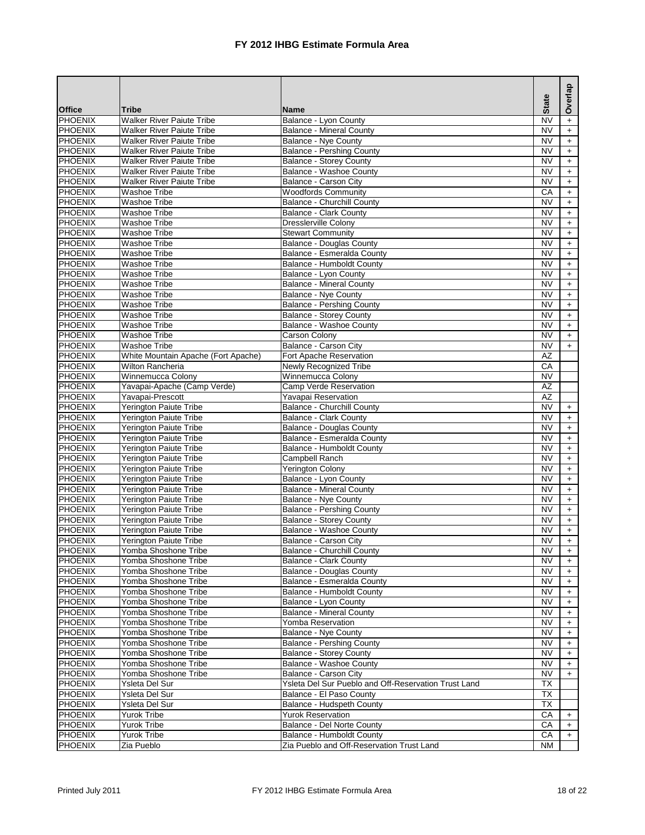|                                  |                                              |                                                                                  | <b>State</b>                 | Overlap          |
|----------------------------------|----------------------------------------------|----------------------------------------------------------------------------------|------------------------------|------------------|
| <b>Office</b>                    | <b>Tribe</b>                                 | <b>Name</b>                                                                      |                              |                  |
| <b>PHOENIX</b>                   | <b>Walker River Paiute Tribe</b>             | Balance - Lyon County                                                            | <b>NV</b>                    | $+$              |
| <b>PHOENIX</b>                   | <b>Walker River Paiute Tribe</b>             | <b>Balance - Mineral County</b>                                                  | <b>NV</b>                    | $\ddag$          |
| PHOENIX                          | <b>Walker River Paiute Tribe</b>             | Balance - Nye County                                                             | <b>NV</b>                    | $\pm$            |
| <b>PHOENIX</b>                   | <b>Walker River Paiute Tribe</b>             | <b>Balance - Pershing County</b>                                                 | <b>NV</b>                    | $\ddot{}$        |
| <b>PHOENIX</b>                   | <b>Walker River Paiute Tribe</b>             | <b>Balance - Storey County</b>                                                   | <b>NV</b>                    | $+$              |
| <b>PHOENIX</b>                   | <b>Walker River Paiute Tribe</b>             | <b>Balance - Washoe County</b>                                                   | <b>NV</b>                    | $\pm$            |
| <b>PHOENIX</b>                   | <b>Walker River Paiute Tribe</b>             | Balance - Carson City                                                            | <b>NV</b>                    | $\ddot{}$        |
| <b>PHOENIX</b>                   | <b>Washoe Tribe</b>                          | <b>Woodfords Community</b>                                                       | CA                           | $\ddot{}$        |
| <b>PHOENIX</b><br><b>PHOENIX</b> | Washoe Tribe                                 | <b>Balance - Churchill County</b>                                                | <b>NV</b><br><b>NV</b>       | $\ddot{}$        |
| <b>PHOENIX</b>                   | <b>Washoe Tribe</b><br>Washoe Tribe          | <b>Balance - Clark County</b><br><b>Dresslerville Colony</b>                     | <b>NV</b>                    | $\pm$            |
| <b>PHOENIX</b>                   | <b>Washoe Tribe</b>                          | <b>Stewart Community</b>                                                         | <b>NV</b>                    | $\ddag$<br>$+$   |
| <b>PHOENIX</b>                   | <b>Washoe Tribe</b>                          | <b>Balance - Douglas County</b>                                                  | <b>NV</b>                    | $+$              |
| <b>PHOENIX</b>                   | <b>Washoe Tribe</b>                          | Balance - Esmeralda County                                                       | <b>NV</b>                    | $\pm$            |
| <b>PHOENIX</b>                   | <b>Washoe Tribe</b>                          | Balance - Humboldt County                                                        | <b>NV</b>                    | $\ddot{}$        |
| <b>PHOENIX</b>                   | <b>Washoe Tribe</b>                          | Balance - Lyon County                                                            | <b>NV</b>                    | $\pm$            |
| <b>PHOENIX</b>                   | <b>Washoe Tribe</b>                          | <b>Balance - Mineral County</b>                                                  | <b>NV</b>                    | $\ddot{}$        |
| <b>PHOENIX</b>                   | <b>Washoe Tribe</b>                          | <b>Balance - Nye County</b>                                                      | <b>NV</b>                    | $+$              |
| <b>PHOENIX</b>                   | <b>Washoe Tribe</b>                          | <b>Balance - Pershing County</b>                                                 | <b>NV</b>                    | $\ddag$          |
| <b>PHOENIX</b>                   | <b>Washoe Tribe</b>                          | <b>Balance - Storey County</b>                                                   | <b>NV</b>                    | $\pm$            |
| <b>PHOENIX</b>                   | <b>Washoe Tribe</b>                          | Balance - Washoe County                                                          | <b>NV</b>                    | $\ddot{}$        |
| <b>PHOENIX</b>                   | Washoe Tribe                                 | <b>Carson Colony</b>                                                             | <b>NV</b>                    | $\boldsymbol{+}$ |
| <b>PHOENIX</b>                   | <b>Washoe Tribe</b>                          | Balance - Carson City                                                            | <b>NV</b>                    | $\ddot{}$        |
| <b>PHOENIX</b>                   | White Mountain Apache (Fort Apache)          | Fort Apache Reservation                                                          | <b>AZ</b>                    |                  |
| <b>PHOENIX</b>                   | <b>Wilton Rancheria</b>                      | Newly Recognized Tribe                                                           | CA                           |                  |
| <b>PHOENIX</b>                   | Winnemucca Colony                            | Winnemucca Colony                                                                | $\overline{\text{NV}}$       |                  |
| <b>PHOENIX</b>                   | Yavapai-Apache (Camp Verde)                  | Camp Verde Reservation                                                           | AZ                           |                  |
| <b>PHOENIX</b>                   | Yavapai-Prescott                             | Yavapai Reservation                                                              | AZ                           |                  |
| <b>PHOENIX</b>                   | <b>Yerington Paiute Tribe</b>                | <b>Balance - Churchill County</b>                                                | <b>NV</b>                    | $+$              |
| <b>PHOENIX</b>                   | Yerington Paiute Tribe                       | <b>Balance - Clark County</b>                                                    | <b>NV</b>                    | $+$              |
| <b>PHOENIX</b>                   | Yerington Paiute Tribe                       | <b>Balance - Douglas County</b>                                                  | <b>NV</b>                    | $\pm$            |
| <b>PHOENIX</b>                   | Yerington Paiute Tribe                       | Balance - Esmeralda County                                                       | <b>NV</b>                    | $\pm$            |
| <b>PHOENIX</b>                   | Yerington Paiute Tribe                       | Balance - Humboldt County                                                        | <b>NV</b>                    | $+$              |
| <b>PHOENIX</b>                   | <b>Yerington Paiute Tribe</b>                | Campbell Ranch                                                                   | <b>NV</b>                    | $\ddot{}$        |
| <b>PHOENIX</b>                   | Yerington Paiute Tribe                       | <b>Yerington Colony</b>                                                          | <b>NV</b>                    | $\ddot{}$        |
| <b>PHOENIX</b>                   | Yerington Paiute Tribe                       | Balance - Lyon County                                                            | <b>NV</b>                    | $\ddot{}$        |
| <b>PHOENIX</b>                   | Yerington Paiute Tribe                       | <b>Balance - Mineral County</b>                                                  | <b>NV</b>                    | $\pm$            |
| <b>PHOENIX</b>                   | Yerington Paiute Tribe                       | <b>Balance - Nye County</b>                                                      | <b>NV</b>                    | $+$              |
| <b>PHOENIX</b>                   | Yerington Paiute Tribe                       | <b>Balance - Pershing County</b>                                                 | <b>NV</b>                    | $\pm$            |
| <b>PHOENIX</b>                   | <b>Yerington Paiute Tribe</b>                | <b>Balance - Storey County</b>                                                   | <b>NV</b>                    | $\ddag$          |
| <b>PHOENIX</b>                   | Yerington Paiute Tribe                       | Balance - Washoe County                                                          | <b>NV</b>                    | $\ddot{}$        |
| <b>PHOENIX</b>                   | <b>Yerington Paiute Tribe</b>                | <b>Balance - Carson City</b>                                                     | <b>NV</b>                    | $+$              |
| <b>PHOENIX</b>                   | Yomba Shoshone Tribe                         | <b>Balance - Churchill County</b>                                                | <b>NV</b>                    | +                |
| <b>PHOENIX</b>                   | Yomba Shoshone Tribe                         | <b>Balance - Clark County</b>                                                    | <b>NV</b>                    | $\ddag$          |
| PHOENIX                          | Yomba Shoshone Tribe                         | <b>Balance - Douglas County</b>                                                  | <b>NV</b>                    | $\ddot{}$        |
| <b>PHOENIX</b>                   | Yomba Shoshone Tribe                         | Balance - Esmeralda County                                                       | NV                           | $\ddot{}$        |
| <b>PHOENIX</b>                   | Yomba Shoshone Tribe                         | Balance - Humboldt County                                                        | <b>NV</b>                    | $\ddot{}$        |
| PHOENIX                          | Yomba Shoshone Tribe                         | Balance - Lyon County                                                            | NV                           | $\pm$            |
| <b>PHOENIX</b>                   | Yomba Shoshone Tribe                         | <b>Balance - Mineral County</b>                                                  | <b>NV</b>                    | $\ddot{}$        |
| PHOENIX                          | Yomba Shoshone Tribe                         | Yomba Reservation                                                                | <b>NV</b>                    | $\ddot{}$        |
| PHOENIX                          | Yomba Shoshone Tribe                         | <b>Balance - Nye County</b>                                                      | <b>NV</b>                    | $\ddot{}$        |
| PHOENIX                          | Yomba Shoshone Tribe                         | <b>Balance - Pershing County</b>                                                 | NV                           | $+$              |
| PHOENIX                          | Yomba Shoshone Tribe<br>Yomba Shoshone Tribe | <b>Balance - Storey County</b>                                                   | <b>NV</b>                    | $\ddot{}$        |
| <b>PHOENIX</b>                   | Yomba Shoshone Tribe                         | Balance - Washoe County                                                          | NV<br>$\overline{\text{NV}}$ | $\ddot{}$        |
| <b>PHOENIX</b>                   |                                              | Balance - Carson City                                                            |                              | $+$              |
| PHOENIX<br>PHOENIX               | Ysleta Del Sur<br>Ysleta Del Sur             | Ysleta Del Sur Pueblo and Off-Reservation Trust Land<br>Balance - El Paso County | TX<br><b>TX</b>              |                  |
| <b>PHOENIX</b>                   | Ysleta Del Sur                               | Balance - Hudspeth County                                                        | TX                           |                  |
| <b>PHOENIX</b>                   | Yurok Tribe                                  | <b>Yurok Reservation</b>                                                         | CA                           |                  |
| PHOENIX                          | <b>Yurok Tribe</b>                           | Balance - Del Norte County                                                       | CA                           | $\ddot{}$<br>$+$ |
| PHOENIX                          | Yurok Tribe                                  | Balance - Humboldt County                                                        | CA                           | $+$              |
| <b>PHOENIX</b>                   | Zia Pueblo                                   | Zia Pueblo and Off-Reservation Trust Land                                        | <b>NM</b>                    |                  |
|                                  |                                              |                                                                                  |                              |                  |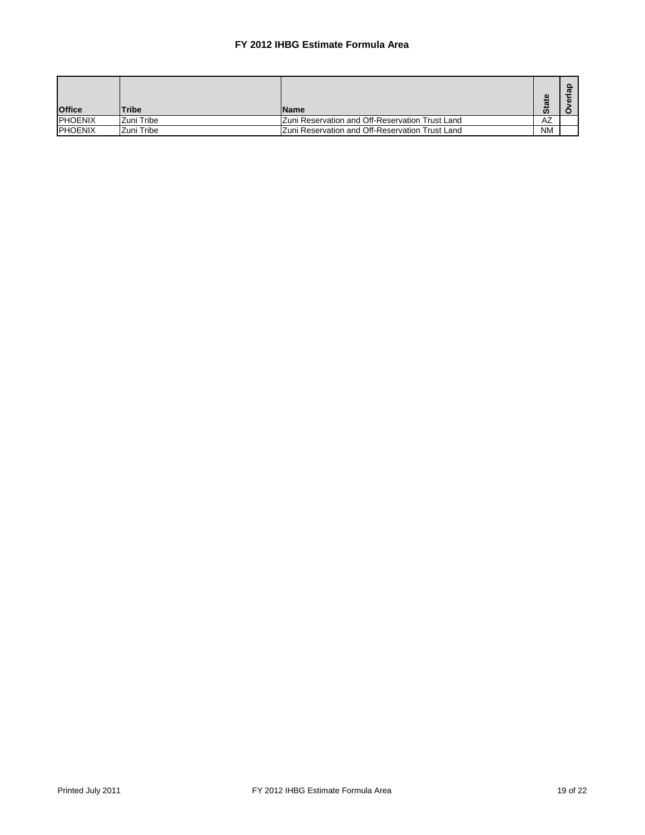| <b>Office</b>   | <b>Tribe</b> | lName                                           | e,<br>$\ddot{\mathbf{s}}$ |  |
|-----------------|--------------|-------------------------------------------------|---------------------------|--|
| <b>IPHOENIX</b> | Zuni Tribe   | Zuni Reservation and Off-Reservation Trust Land | AZ                        |  |
| <b>IPHOENIX</b> | IZuni Tribe  | Zuni Reservation and Off-Reservation Trust Land | <b>NM</b>                 |  |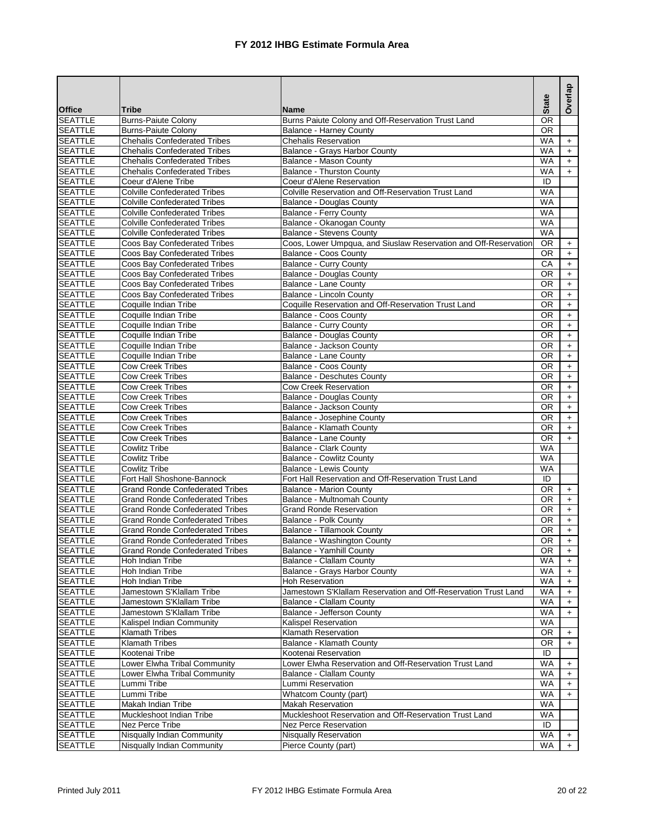|                                  |                                                            |                                                                  | <b>State</b>           | Overlap   |
|----------------------------------|------------------------------------------------------------|------------------------------------------------------------------|------------------------|-----------|
| <b>Office</b>                    | <b>Tribe</b>                                               | <b>Name</b>                                                      |                        |           |
| <b>SEATTLE</b>                   | <b>Burns-Paiute Colony</b>                                 | Burns Paiute Colony and Off-Reservation Trust Land               | $\overline{OR}$        |           |
| <b>SEATTLE</b>                   | <b>Burns-Paiute Colony</b>                                 | <b>Balance - Harney County</b>                                   | $\overline{OR}$        |           |
| <b>SEATTLE</b>                   | <b>Chehalis Confederated Tribes</b>                        | <b>Chehalis Reservation</b>                                      | <b>WA</b>              | $+$       |
| <b>SEATTLE</b>                   | <b>Chehalis Confederated Tribes</b>                        | Balance - Grays Harbor County                                    | <b>WA</b>              | $+$       |
| <b>SEATTLE</b>                   | <b>Chehalis Confederated Tribes</b>                        | Balance - Mason County                                           | <b>WA</b>              | $+$       |
| <b>SEATTLE</b><br><b>SEATTLE</b> | <b>Chehalis Confederated Tribes</b><br>Coeur d'Alene Tribe | <b>Balance - Thurston County</b><br>Coeur d'Alene Reservation    | <b>WA</b><br>ID        | $+$       |
| <b>SEATTLE</b>                   | <b>Colville Confederated Tribes</b>                        | Colville Reservation and Off-Reservation Trust Land              | <b>WA</b>              |           |
| <b>SEATTLE</b>                   | <b>Colville Confederated Tribes</b>                        | <b>Balance - Douglas County</b>                                  | <b>WA</b>              |           |
| <b>SEATTLE</b>                   | <b>Colville Confederated Tribes</b>                        | <b>Balance - Ferry County</b>                                    | <b>WA</b>              |           |
| <b>SEATTLE</b>                   | <b>Colville Confederated Tribes</b>                        | Balance - Okanogan County                                        | <b>WA</b>              |           |
| <b>SEATTLE</b>                   | <b>Colville Confederated Tribes</b>                        | <b>Balance - Stevens County</b>                                  | <b>WA</b>              |           |
| <b>SEATTLE</b>                   | Coos Bay Confederated Tribes                               | Coos, Lower Umpqua, and Siuslaw Reservation and Off-Reservation  | <b>OR</b>              | $+$       |
| <b>SEATTLE</b>                   | Coos Bay Confederated Tribes                               | Balance - Coos County                                            | <b>OR</b>              | $\ddot{}$ |
| <b>SEATTLE</b>                   | Coos Bay Confederated Tribes                               | <b>Balance - Curry County</b>                                    | CA                     | $\ddag$   |
| <b>SEATTLE</b>                   | Coos Bay Confederated Tribes                               | <b>Balance - Douglas County</b>                                  | $\overline{OR}$        | $+$       |
| <b>SEATTLE</b>                   | Coos Bay Confederated Tribes                               | <b>Balance - Lane County</b>                                     | <b>OR</b>              | $+$       |
| <b>SEATTLE</b>                   | Coos Bay Confederated Tribes                               | Balance - Lincoln County                                         | <b>OR</b>              | $\ddot{}$ |
| <b>SEATTLE</b>                   | Coquille Indian Tribe                                      | Coquille Reservation and Off-Reservation Trust Land              | 0R                     | $\pm$     |
| <b>SEATTLE</b>                   | Coquille Indian Tribe                                      | Balance - Coos County                                            | <b>OR</b>              | $\ddag$   |
| <b>SEATTLE</b>                   | Coquille Indian Tribe                                      | <b>Balance - Curry County</b>                                    | 0R                     | $+$       |
| <b>SEATTLE</b>                   | Coquille Indian Tribe                                      | <b>Balance - Douglas County</b>                                  | <b>OR</b>              | $\pm$     |
| <b>SEATTLE</b>                   | Coquille Indian Tribe                                      | Balance - Jackson County                                         | <b>OR</b>              | $\ddot{}$ |
| <b>SEATTLE</b>                   | Coquille Indian Tribe                                      | <b>Balance - Lane County</b>                                     | OR                     | $\pm$     |
| <b>SEATTLE</b>                   | <b>Cow Creek Tribes</b>                                    | <b>Balance - Coos County</b>                                     | <b>OR</b>              | $+$       |
| <b>SEATTLE</b>                   | <b>Cow Creek Tribes</b>                                    | <b>Balance - Deschutes County</b>                                | <b>OR</b>              | $\ddot{}$ |
| <b>SEATTLE</b>                   | <b>Cow Creek Tribes</b>                                    | <b>Cow Creek Reservation</b>                                     | 0R                     | $\ddot{}$ |
| <b>SEATTLE</b>                   | <b>Cow Creek Tribes</b>                                    | <b>Balance - Douglas County</b>                                  | OR                     | $\pm$     |
| <b>SEATTLE</b>                   | <b>Cow Creek Tribes</b>                                    | Balance - Jackson County                                         | OR                     | $+$       |
| <b>SEATTLE</b>                   | <b>Cow Creek Tribes</b>                                    | Balance - Josephine County                                       | <b>OR</b>              | $+$       |
| <b>SEATTLE</b>                   | <b>Cow Creek Tribes</b>                                    | Balance - Klamath County                                         | <b>OR</b>              | $+$       |
| <b>SEATTLE</b>                   | <b>Cow Creek Tribes</b>                                    | <b>Balance - Lane County</b>                                     | <b>OR</b>              | $+$       |
| <b>SEATTLE</b><br><b>SEATTLE</b> | <b>Cowlitz Tribe</b><br><b>Cowlitz Tribe</b>               | <b>Balance - Clark County</b><br><b>Balance - Cowlitz County</b> | <b>WA</b><br><b>WA</b> |           |
| <b>SEATTLE</b>                   | <b>Cowlitz Tribe</b>                                       | <b>Balance - Lewis County</b>                                    | <b>WA</b>              |           |
| <b>SEATTLE</b>                   | Fort Hall Shoshone-Bannock                                 | Fort Hall Reservation and Off-Reservation Trust Land             | ID                     |           |
| <b>SEATTLE</b>                   | <b>Grand Ronde Confederated Tribes</b>                     | <b>Balance - Marion County</b>                                   | <b>OR</b>              | $+$       |
| <b>SEATTLE</b>                   | <b>Grand Ronde Confederated Tribes</b>                     | Balance - Multnomah County                                       | <b>OR</b>              | $+$       |
| <b>SEATTLE</b>                   | <b>Grand Ronde Confederated Tribes</b>                     | <b>Grand Ronde Reservation</b>                                   | <b>OR</b>              | $+$       |
| <b>SEATTLE</b>                   | <b>Grand Ronde Confederated Tribes</b>                     | <b>Balance - Polk County</b>                                     | <b>OR</b>              | $+$       |
| <b>SEATTLE</b>                   | Grand Ronde Confederated Tribes                            | Balance - Tillamook County                                       | $\overline{OR}$        | $+$       |
| <b>SEATTLE</b>                   | <b>Grand Ronde Confederated Tribes</b>                     | Balance - Washington County                                      | <b>OR</b>              | $+$       |
| SEATTLE                          | Grand Ronde Confederated Tribes                            | Balance - Yamhill County                                         | OR.                    | +         |
| <b>SEATTLE</b>                   | Hoh Indian Tribe                                           | <b>Balance - Clallam County</b>                                  | WA                     | $+$       |
| <b>SEATTLE</b>                   | Hoh Indian Tribe                                           | Balance - Grays Harbor County                                    | <b>WA</b>              | $+$       |
| <b>SEATTLE</b>                   | Hoh Indian Tribe                                           | <b>Hoh Reservation</b>                                           | <b>WA</b>              | $+$       |
| <b>SEATTLE</b>                   | Jamestown S'Klallam Tribe                                  | Jamestown S'Klallam Reservation and Off-Reservation Trust Land   | WA                     | $\ddot{}$ |
| <b>SEATTLE</b>                   | Jamestown S'Klallam Tribe                                  | Balance - Clallam County                                         | WA                     | $\ddot{}$ |
| <b>SEATTLE</b>                   | Jamestown S'Klallam Tribe                                  | Balance - Jefferson County                                       | <b>WA</b>              | $+$       |
| <b>SEATTLE</b>                   | Kalispel Indian Community                                  | Kalispel Reservation                                             | WA                     |           |
| <b>SEATTLE</b>                   | <b>Klamath Tribes</b>                                      | Klamath Reservation                                              | <b>OR</b>              | $\ddot{}$ |
| <b>SEATTLE</b>                   | <b>Klamath Tribes</b>                                      | <b>Balance - Klamath County</b>                                  | 0R                     | $\ddot{}$ |
| <b>SEATTLE</b>                   | Kootenai Tribe                                             | Kootenai Reservation                                             | ID                     |           |
| <b>SEATTLE</b>                   | Lower Elwha Tribal Community                               | Lower Elwha Reservation and Off-Reservation Trust Land           | WA                     | $\ddot{}$ |
| <b>SEATTLE</b>                   | Lower Elwha Tribal Community                               | <b>Balance - Clallam County</b>                                  | <b>WA</b>              | $+$       |
| <b>SEATTLE</b>                   | Lummi Tribe                                                | Lummi Reservation                                                | WA                     | $\ddot{}$ |
| <b>SEATTLE</b>                   | Lummi Tribe                                                | Whatcom County (part)                                            | <b>WA</b>              | $+$       |
| <b>SEATTLE</b>                   | Makah Indian Tribe                                         | <b>Makah Reservation</b>                                         | <b>WA</b>              |           |
| <b>SEATTLE</b>                   | Muckleshoot Indian Tribe                                   | Muckleshoot Reservation and Off-Reservation Trust Land           | WA                     |           |
| <b>SEATTLE</b>                   | Nez Perce Tribe                                            | <b>Nez Perce Reservation</b>                                     | ID                     |           |
| <b>SEATTLE</b>                   | Nisqually Indian Community                                 | <b>Nisqually Reservation</b>                                     | WA                     | $+$       |
| <b>SEATTLE</b>                   | Nisqually Indian Community                                 | Pierce County (part)                                             | WA                     | $+$       |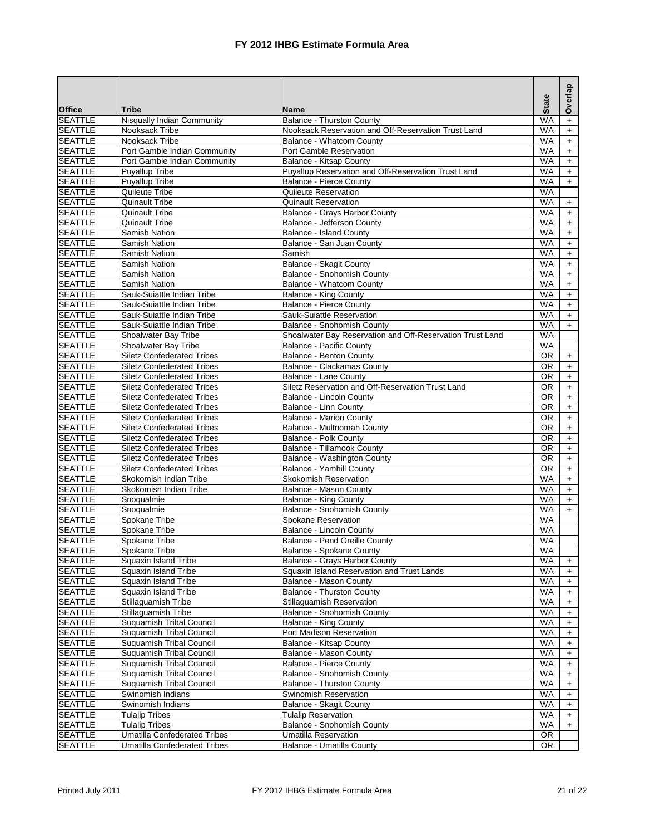|                                  |                                                |                                                                                       | <b>State</b>           | Overlap                          |
|----------------------------------|------------------------------------------------|---------------------------------------------------------------------------------------|------------------------|----------------------------------|
| <b>Office</b>                    | <b>Tribe</b>                                   | <b>Name</b>                                                                           |                        |                                  |
| <b>SEATTLE</b>                   | <b>Nisqually Indian Community</b>              | <b>Balance - Thurston County</b>                                                      | <b>WA</b>              | $\ddot{}$                        |
| <b>SEATTLE</b>                   | Nooksack Tribe                                 | Nooksack Reservation and Off-Reservation Trust Land                                   | <b>WA</b>              | $\ddot{}$                        |
| <b>SEATTLE</b>                   | Nooksack Tribe                                 | Balance - Whatcom County                                                              | <b>WA</b>              | $\ddot{}$                        |
| <b>SEATTLE</b>                   | Port Gamble Indian Community                   | <b>Port Gamble Reservation</b>                                                        | <b>WA</b>              | $\ddot{}$                        |
| <b>SEATTLE</b>                   | Port Gamble Indian Community                   | Balance - Kitsap County                                                               | <b>WA</b>              | $\ddot{}$                        |
| <b>SEATTLE</b><br><b>SEATTLE</b> | <b>Puyallup Tribe</b><br><b>Puyallup Tribe</b> | Puyallup Reservation and Off-Reservation Trust Land<br><b>Balance - Pierce County</b> | <b>WA</b><br><b>WA</b> | $\ddot{}$                        |
| <b>SEATTLE</b>                   | Quileute Tribe                                 | Quileute Reservation                                                                  | <b>WA</b>              | $\ddot{}$                        |
| <b>SEATTLE</b>                   | <b>Quinault Tribe</b>                          | <b>Quinault Reservation</b>                                                           | <b>WA</b>              |                                  |
| <b>SEATTLE</b>                   | Quinault Tribe                                 | Balance - Grays Harbor County                                                         | <b>WA</b>              | $\ddot{}$<br>$\ddot{}$           |
| <b>SEATTLE</b>                   | <b>Quinault Tribe</b>                          | Balance - Jefferson County                                                            | <b>WA</b>              | $\ddot{}$                        |
| <b>SEATTLE</b>                   | <b>Samish Nation</b>                           | <b>Balance - Island County</b>                                                        | <b>WA</b>              | $\ddot{}$                        |
| <b>SEATTLE</b>                   | Samish Nation                                  | Balance - San Juan County                                                             | <b>WA</b>              | $\ddot{}$                        |
| <b>SEATTLE</b>                   | Samish Nation                                  | Samish                                                                                | <b>WA</b>              | $\ddot{}$                        |
| <b>SEATTLE</b>                   | Samish Nation                                  | <b>Balance - Skagit County</b>                                                        | <b>WA</b>              | $\pm$                            |
| <b>SEATTLE</b>                   | Samish Nation                                  | Balance - Snohomish County                                                            | <b>WA</b>              | $\ddot{}$                        |
| <b>SEATTLE</b>                   | Samish Nation                                  | <b>Balance - Whatcom County</b>                                                       | <b>WA</b>              | $\ddot{}$                        |
| <b>SEATTLE</b>                   | Sauk-Suiattle Indian Tribe                     | <b>Balance - King County</b>                                                          | <b>WA</b>              | $\ddot{}$                        |
| <b>SEATTLE</b>                   | Sauk-Suiattle Indian Tribe                     | Balance - Pierce County                                                               | <b>WA</b>              | $\ddot{}$                        |
| <b>SEATTLE</b>                   | Sauk-Suiattle Indian Tribe                     | Sauk-Suiattle Reservation                                                             | <b>WA</b>              | $+$                              |
| <b>SEATTLE</b>                   | Sauk-Suiattle Indian Tribe                     | Balance - Snohomish County                                                            | <b>WA</b>              | $+$                              |
| <b>SEATTLE</b>                   | Shoalwater Bay Tribe                           | Shoalwater Bay Reservation and Off-Reservation Trust Land                             | <b>WA</b>              |                                  |
| <b>SEATTLE</b>                   | Shoalwater Bay Tribe                           | <b>Balance - Pacific County</b>                                                       | <b>WA</b>              |                                  |
| <b>SEATTLE</b>                   | <b>Siletz Confederated Tribes</b>              | <b>Balance - Benton County</b>                                                        | <b>OR</b>              | $\ddot{}$                        |
| <b>SEATTLE</b>                   | <b>Siletz Confederated Tribes</b>              | Balance - Clackamas County                                                            | <b>OR</b>              | $+$                              |
| <b>SEATTLE</b>                   | <b>Siletz Confederated Tribes</b>              | Balance - Lane County                                                                 | <b>OR</b>              | $\ddot{}$                        |
| <b>SEATTLE</b>                   | <b>Siletz Confederated Tribes</b>              | Siletz Reservation and Off-Reservation Trust Land                                     | <b>OR</b>              | $\ddot{}$                        |
| <b>SEATTLE</b>                   | <b>Siletz Confederated Tribes</b>              | <b>Balance - Lincoln County</b>                                                       | <b>OR</b>              | $\ddot{}$                        |
| <b>SEATTLE</b>                   | <b>Siletz Confederated Tribes</b>              | Balance - Linn County                                                                 | <b>OR</b>              | $\ddot{}$                        |
| <b>SEATTLE</b>                   | <b>Siletz Confederated Tribes</b>              | <b>Balance - Marion County</b>                                                        | OR                     | $\pm$                            |
| <b>SEATTLE</b>                   | <b>Siletz Confederated Tribes</b>              | Balance - Multnomah County                                                            | <b>OR</b>              | $\ddot{}$                        |
| <b>SEATTLE</b>                   | <b>Siletz Confederated Tribes</b>              | Balance - Polk County                                                                 | <b>OR</b>              | $\ddot{}$                        |
| <b>SEATTLE</b>                   | <b>Siletz Confederated Tribes</b>              | <b>Balance - Tillamook County</b>                                                     | <b>OR</b>              | $\ddot{}$                        |
| <b>SEATTLE</b>                   | <b>Siletz Confederated Tribes</b>              | Balance - Washington County                                                           | <b>OR</b>              | $\pm$                            |
| <b>SEATTLE</b>                   | <b>Siletz Confederated Tribes</b>              | Balance - Yamhill County                                                              | <b>OR</b>              | $\ddot{}$                        |
| <b>SEATTLE</b>                   | Skokomish Indian Tribe                         | <b>Skokomish Reservation</b>                                                          | <b>WA</b>              | $\pm$                            |
| <b>SEATTLE</b>                   | Skokomish Indian Tribe                         | Balance - Mason County                                                                | <b>WA</b>              | $\ddot{}$                        |
| <b>SEATTLE</b>                   | Snoqualmie                                     | <b>Balance - King County</b>                                                          | <b>WA</b>              | $\begin{array}{c} + \end{array}$ |
| <b>SEATTLE</b><br><b>SEATTLE</b> | Snoqualmie                                     | Balance - Snohomish County                                                            | <b>WA</b><br><b>WA</b> | $\ddot{}$                        |
| <b>SEATTLE</b>                   | Spokane Tribe<br>Spokane Tribe                 | Spokane Reservation                                                                   | <b>WA</b>              |                                  |
| <b>SEATTLE</b>                   | Spokane Tribe                                  | Balance - Lincoln County<br>Balance - Pend Oreille County                             | <b>WA</b>              |                                  |
| <b>SEATTLE</b>                   | Spokane Tribe                                  | Balance - Spokane County                                                              | WA.                    |                                  |
| <b>SEATTLE</b>                   | Squaxin Island Tribe                           | Balance - Grays Harbor County                                                         | <b>WA</b>              | $+$                              |
| <b>SEATTLE</b>                   | Squaxin Island Tribe                           | Squaxin Island Reservation and Trust Lands                                            | WA                     | $+$                              |
| <b>SEATTLE</b>                   | Squaxin Island Tribe                           | Balance - Mason County                                                                | WA                     | $+$                              |
| <b>SEATTLE</b>                   | <b>Squaxin Island Tribe</b>                    | <b>Balance - Thurston County</b>                                                      | WA                     | $\ddot{}$                        |
| <b>SEATTLE</b>                   | Stillaquamish Tribe                            | Stillaguamish Reservation                                                             | WA                     | $\ddot{}$                        |
| <b>SEATTLE</b>                   | Stillaguamish Tribe                            | Balance - Snohomish County                                                            | <b>WA</b>              | $\ddot{}$                        |
| <b>SEATTLE</b>                   | Suquamish Tribal Council                       | Balance - King County                                                                 | <b>WA</b>              | $+$                              |
| <b>SEATTLE</b>                   | Suquamish Tribal Council                       | Port Madison Reservation                                                              | WA                     | $\ddot{}$                        |
| <b>SEATTLE</b>                   | <b>Suquamish Tribal Council</b>                | <b>Balance - Kitsap County</b>                                                        | <b>WA</b>              | $\ddot{}$                        |
| <b>SEATTLE</b>                   | Suquamish Tribal Council                       | Balance - Mason County                                                                | <b>WA</b>              | $\ddot{}$                        |
| <b>SEATTLE</b>                   | <b>Suquamish Tribal Council</b>                | <b>Balance - Pierce County</b>                                                        | WA                     | $\ddot{}$                        |
| <b>SEATTLE</b>                   | <b>Suquamish Tribal Council</b>                | <b>Balance - Snohomish County</b>                                                     | <b>WA</b>              | $\ddot{}$                        |
| <b>SEATTLE</b>                   | Suquamish Tribal Council                       | <b>Balance - Thurston County</b>                                                      | WA                     | $\begin{array}{c} + \end{array}$ |
| <b>SEATTLE</b>                   | Swinomish Indians                              | Swinomish Reservation                                                                 | <b>WA</b>              | $\ddot{}$                        |
| <b>SEATTLE</b>                   | Swinomish Indians                              | <b>Balance - Skagit County</b>                                                        | <b>WA</b>              | $\ddot{}$                        |
| <b>SEATTLE</b>                   | <b>Tulalip Tribes</b>                          | <b>Tulalip Reservation</b>                                                            | WA                     | $\ddot{}$                        |
| <b>SEATTLE</b>                   | <b>Tulalip Tribes</b>                          | Balance - Snohomish County                                                            | <b>WA</b>              | $\ddot{}$                        |
| <b>SEATTLE</b>                   | <b>Umatilla Confederated Tribes</b>            | <b>Umatilla Reservation</b>                                                           | OR.                    |                                  |
| <b>SEATTLE</b>                   | <b>Umatilla Confederated Tribes</b>            | Balance - Umatilla County                                                             | OR.                    |                                  |